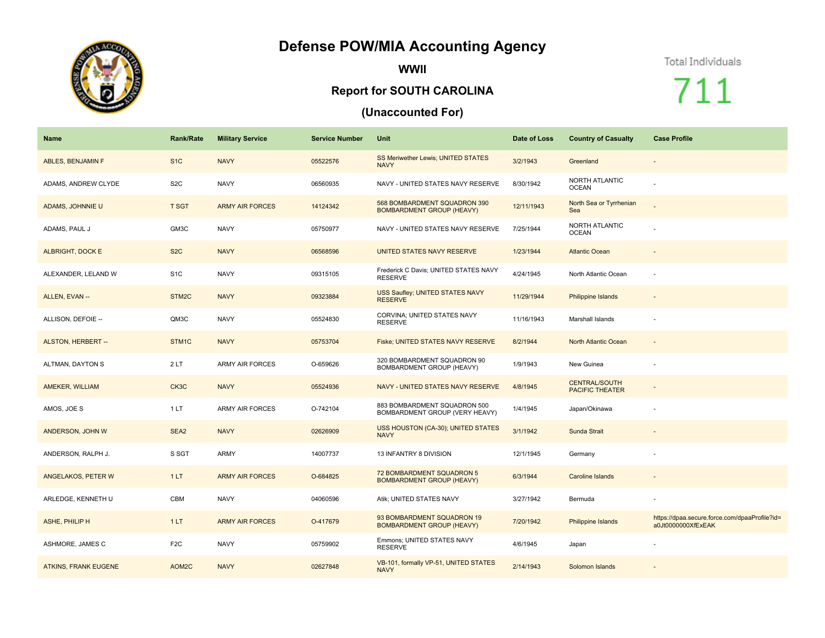## **Defense POW/MIA Accounting Agency**



**WWII**

## **Report for SOUTH CAROLINA**

## **(Unaccounted For)**

## Total Individuals

711

| <b>Name</b>                 | <b>Rank/Rate</b>   | <b>Military Service</b> | <b>Service Number</b> | Unit                                                             | Date of Loss | <b>Country of Casualty</b>                     | <b>Case Profile</b>                                                 |
|-----------------------------|--------------------|-------------------------|-----------------------|------------------------------------------------------------------|--------------|------------------------------------------------|---------------------------------------------------------------------|
| ABLES, BENJAMIN F           | S <sub>1</sub> C   | <b>NAVY</b>             | 05522576              | <b>SS Meriwether Lewis; UNITED STATES</b><br><b>NAVY</b>         | 3/2/1943     | Greenland                                      | $\sim$                                                              |
| ADAMS, ANDREW CLYDE         | S <sub>2</sub> C   | <b>NAVY</b>             | 06560935              | NAVY - UNITED STATES NAVY RESERVE                                | 8/30/1942    | NORTH ATLANTIC<br><b>OCEAN</b>                 |                                                                     |
| ADAMS, JOHNNIE U            | <b>T SGT</b>       | <b>ARMY AIR FORCES</b>  | 14124342              | 568 BOMBARDMENT SQUADRON 390<br><b>BOMBARDMENT GROUP (HEAVY)</b> | 12/11/1943   | North Sea or Tyrrhenian<br>Sea                 |                                                                     |
| ADAMS, PAUL J               | GM3C               | <b>NAVY</b>             | 05750977              | NAVY - UNITED STATES NAVY RESERVE                                | 7/25/1944    | NORTH ATLANTIC<br><b>OCEAN</b>                 |                                                                     |
| <b>ALBRIGHT, DOCK E</b>     | S <sub>2</sub> C   | <b>NAVY</b>             | 06568596              | UNITED STATES NAVY RESERVE                                       | 1/23/1944    | <b>Atlantic Ocean</b>                          |                                                                     |
| ALEXANDER, LELAND W         | S <sub>1</sub> C   | <b>NAVY</b>             | 09315105              | Frederick C Davis; UNITED STATES NAVY<br><b>RESERVE</b>          | 4/24/1945    | North Atlantic Ocean                           |                                                                     |
| ALLEN, EVAN --              | STM <sub>2</sub> C | <b>NAVY</b>             | 09323884              | USS Saufley; UNITED STATES NAVY<br><b>RESERVE</b>                | 11/29/1944   | Philippine Islands                             |                                                                     |
| ALLISON, DEFOIE --          | QM3C               | <b>NAVY</b>             | 05524830              | CORVINA; UNITED STATES NAVY<br><b>RESERVE</b>                    | 11/16/1943   | Marshall Islands                               |                                                                     |
| ALSTON, HERBERT --          | STM1C              | <b>NAVY</b>             | 05753704              | Fiske; UNITED STATES NAVY RESERVE                                | 8/2/1944     | North Atlantic Ocean                           | $\overline{\phantom{a}}$                                            |
| ALTMAN, DAYTON S            | 2LT                | <b>ARMY AIR FORCES</b>  | O-659626              | 320 BOMBARDMENT SQUADRON 90<br>BOMBARDMENT GROUP (HEAVY)         | 1/9/1943     | New Guinea                                     |                                                                     |
| AMEKER, WILLIAM             | CK3C               | <b>NAVY</b>             | 05524936              | NAVY - UNITED STATES NAVY RESERVE                                | 4/8/1945     | <b>CENTRAL/SOUTH</b><br><b>PACIFIC THEATER</b> |                                                                     |
| AMOS, JOE S                 | 1LT                | <b>ARMY AIR FORCES</b>  | O-742104              | 883 BOMBARDMENT SQUADRON 500<br>BOMBARDMENT GROUP (VERY HEAVY)   | 1/4/1945     | Japan/Okinawa                                  |                                                                     |
| ANDERSON, JOHN W            | SEA2               | <b>NAVY</b>             | 02626909              | USS HOUSTON (CA-30); UNITED STATES<br><b>NAVY</b>                | 3/1/1942     | Sunda Strait                                   |                                                                     |
| ANDERSON, RALPH J.          | S SGT              | <b>ARMY</b>             | 14007737              | 13 INFANTRY 8 DIVISION                                           | 12/1/1945    | Germany                                        |                                                                     |
| ANGELAKOS, PETER W          | 1LT                | <b>ARMY AIR FORCES</b>  | O-684825              | 72 BOMBARDMENT SQUADRON 5<br><b>BOMBARDMENT GROUP (HEAVY)</b>    | 6/3/1944     | <b>Caroline Islands</b>                        |                                                                     |
| ARLEDGE, KENNETH U          | CBM                | <b>NAVY</b>             | 04060596              | Atik; UNITED STATES NAVY                                         | 3/27/1942    | Bermuda                                        |                                                                     |
| ASHE, PHILIP H              | 1LT                | <b>ARMY AIR FORCES</b>  | O-417679              | 93 BOMBARDMENT SQUADRON 19<br><b>BOMBARDMENT GROUP (HEAVY)</b>   | 7/20/1942    | Philippine Islands                             | https://dpaa.secure.force.com/dpaaProfile?id=<br>a0Jt0000000XfExEAK |
| ASHMORE, JAMES C            | F <sub>2</sub> C   | <b>NAVY</b>             | 05759902              | Emmons; UNITED STATES NAVY<br><b>RESERVE</b>                     | 4/6/1945     | Japan                                          |                                                                     |
| <b>ATKINS, FRANK EUGENE</b> | AOM2C              | <b>NAVY</b>             | 02627848              | VB-101, formally VP-51, UNITED STATES<br><b>NAVY</b>             | 2/14/1943    | Solomon Islands                                |                                                                     |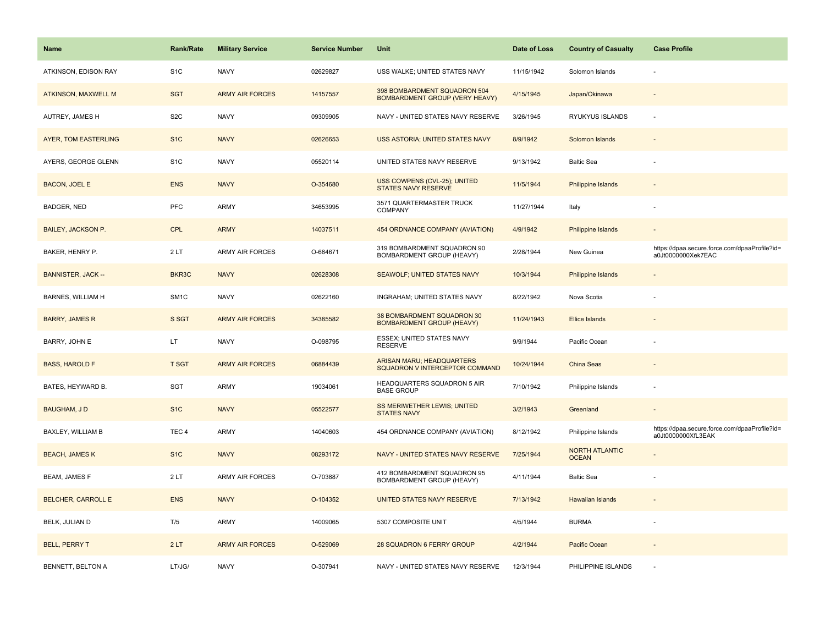| <b>Name</b>                 | <b>Rank/Rate</b>  | <b>Military Service</b> | <b>Service Number</b> | Unit                                                                  | Date of Loss | <b>Country of Casualty</b>            | <b>Case Profile</b>                                                 |
|-----------------------------|-------------------|-------------------------|-----------------------|-----------------------------------------------------------------------|--------------|---------------------------------------|---------------------------------------------------------------------|
| ATKINSON, EDISON RAY        | S <sub>1</sub> C  | <b>NAVY</b>             | 02629827              | USS WALKE; UNITED STATES NAVY                                         | 11/15/1942   | Solomon Islands                       |                                                                     |
| <b>ATKINSON, MAXWELL M</b>  | <b>SGT</b>        | <b>ARMY AIR FORCES</b>  | 14157557              | 398 BOMBARDMENT SQUADRON 504<br><b>BOMBARDMENT GROUP (VERY HEAVY)</b> | 4/15/1945    | Japan/Okinawa                         |                                                                     |
| AUTREY, JAMES H             | S <sub>2</sub> C  | <b>NAVY</b>             | 09309905              | NAVY - UNITED STATES NAVY RESERVE                                     | 3/26/1945    | RYUKYUS ISLANDS                       |                                                                     |
| <b>AYER, TOM EASTERLING</b> | S <sub>1</sub> C  | <b>NAVY</b>             | 02626653              | USS ASTORIA; UNITED STATES NAVY                                       | 8/9/1942     | Solomon Islands                       |                                                                     |
| AYERS, GEORGE GLENN         | S <sub>1</sub> C  | <b>NAVY</b>             | 05520114              | UNITED STATES NAVY RESERVE                                            | 9/13/1942    | <b>Baltic Sea</b>                     |                                                                     |
| <b>BACON, JOEL E</b>        | <b>ENS</b>        | <b>NAVY</b>             | O-354680              | USS COWPENS (CVL-25); UNITED<br>STATES NAVY RESERVE                   | 11/5/1944    | Philippine Islands                    |                                                                     |
| <b>BADGER, NED</b>          | PFC               | ARMY                    | 34653995              | 3571 QUARTERMASTER TRUCK<br><b>COMPANY</b>                            | 11/27/1944   | Italy                                 |                                                                     |
| <b>BAILEY, JACKSON P.</b>   | <b>CPL</b>        | <b>ARMY</b>             | 14037511              | 454 ORDNANCE COMPANY (AVIATION)                                       | 4/9/1942     | Philippine Islands                    |                                                                     |
| BAKER, HENRY P.             | 2LT               | ARMY AIR FORCES         | O-684671              | 319 BOMBARDMENT SQUADRON 90<br>BOMBARDMENT GROUP (HEAVY)              | 2/28/1944    | New Guinea                            | https://dpaa.secure.force.com/dpaaProfile?id=<br>a0Jt0000000Xek7EAC |
| <b>BANNISTER, JACK --</b>   | BKR3C             | <b>NAVY</b>             | 02628308              | <b>SEAWOLF; UNITED STATES NAVY</b>                                    | 10/3/1944    | <b>Philippine Islands</b>             |                                                                     |
| <b>BARNES, WILLIAM H</b>    | SM <sub>1</sub> C | <b>NAVY</b>             | 02622160              | INGRAHAM; UNITED STATES NAVY                                          | 8/22/1942    | Nova Scotia                           |                                                                     |
| <b>BARRY, JAMES R</b>       | S SGT             | <b>ARMY AIR FORCES</b>  | 34385582              | 38 BOMBARDMENT SQUADRON 30<br><b>BOMBARDMENT GROUP (HEAVY)</b>        | 11/24/1943   | Ellice Islands                        |                                                                     |
| BARRY, JOHN E               | LT.               | <b>NAVY</b>             | O-098795              | ESSEX; UNITED STATES NAVY<br><b>RESERVE</b>                           | 9/9/1944     | Pacific Ocean                         |                                                                     |
| <b>BASS, HAROLD F</b>       | <b>T SGT</b>      | <b>ARMY AIR FORCES</b>  | 06884439              | ARISAN MARU; HEADQUARTERS<br>SQUADRON V INTERCEPTOR COMMAND           | 10/24/1944   | China Seas                            |                                                                     |
| BATES, HEYWARD B.           | <b>SGT</b>        | ARMY                    | 19034061              | HEADQUARTERS SQUADRON 5 AIR<br><b>BASE GROUP</b>                      | 7/10/1942    | Philippine Islands                    |                                                                     |
| <b>BAUGHAM, JD</b>          | S <sub>1</sub> C  | <b>NAVY</b>             | 05522577              | SS MERIWETHER LEWIS; UNITED<br><b>STATES NAVY</b>                     | 3/2/1943     | Greenland                             |                                                                     |
| BAXLEY, WILLIAM B           | TEC <sub>4</sub>  | <b>ARMY</b>             | 14040603              | 454 ORDNANCE COMPANY (AVIATION)                                       | 8/12/1942    | Philippine Islands                    | https://dpaa.secure.force.com/dpaaProfile?id=<br>a0Jt0000000XfL3EAK |
| <b>BEACH, JAMES K</b>       | S <sub>1C</sub>   | <b>NAVY</b>             | 08293172              | NAVY - UNITED STATES NAVY RESERVE                                     | 7/25/1944    | <b>NORTH ATLANTIC</b><br><b>OCEAN</b> |                                                                     |
| <b>BEAM, JAMES F</b>        | 2LT               | ARMY AIR FORCES         | O-703887              | 412 BOMBARDMENT SQUADRON 95<br>BOMBARDMENT GROUP (HEAVY)              | 4/11/1944    | <b>Baltic Sea</b>                     |                                                                     |
| <b>BELCHER, CARROLL E</b>   | <b>ENS</b>        | <b>NAVY</b>             | O-104352              | UNITED STATES NAVY RESERVE                                            | 7/13/1942    | Hawaiian Islands                      |                                                                     |
| BELK, JULIAN D              | T/5               | ARMY                    | 14009065              | 5307 COMPOSITE UNIT                                                   | 4/5/1944     | <b>BURMA</b>                          |                                                                     |
| <b>BELL, PERRY T</b>        | 2LT               | <b>ARMY AIR FORCES</b>  | O-529069              | 28 SQUADRON 6 FERRY GROUP                                             | 4/2/1944     | Pacific Ocean                         |                                                                     |
| <b>BENNETT, BELTON A</b>    | LT/JG/            | <b>NAVY</b>             | O-307941              | NAVY - UNITED STATES NAVY RESERVE                                     | 12/3/1944    | PHILIPPINE ISLANDS                    |                                                                     |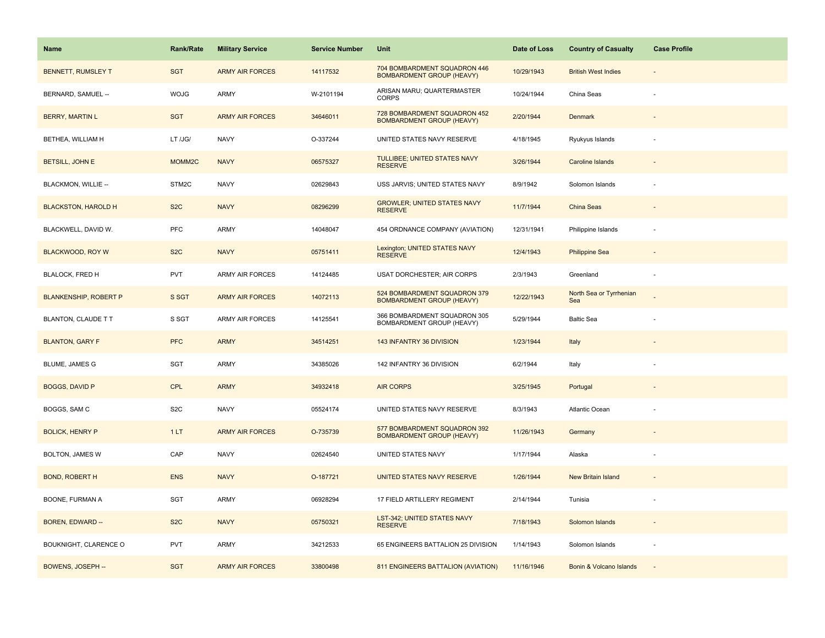| <b>Name</b>                  | <b>Rank/Rate</b>   | <b>Military Service</b> | <b>Service Number</b> | Unit                                                             | Date of Loss | <b>Country of Casualty</b>     | <b>Case Profile</b> |
|------------------------------|--------------------|-------------------------|-----------------------|------------------------------------------------------------------|--------------|--------------------------------|---------------------|
| <b>BENNETT, RUMSLEY T</b>    | <b>SGT</b>         | <b>ARMY AIR FORCES</b>  | 14117532              | 704 BOMBARDMENT SQUADRON 446<br><b>BOMBARDMENT GROUP (HEAVY)</b> | 10/29/1943   | <b>British West Indies</b>     |                     |
| BERNARD, SAMUEL --           | <b>WOJG</b>        | ARMY                    | W-2101194             | ARISAN MARU; QUARTERMASTER<br><b>CORPS</b>                       | 10/24/1944   | China Seas                     |                     |
| <b>BERRY, MARTIN L</b>       | <b>SGT</b>         | <b>ARMY AIR FORCES</b>  | 34646011              | 728 BOMBARDMENT SQUADRON 452<br><b>BOMBARDMENT GROUP (HEAVY)</b> | 2/20/1944    | <b>Denmark</b>                 |                     |
| BETHEA, WILLIAM H            | LT /JG/            | <b>NAVY</b>             | O-337244              | UNITED STATES NAVY RESERVE                                       | 4/18/1945    | Ryukyus Islands                |                     |
| <b>BETSILL, JOHN E</b>       | MOMM <sub>2C</sub> | <b>NAVY</b>             | 06575327              | TULLIBEE; UNITED STATES NAVY<br><b>RESERVE</b>                   | 3/26/1944    | Caroline Islands               |                     |
| BLACKMON, WILLIE --          | STM2C              | <b>NAVY</b>             | 02629843              | USS JARVIS; UNITED STATES NAVY                                   | 8/9/1942     | Solomon Islands                |                     |
| <b>BLACKSTON, HAROLD H</b>   | S <sub>2</sub> C   | <b>NAVY</b>             | 08296299              | <b>GROWLER; UNITED STATES NAVY</b><br><b>RESERVE</b>             | 11/7/1944    | China Seas                     | $\sim$              |
| BLACKWELL, DAVID W.          | PFC                | <b>ARMY</b>             | 14048047              | 454 ORDNANCE COMPANY (AVIATION)                                  | 12/31/1941   | Philippine Islands             |                     |
| <b>BLACKWOOD, ROY W</b>      | S <sub>2</sub> C   | <b>NAVY</b>             | 05751411              | Lexington; UNITED STATES NAVY<br><b>RESERVE</b>                  | 12/4/1943    | <b>Philippine Sea</b>          |                     |
| <b>BLALOCK, FRED H</b>       | PVT                | <b>ARMY AIR FORCES</b>  | 14124485              | USAT DORCHESTER; AIR CORPS                                       | 2/3/1943     | Greenland                      | ÷.                  |
| <b>BLANKENSHIP, ROBERT P</b> | S SGT              | <b>ARMY AIR FORCES</b>  | 14072113              | 524 BOMBARDMENT SQUADRON 379<br><b>BOMBARDMENT GROUP (HEAVY)</b> | 12/22/1943   | North Sea or Tyrrhenian<br>Sea |                     |
| BLANTON, CLAUDE T T          | S SGT              | <b>ARMY AIR FORCES</b>  | 14125541              | 366 BOMBARDMENT SQUADRON 305<br>BOMBARDMENT GROUP (HEAVY)        | 5/29/1944    | <b>Baltic Sea</b>              |                     |
| <b>BLANTON, GARY F</b>       | <b>PFC</b>         | <b>ARMY</b>             | 34514251              | 143 INFANTRY 36 DIVISION                                         | 1/23/1944    | Italy                          |                     |
| BLUME, JAMES G               | SGT                | <b>ARMY</b>             | 34385026              | 142 INFANTRY 36 DIVISION                                         | 6/2/1944     | Italy                          |                     |
| <b>BOGGS, DAVID P</b>        | <b>CPL</b>         | <b>ARMY</b>             | 34932418              | <b>AIR CORPS</b>                                                 | 3/25/1945    | Portugal                       |                     |
| BOGGS, SAM C                 | S <sub>2</sub> C   | <b>NAVY</b>             | 05524174              | UNITED STATES NAVY RESERVE                                       | 8/3/1943     | Atlantic Ocean                 |                     |
| <b>BOLICK, HENRY P</b>       | 1LT                | <b>ARMY AIR FORCES</b>  | O-735739              | 577 BOMBARDMENT SQUADRON 392<br><b>BOMBARDMENT GROUP (HEAVY)</b> | 11/26/1943   | Germany                        |                     |
| BOLTON, JAMES W              | CAP                | <b>NAVY</b>             | 02624540              | UNITED STATES NAVY                                               | 1/17/1944    | Alaska                         |                     |
| <b>BOND, ROBERT H</b>        | <b>ENS</b>         | <b>NAVY</b>             | O-187721              | UNITED STATES NAVY RESERVE                                       | 1/26/1944    | New Britain Island             |                     |
| BOONE, FURMAN A              | SGT                | <b>ARMY</b>             | 06928294              | 17 FIELD ARTILLERY REGIMENT                                      | 2/14/1944    | Tunisia                        |                     |
| BOREN, EDWARD --             | S <sub>2</sub> C   | <b>NAVY</b>             | 05750321              | LST-342; UNITED STATES NAVY<br><b>RESERVE</b>                    | 7/18/1943    | Solomon Islands                |                     |
| BOUKNIGHT, CLARENCE O        | <b>PVT</b>         | <b>ARMY</b>             | 34212533              | 65 ENGINEERS BATTALION 25 DIVISION                               | 1/14/1943    | Solomon Islands                |                     |
| BOWENS, JOSEPH --            | <b>SGT</b>         | <b>ARMY AIR FORCES</b>  | 33800498              | 811 ENGINEERS BATTALION (AVIATION)                               | 11/16/1946   | Bonin & Volcano Islands        |                     |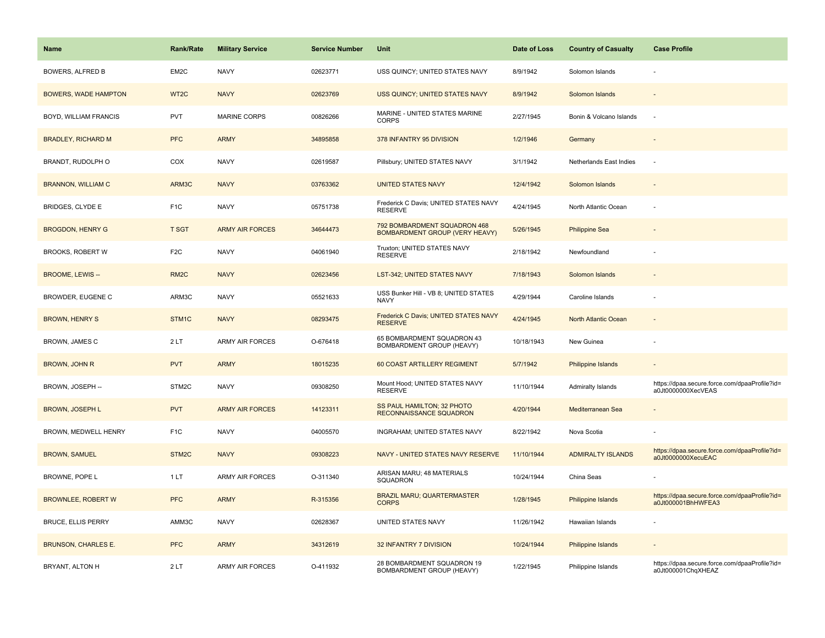| <b>Name</b>                 | <b>Rank/Rate</b>  | <b>Military Service</b> | <b>Service Number</b> | Unit                                                                  | Date of Loss | <b>Country of Casualty</b> | <b>Case Profile</b>                                                 |
|-----------------------------|-------------------|-------------------------|-----------------------|-----------------------------------------------------------------------|--------------|----------------------------|---------------------------------------------------------------------|
| <b>BOWERS, ALFRED B</b>     | EM2C              | <b>NAVY</b>             | 02623771              | USS QUINCY; UNITED STATES NAVY                                        | 8/9/1942     | Solomon Islands            |                                                                     |
| <b>BOWERS, WADE HAMPTON</b> | WT <sub>2</sub> C | <b>NAVY</b>             | 02623769              | USS QUINCY; UNITED STATES NAVY                                        | 8/9/1942     | Solomon Islands            |                                                                     |
| BOYD, WILLIAM FRANCIS       | PVT               | <b>MARINE CORPS</b>     | 00826266              | MARINE - UNITED STATES MARINE<br><b>CORPS</b>                         | 2/27/1945    | Bonin & Volcano Islands    | $\sim$                                                              |
| <b>BRADLEY, RICHARD M</b>   | <b>PFC</b>        | <b>ARMY</b>             | 34895858              | 378 INFANTRY 95 DIVISION                                              | 1/2/1946     | Germany                    |                                                                     |
| BRANDT, RUDOLPH O           | COX               | <b>NAVY</b>             | 02619587              | Pillsbury; UNITED STATES NAVY                                         | 3/1/1942     | Netherlands East Indies    |                                                                     |
| <b>BRANNON, WILLIAM C</b>   | ARM3C             | <b>NAVY</b>             | 03763362              | <b>UNITED STATES NAVY</b>                                             | 12/4/1942    | Solomon Islands            |                                                                     |
| BRIDGES, CLYDE E            | F <sub>1</sub> C  | <b>NAVY</b>             | 05751738              | Frederick C Davis; UNITED STATES NAVY<br><b>RESERVE</b>               | 4/24/1945    | North Atlantic Ocean       |                                                                     |
| <b>BROGDON, HENRY G</b>     | <b>T SGT</b>      | <b>ARMY AIR FORCES</b>  | 34644473              | 792 BOMBARDMENT SQUADRON 468<br><b>BOMBARDMENT GROUP (VERY HEAVY)</b> | 5/26/1945    | <b>Philippine Sea</b>      |                                                                     |
| <b>BROOKS, ROBERT W</b>     | F <sub>2</sub> C  | <b>NAVY</b>             | 04061940              | Truxton; UNITED STATES NAVY<br><b>RESERVE</b>                         | 2/18/1942    | Newfoundland               |                                                                     |
| <b>BROOME, LEWIS --</b>     | RM <sub>2</sub> C | <b>NAVY</b>             | 02623456              | <b>LST-342; UNITED STATES NAVY</b>                                    | 7/18/1943    | Solomon Islands            |                                                                     |
| BROWDER, EUGENE C           | ARM3C             | <b>NAVY</b>             | 05521633              | USS Bunker Hill - VB 8; UNITED STATES<br><b>NAVY</b>                  | 4/29/1944    | Caroline Islands           |                                                                     |
| <b>BROWN, HENRY S</b>       | STM1C             | <b>NAVY</b>             | 08293475              | Frederick C Davis; UNITED STATES NAVY<br><b>RESERVE</b>               | 4/24/1945    | North Atlantic Ocean       |                                                                     |
| BROWN, JAMES C              | 2LT               | <b>ARMY AIR FORCES</b>  | O-676418              | 65 BOMBARDMENT SQUADRON 43<br>BOMBARDMENT GROUP (HEAVY)               | 10/18/1943   | New Guinea                 |                                                                     |
| BROWN, JOHN R               | <b>PVT</b>        | <b>ARMY</b>             | 18015235              | 60 COAST ARTILLERY REGIMENT                                           | 5/7/1942     | Philippine Islands         | $\overline{\phantom{a}}$                                            |
| BROWN, JOSEPH --            | STM2C             | <b>NAVY</b>             | 09308250              | Mount Hood; UNITED STATES NAVY<br><b>RESERVE</b>                      | 11/10/1944   | Admiralty Islands          | https://dpaa.secure.force.com/dpaaProfile?id=<br>a0Jt0000000XecVEAS |
| <b>BROWN, JOSEPH L</b>      | <b>PVT</b>        | <b>ARMY AIR FORCES</b>  | 14123311              | SS PAUL HAMILTON; 32 PHOTO<br>RECONNAISSANCE SQUADRON                 | 4/20/1944    | Mediterranean Sea          |                                                                     |
| BROWN, MEDWELL HENRY        | F <sub>1</sub> C  | <b>NAVY</b>             | 04005570              | INGRAHAM; UNITED STATES NAVY                                          | 8/22/1942    | Nova Scotia                |                                                                     |
| <b>BROWN, SAMUEL</b>        | STM <sub>2C</sub> | <b>NAVY</b>             | 09308223              | NAVY - UNITED STATES NAVY RESERVE                                     | 11/10/1944   | <b>ADMIRALTY ISLANDS</b>   | https://dpaa.secure.force.com/dpaaProfile?id=<br>a0Jt0000000XecuEAC |
| BROWNE, POPE L              | 1 LT              | <b>ARMY AIR FORCES</b>  | O-311340              | ARISAN MARU; 48 MATERIALS<br><b>SQUADRON</b>                          | 10/24/1944   | China Seas                 |                                                                     |
| <b>BROWNLEE, ROBERT W</b>   | <b>PFC</b>        | <b>ARMY</b>             | R-315356              | <b>BRAZIL MARU; QUARTERMASTER</b><br><b>CORPS</b>                     | 1/28/1945    | Philippine Islands         | https://dpaa.secure.force.com/dpaaProfile?id=<br>a0Jt000001BhHWFEA3 |
| <b>BRUCE, ELLIS PERRY</b>   | AMM3C             | <b>NAVY</b>             | 02628367              | UNITED STATES NAVY                                                    | 11/26/1942   | Hawaiian Islands           |                                                                     |
| <b>BRUNSON, CHARLES E.</b>  | <b>PFC</b>        | <b>ARMY</b>             | 34312619              | 32 INFANTRY 7 DIVISION                                                | 10/24/1944   | Philippine Islands         |                                                                     |
| BRYANT, ALTON H             | 2LT               | <b>ARMY AIR FORCES</b>  | O-411932              | 28 BOMBARDMENT SQUADRON 19<br>BOMBARDMENT GROUP (HEAVY)               | 1/22/1945    | Philippine Islands         | https://dpaa.secure.force.com/dpaaProfile?id=<br>a0Jt000001ChqXHEAZ |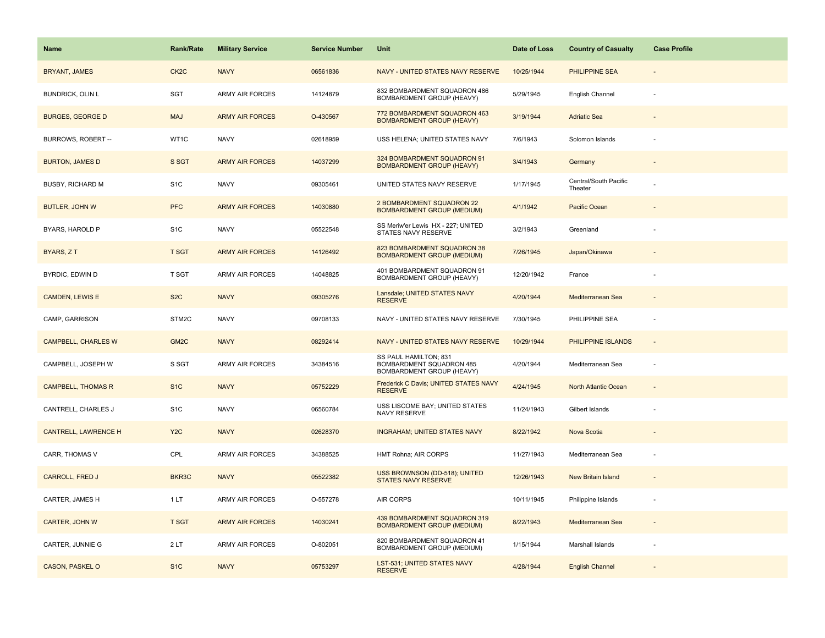| Name                        | <b>Rank/Rate</b>  | <b>Military Service</b> | <b>Service Number</b> | Unit                                                                           | Date of Loss | <b>Country of Casualty</b>       | <b>Case Profile</b> |
|-----------------------------|-------------------|-------------------------|-----------------------|--------------------------------------------------------------------------------|--------------|----------------------------------|---------------------|
| <b>BRYANT, JAMES</b>        | CK <sub>2</sub> C | <b>NAVY</b>             | 06561836              | NAVY - UNITED STATES NAVY RESERVE                                              | 10/25/1944   | PHILIPPINE SEA                   |                     |
| <b>BUNDRICK, OLIN L</b>     | <b>SGT</b>        | <b>ARMY AIR FORCES</b>  | 14124879              | 832 BOMBARDMENT SQUADRON 486<br>BOMBARDMENT GROUP (HEAVY)                      | 5/29/1945    | English Channel                  |                     |
| <b>BURGES, GEORGE D</b>     | <b>MAJ</b>        | <b>ARMY AIR FORCES</b>  | O-430567              | 772 BOMBARDMENT SQUADRON 463<br><b>BOMBARDMENT GROUP (HEAVY)</b>               | 3/19/1944    | <b>Adriatic Sea</b>              |                     |
| BURROWS, ROBERT --          | WT1C              | <b>NAVY</b>             | 02618959              | USS HELENA; UNITED STATES NAVY                                                 | 7/6/1943     | Solomon Islands                  |                     |
| <b>BURTON, JAMES D</b>      | S SGT             | <b>ARMY AIR FORCES</b>  | 14037299              | 324 BOMBARDMENT SQUADRON 91<br><b>BOMBARDMENT GROUP (HEAVY)</b>                | 3/4/1943     | Germany                          |                     |
| <b>BUSBY, RICHARD M</b>     | S <sub>1</sub> C  | <b>NAVY</b>             | 09305461              | UNITED STATES NAVY RESERVE                                                     | 1/17/1945    | Central/South Pacific<br>Theater |                     |
| <b>BUTLER, JOHN W</b>       | <b>PFC</b>        | <b>ARMY AIR FORCES</b>  | 14030880              | 2 BOMBARDMENT SQUADRON 22<br><b>BOMBARDMENT GROUP (MEDIUM)</b>                 | 4/1/1942     | Pacific Ocean                    |                     |
| BYARS, HAROLD P             | S <sub>1</sub> C  | <b>NAVY</b>             | 05522548              | SS Meriw'er Lewis HX - 227; UNITED<br>STATES NAVY RESERVE                      | 3/2/1943     | Greenland                        |                     |
| BYARS, ZT                   | <b>T SGT</b>      | <b>ARMY AIR FORCES</b>  | 14126492              | 823 BOMBARDMENT SQUADRON 38<br><b>BOMBARDMENT GROUP (MEDIUM)</b>               | 7/26/1945    | Japan/Okinawa                    |                     |
| BYRDIC, EDWIN D             | T SGT             | <b>ARMY AIR FORCES</b>  | 14048825              | 401 BOMBARDMENT SQUADRON 91<br>BOMBARDMENT GROUP (HEAVY)                       | 12/20/1942   | France                           |                     |
| <b>CAMDEN, LEWIS E</b>      | S <sub>2</sub> C  | <b>NAVY</b>             | 09305276              | Lansdale; UNITED STATES NAVY<br><b>RESERVE</b>                                 | 4/20/1944    | Mediterranean Sea                |                     |
| CAMP, GARRISON              | STM2C             | <b>NAVY</b>             | 09708133              | NAVY - UNITED STATES NAVY RESERVE                                              | 7/30/1945    | PHILIPPINE SEA                   |                     |
| <b>CAMPBELL, CHARLES W</b>  | GM <sub>2</sub> C | <b>NAVY</b>             | 08292414              | NAVY - UNITED STATES NAVY RESERVE                                              | 10/29/1944   | PHILIPPINE ISLANDS               |                     |
| CAMPBELL, JOSEPH W          | S SGT             | <b>ARMY AIR FORCES</b>  | 34384516              | SS PAUL HAMILTON; 831<br>BOMBARDMENT SQUADRON 485<br>BOMBARDMENT GROUP (HEAVY) | 4/20/1944    | Mediterranean Sea                |                     |
| <b>CAMPBELL, THOMAS R</b>   | S <sub>1C</sub>   | <b>NAVY</b>             | 05752229              | Frederick C Davis; UNITED STATES NAVY<br><b>RESERVE</b>                        | 4/24/1945    | North Atlantic Ocean             |                     |
| CANTRELL, CHARLES J         | S <sub>1</sub> C  | <b>NAVY</b>             | 06560784              | USS LISCOME BAY; UNITED STATES<br>NAVY RESERVE                                 | 11/24/1943   | Gilbert Islands                  |                     |
| <b>CANTRELL, LAWRENCE H</b> | Y <sub>2</sub> C  | <b>NAVY</b>             | 02628370              | <b>INGRAHAM; UNITED STATES NAVY</b>                                            | 8/22/1942    | Nova Scotia                      |                     |
| CARR, THOMAS V              | CPL               | <b>ARMY AIR FORCES</b>  | 34388525              | HMT Rohna; AIR CORPS                                                           | 11/27/1943   | Mediterranean Sea                |                     |
| <b>CARROLL, FRED J</b>      | BKR3C             | <b>NAVY</b>             | 05522382              | USS BROWNSON (DD-518); UNITED<br><b>STATES NAVY RESERVE</b>                    | 12/26/1943   | New Britain Island               |                     |
| CARTER, JAMES H             | 1 LT              | <b>ARMY AIR FORCES</b>  | O-557278              | <b>AIR CORPS</b>                                                               | 10/11/1945   | Philippine Islands               |                     |
| <b>CARTER, JOHN W</b>       | <b>T SGT</b>      | <b>ARMY AIR FORCES</b>  | 14030241              | 439 BOMBARDMENT SQUADRON 319<br><b>BOMBARDMENT GROUP (MEDIUM)</b>              | 8/22/1943    | Mediterranean Sea                |                     |
| CARTER, JUNNIE G            | 2LT               | <b>ARMY AIR FORCES</b>  | O-802051              | 820 BOMBARDMENT SQUADRON 41<br>BOMBARDMENT GROUP (MEDIUM)                      | 1/15/1944    | Marshall Islands                 |                     |
| CASON, PASKEL O             | S <sub>1</sub> C  | <b>NAVY</b>             | 05753297              | <b>LST-531; UNITED STATES NAVY</b><br><b>RESERVE</b>                           | 4/28/1944    | <b>English Channel</b>           |                     |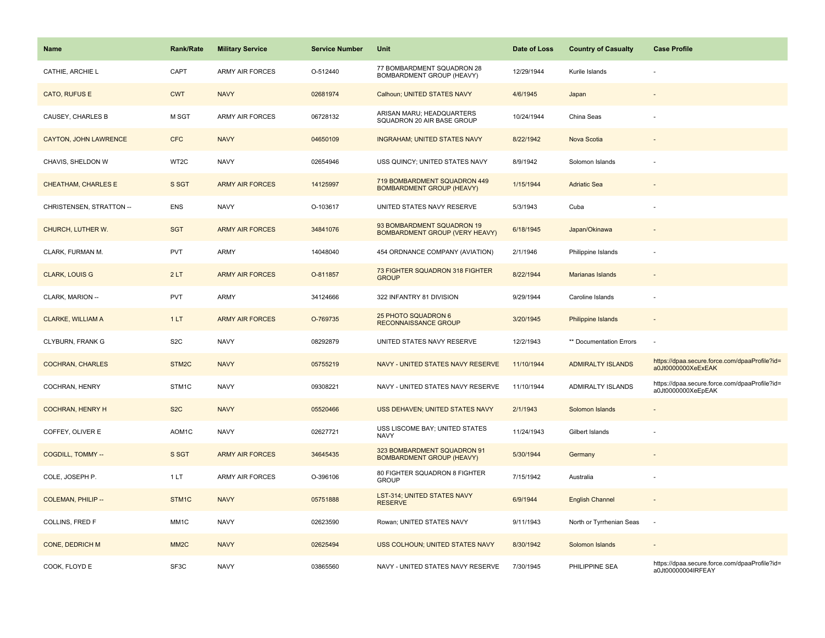| Name                       | <b>Rank/Rate</b>   | <b>Military Service</b> | <b>Service Number</b> | Unit                                                                | Date of Loss | <b>Country of Casualty</b> | <b>Case Profile</b>                                                 |
|----------------------------|--------------------|-------------------------|-----------------------|---------------------------------------------------------------------|--------------|----------------------------|---------------------------------------------------------------------|
| CATHIE, ARCHIE L           | CAPT               | <b>ARMY AIR FORCES</b>  | O-512440              | 77 BOMBARDMENT SQUADRON 28<br><b>BOMBARDMENT GROUP (HEAVY)</b>      | 12/29/1944   | Kurile Islands             |                                                                     |
| CATO, RUFUS E              | <b>CWT</b>         | <b>NAVY</b>             | 02681974              | Calhoun; UNITED STATES NAVY                                         | 4/6/1945     | Japan                      |                                                                     |
| CAUSEY, CHARLES B          | M SGT              | <b>ARMY AIR FORCES</b>  | 06728132              | ARISAN MARU; HEADQUARTERS<br>SQUADRON 20 AIR BASE GROUP             | 10/24/1944   | China Seas                 |                                                                     |
| CAYTON, JOHN LAWRENCE      | <b>CFC</b>         | <b>NAVY</b>             | 04650109              | <b>INGRAHAM; UNITED STATES NAVY</b>                                 | 8/22/1942    | Nova Scotia                |                                                                     |
| CHAVIS, SHELDON W          | WT2C               | <b>NAVY</b>             | 02654946              | USS QUINCY; UNITED STATES NAVY                                      | 8/9/1942     | Solomon Islands            |                                                                     |
| <b>CHEATHAM, CHARLES E</b> | S SGT              | <b>ARMY AIR FORCES</b>  | 14125997              | 719 BOMBARDMENT SQUADRON 449<br><b>BOMBARDMENT GROUP (HEAVY)</b>    | 1/15/1944    | <b>Adriatic Sea</b>        |                                                                     |
| CHRISTENSEN, STRATTON --   | <b>ENS</b>         | <b>NAVY</b>             | O-103617              | UNITED STATES NAVY RESERVE                                          | 5/3/1943     | Cuba                       |                                                                     |
| CHURCH, LUTHER W.          | <b>SGT</b>         | <b>ARMY AIR FORCES</b>  | 34841076              | 93 BOMBARDMENT SQUADRON 19<br><b>BOMBARDMENT GROUP (VERY HEAVY)</b> | 6/18/1945    | Japan/Okinawa              |                                                                     |
| CLARK, FURMAN M.           | PVT                | <b>ARMY</b>             | 14048040              | 454 ORDNANCE COMPANY (AVIATION)                                     | 2/1/1946     | Philippine Islands         |                                                                     |
| <b>CLARK, LOUIS G</b>      | 2LT                | <b>ARMY AIR FORCES</b>  | O-811857              | 73 FIGHTER SQUADRON 318 FIGHTER<br><b>GROUP</b>                     | 8/22/1944    | Marianas Islands           |                                                                     |
| CLARK, MARION --           | <b>PVT</b>         | ARMY                    | 34124666              | 322 INFANTRY 81 DIVISION                                            | 9/29/1944    | Caroline Islands           |                                                                     |
| <b>CLARKE, WILLIAM A</b>   | 1LT                | <b>ARMY AIR FORCES</b>  | O-769735              | 25 PHOTO SQUADRON 6<br><b>RECONNAISSANCE GROUP</b>                  | 3/20/1945    | <b>Philippine Islands</b>  |                                                                     |
| CLYBURN, FRANK G           | S <sub>2</sub> C   | <b>NAVY</b>             | 08292879              | UNITED STATES NAVY RESERVE                                          | 12/2/1943    | ** Documentation Errors    |                                                                     |
| <b>COCHRAN, CHARLES</b>    | STM2C              | <b>NAVY</b>             | 05755219              | NAVY - UNITED STATES NAVY RESERVE                                   | 11/10/1944   | <b>ADMIRALTY ISLANDS</b>   | https://dpaa.secure.force.com/dpaaProfile?id=<br>a0Jt0000000XeExEAK |
| COCHRAN, HENRY             | STM1C              | <b>NAVY</b>             | 09308221              | NAVY - UNITED STATES NAVY RESERVE                                   | 11/10/1944   | ADMIRALTY ISLANDS          | https://dpaa.secure.force.com/dpaaProfile?id=<br>a0Jt0000000XeEpEAK |
| <b>COCHRAN, HENRY H</b>    | S <sub>2</sub> C   | <b>NAVY</b>             | 05520466              | USS DEHAVEN; UNITED STATES NAVY                                     | 2/1/1943     | Solomon Islands            |                                                                     |
| COFFEY, OLIVER E           | AOM <sub>1</sub> C | <b>NAVY</b>             | 02627721              | USS LISCOME BAY; UNITED STATES<br><b>NAVY</b>                       | 11/24/1943   | Gilbert Islands            |                                                                     |
| <b>COGDILL, TOMMY --</b>   | S SGT              | <b>ARMY AIR FORCES</b>  | 34645435              | 323 BOMBARDMENT SQUADRON 91<br><b>BOMBARDMENT GROUP (HEAVY)</b>     | 5/30/1944    | Germany                    |                                                                     |
| COLE, JOSEPH P.            | 1LT                | <b>ARMY AIR FORCES</b>  | O-396106              | 80 FIGHTER SQUADRON 8 FIGHTER<br><b>GROUP</b>                       | 7/15/1942    | Australia                  |                                                                     |
| <b>COLEMAN, PHILIP --</b>  | STM1C              | <b>NAVY</b>             | 05751888              | LST-314; UNITED STATES NAVY<br><b>RESERVE</b>                       | 6/9/1944     | <b>English Channel</b>     | $\overline{\phantom{a}}$                                            |
| COLLINS, FRED F            | MM1C               | <b>NAVY</b>             | 02623590              | Rowan; UNITED STATES NAVY                                           | 9/11/1943    | North or Tyrrhenian Seas   | ۰.                                                                  |
| CONE, DEDRICH M            | MM <sub>2</sub> C  | <b>NAVY</b>             | 02625494              | USS COLHOUN; UNITED STATES NAVY                                     | 8/30/1942    | Solomon Islands            |                                                                     |
| COOK, FLOYD E              | SF3C               | <b>NAVY</b>             | 03865560              | NAVY - UNITED STATES NAVY RESERVE                                   | 7/30/1945    | PHILIPPINE SEA             | https://dpaa.secure.force.com/dpaaProfile?id=<br>a0Jt00000004IRFEAY |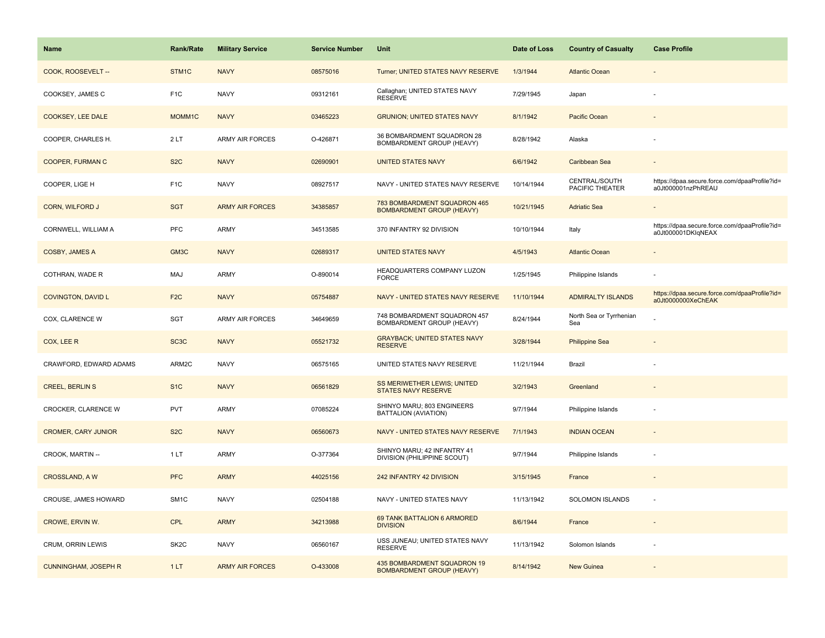| <b>Name</b>                 | Rank/Rate         | <b>Military Service</b> | <b>Service Number</b> | Unit                                                             | Date of Loss | <b>Country of Casualty</b>       | <b>Case Profile</b>                                                 |
|-----------------------------|-------------------|-------------------------|-----------------------|------------------------------------------------------------------|--------------|----------------------------------|---------------------------------------------------------------------|
| COOK, ROOSEVELT --          | STM1C             | <b>NAVY</b>             | 08575016              | Turner; UNITED STATES NAVY RESERVE                               | 1/3/1944     | <b>Atlantic Ocean</b>            |                                                                     |
| COOKSEY, JAMES C            | F <sub>1</sub> C  | <b>NAVY</b>             | 09312161              | Callaghan; UNITED STATES NAVY<br><b>RESERVE</b>                  | 7/29/1945    | Japan                            |                                                                     |
| <b>COOKSEY, LEE DALE</b>    | MOMM1C            | <b>NAVY</b>             | 03465223              | <b>GRUNION; UNITED STATES NAVY</b>                               | 8/1/1942     | Pacific Ocean                    |                                                                     |
| COOPER, CHARLES H.          | 2LT               | <b>ARMY AIR FORCES</b>  | O-426871              | 36 BOMBARDMENT SQUADRON 28<br><b>BOMBARDMENT GROUP (HEAVY)</b>   | 8/28/1942    | Alaska                           |                                                                     |
| <b>COOPER, FURMAN C</b>     | S <sub>2</sub> C  | <b>NAVY</b>             | 02690901              | <b>UNITED STATES NAVY</b>                                        | 6/6/1942     | Caribbean Sea                    |                                                                     |
| COOPER, LIGE H              | F <sub>1</sub> C  | <b>NAVY</b>             | 08927517              | NAVY - UNITED STATES NAVY RESERVE                                | 10/14/1944   | CENTRAL/SOUTH<br>PACIFIC THEATER | https://dpaa.secure.force.com/dpaaProfile?id=<br>a0Jt000001nzPhREAU |
| <b>CORN, WILFORD J</b>      | <b>SGT</b>        | <b>ARMY AIR FORCES</b>  | 34385857              | 783 BOMBARDMENT SQUADRON 465<br><b>BOMBARDMENT GROUP (HEAVY)</b> | 10/21/1945   | <b>Adriatic Sea</b>              |                                                                     |
| CORNWELL, WILLIAM A         | <b>PFC</b>        | ARMY                    | 34513585              | 370 INFANTRY 92 DIVISION                                         | 10/10/1944   | Italy                            | https://dpaa.secure.force.com/dpaaProfile?id=<br>a0Jt000001DKIqNEAX |
| COSBY, JAMES A              | GM3C              | <b>NAVY</b>             | 02689317              | <b>UNITED STATES NAVY</b>                                        | 4/5/1943     | <b>Atlantic Ocean</b>            |                                                                     |
| COTHRAN, WADE R             | <b>MAJ</b>        | ARMY                    | O-890014              | HEADQUARTERS COMPANY LUZON<br><b>FORCE</b>                       | 1/25/1945    | Philippine Islands               |                                                                     |
| <b>COVINGTON, DAVID L</b>   | F <sub>2</sub> C  | <b>NAVY</b>             | 05754887              | NAVY - UNITED STATES NAVY RESERVE                                | 11/10/1944   | <b>ADMIRALTY ISLANDS</b>         | https://dpaa.secure.force.com/dpaaProfile?id=<br>a0Jt0000000XeChEAK |
| COX, CLARENCE W             | SGT               | <b>ARMY AIR FORCES</b>  | 34649659              | 748 BOMBARDMENT SQUADRON 457<br>BOMBARDMENT GROUP (HEAVY)        | 8/24/1944    | North Sea or Tyrrhenian<br>Sea   |                                                                     |
| COX, LEE R                  | SC <sub>3</sub> C | <b>NAVY</b>             | 05521732              | <b>GRAYBACK: UNITED STATES NAVY</b><br><b>RESERVE</b>            | 3/28/1944    | <b>Philippine Sea</b>            |                                                                     |
| CRAWFORD, EDWARD ADAMS      | ARM2C             | <b>NAVY</b>             | 06575165              | UNITED STATES NAVY RESERVE                                       | 11/21/1944   | Brazil                           |                                                                     |
| <b>CREEL, BERLIN S</b>      | S <sub>1</sub> C  | <b>NAVY</b>             | 06561829              | SS MERIWETHER LEWIS; UNITED<br><b>STATES NAVY RESERVE</b>        | 3/2/1943     | Greenland                        |                                                                     |
| CROCKER, CLARENCE W         | <b>PVT</b>        | ARMY                    | 07085224              | SHINYO MARU; 803 ENGINEERS<br>BATTALION (AVIATION)               | 9/7/1944     | Philippine Islands               |                                                                     |
| <b>CROMER, CARY JUNIOR</b>  | S <sub>2</sub> C  | <b>NAVY</b>             | 06560673              | NAVY - UNITED STATES NAVY RESERVE                                | 7/1/1943     | <b>INDIAN OCEAN</b>              |                                                                     |
| CROOK, MARTIN --            | 1LT               | <b>ARMY</b>             | O-377364              | SHINYO MARU; 42 INFANTRY 41<br>DIVISION (PHILIPPINE SCOUT)       | 9/7/1944     | Philippine Islands               |                                                                     |
| <b>CROSSLAND, AW</b>        | <b>PFC</b>        | <b>ARMY</b>             | 44025156              | 242 INFANTRY 42 DIVISION                                         | 3/15/1945    | France                           |                                                                     |
| CROUSE, JAMES HOWARD        | SM <sub>1</sub> C | <b>NAVY</b>             | 02504188              | NAVY - UNITED STATES NAVY                                        | 11/13/1942   | SOLOMON ISLANDS                  |                                                                     |
| CROWE, ERVIN W.             | <b>CPL</b>        | <b>ARMY</b>             | 34213988              | 69 TANK BATTALION 6 ARMORED<br><b>DIVISION</b>                   | 8/6/1944     | France                           | $\overline{\phantom{a}}$                                            |
| CRUM, ORRIN LEWIS           | SK <sub>2</sub> C | <b>NAVY</b>             | 06560167              | USS JUNEAU; UNITED STATES NAVY<br><b>RESERVE</b>                 | 11/13/1942   | Solomon Islands                  |                                                                     |
| <b>CUNNINGHAM, JOSEPH R</b> | 1LT               | <b>ARMY AIR FORCES</b>  | O-433008              | 435 BOMBARDMENT SQUADRON 19<br><b>BOMBARDMENT GROUP (HEAVY)</b>  | 8/14/1942    | <b>New Guinea</b>                |                                                                     |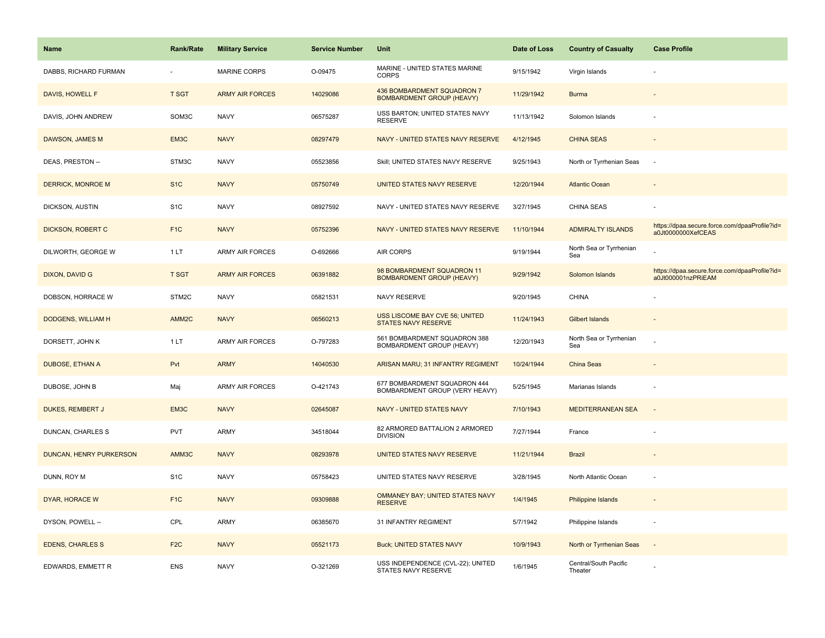| <b>Name</b>              | <b>Rank/Rate</b>  | <b>Military Service</b> | <b>Service Number</b> | Unit                                                           | Date of Loss | <b>Country of Casualty</b>       | <b>Case Profile</b>                                                 |
|--------------------------|-------------------|-------------------------|-----------------------|----------------------------------------------------------------|--------------|----------------------------------|---------------------------------------------------------------------|
| DABBS, RICHARD FURMAN    |                   | <b>MARINE CORPS</b>     | O-09475               | MARINE - UNITED STATES MARINE<br><b>CORPS</b>                  | 9/15/1942    | Virgin Islands                   |                                                                     |
| DAVIS, HOWELL F          | <b>T SGT</b>      | <b>ARMY AIR FORCES</b>  | 14029086              | 436 BOMBARDMENT SQUADRON 7<br><b>BOMBARDMENT GROUP (HEAVY)</b> | 11/29/1942   | <b>Burma</b>                     |                                                                     |
| DAVIS, JOHN ANDREW       | SOM3C             | <b>NAVY</b>             | 06575287              | USS BARTON; UNITED STATES NAVY<br><b>RESERVE</b>               | 11/13/1942   | Solomon Islands                  |                                                                     |
| DAWSON, JAMES M          | EM3C              | <b>NAVY</b>             | 08297479              | NAVY - UNITED STATES NAVY RESERVE                              | 4/12/1945    | <b>CHINA SEAS</b>                |                                                                     |
| DEAS, PRESTON --         | STM3C             | <b>NAVY</b>             | 05523856              | Skill; UNITED STATES NAVY RESERVE                              | 9/25/1943    | North or Tyrrhenian Seas         | $\sim$                                                              |
| <b>DERRICK, MONROE M</b> | S <sub>1</sub> C  | <b>NAVY</b>             | 05750749              | UNITED STATES NAVY RESERVE                                     | 12/20/1944   | <b>Atlantic Ocean</b>            |                                                                     |
| DICKSON, AUSTIN          | S <sub>1</sub> C  | <b>NAVY</b>             | 08927592              | NAVY - UNITED STATES NAVY RESERVE                              | 3/27/1945    | CHINA SEAS                       |                                                                     |
| DICKSON, ROBERT C        | F <sub>1</sub> C  | <b>NAVY</b>             | 05752396              | NAVY - UNITED STATES NAVY RESERVE                              | 11/10/1944   | <b>ADMIRALTY ISLANDS</b>         | https://dpaa.secure.force.com/dpaaProfile?id=<br>a0Jt0000000XefCEAS |
| DILWORTH, GEORGE W       | 1LT               | <b>ARMY AIR FORCES</b>  | O-692666              | AIR CORPS                                                      | 9/19/1944    | North Sea or Tyrrhenian<br>Sea   |                                                                     |
| <b>DIXON, DAVID G</b>    | <b>T SGT</b>      | <b>ARMY AIR FORCES</b>  | 06391882              | 98 BOMBARDMENT SQUADRON 11<br><b>BOMBARDMENT GROUP (HEAVY)</b> | 9/29/1942    | Solomon Islands                  | https://dpaa.secure.force.com/dpaaProfile?id=<br>a0Jt000001nzPRiEAM |
| DOBSON, HORRACE W        | STM2C             | <b>NAVY</b>             | 05821531              | NAVY RESERVE                                                   | 9/20/1945    | <b>CHINA</b>                     |                                                                     |
| DODGENS, WILLIAM H       | AMM <sub>2C</sub> | <b>NAVY</b>             | 06560213              | USS LISCOME BAY CVE 56; UNITED<br><b>STATES NAVY RESERVE</b>   | 11/24/1943   | <b>Gilbert Islands</b>           |                                                                     |
| DORSETT, JOHN K          | 1LT               | <b>ARMY AIR FORCES</b>  | O-797283              | 561 BOMBARDMENT SQUADRON 388<br>BOMBARDMENT GROUP (HEAVY)      | 12/20/1943   | North Sea or Tyrrhenian<br>Sea   |                                                                     |
| DUBOSE, ETHAN A          | Pvt               | <b>ARMY</b>             | 14040530              | ARISAN MARU; 31 INFANTRY REGIMENT                              | 10/24/1944   | China Seas                       |                                                                     |
| DUBOSE, JOHN B           | Maj               | <b>ARMY AIR FORCES</b>  | O-421743              | 677 BOMBARDMENT SQUADRON 444<br>BOMBARDMENT GROUP (VERY HEAVY) | 5/25/1945    | Marianas Islands                 |                                                                     |
| <b>DUKES, REMBERT J</b>  | EM3C              | <b>NAVY</b>             | 02645087              | NAVY - UNITED STATES NAVY                                      | 7/10/1943    | <b>MEDITERRANEAN SEA</b>         |                                                                     |
| <b>DUNCAN, CHARLES S</b> | <b>PVT</b>        | <b>ARMY</b>             | 34518044              | 82 ARMORED BATTALION 2 ARMORED<br><b>DIVISION</b>              | 7/27/1944    | France                           |                                                                     |
| DUNCAN, HENRY PURKERSON  | AMM3C             | <b>NAVY</b>             | 08293978              | UNITED STATES NAVY RESERVE                                     | 11/21/1944   | <b>Brazil</b>                    |                                                                     |
| DUNN, ROY M              | S <sub>1</sub> C  | <b>NAVY</b>             | 05758423              | UNITED STATES NAVY RESERVE                                     | 3/28/1945    | North Atlantic Ocean             | $\sim$                                                              |
| DYAR, HORACE W           | F <sub>1</sub> C  | <b>NAVY</b>             | 09309888              | OMMANEY BAY; UNITED STATES NAVY<br><b>RESERVE</b>              | 1/4/1945     | Philippine Islands               |                                                                     |
| DYSON, POWELL --         | CPL               | ARMY                    | 06385670              | 31 INFANTRY REGIMENT                                           | 5/7/1942     | Philippine Islands               | $\sim$                                                              |
| <b>EDENS, CHARLES S</b>  | F <sub>2</sub> C  | <b>NAVY</b>             | 05521173              | <b>Buck; UNITED STATES NAVY</b>                                | 10/9/1943    | North or Tyrrhenian Seas         | $\sim$                                                              |
| EDWARDS, EMMETT R        | <b>ENS</b>        | <b>NAVY</b>             | O-321269              | USS INDEPENDENCE (CVL-22); UNITED<br>STATES NAVY RESERVE       | 1/6/1945     | Central/South Pacific<br>Theater |                                                                     |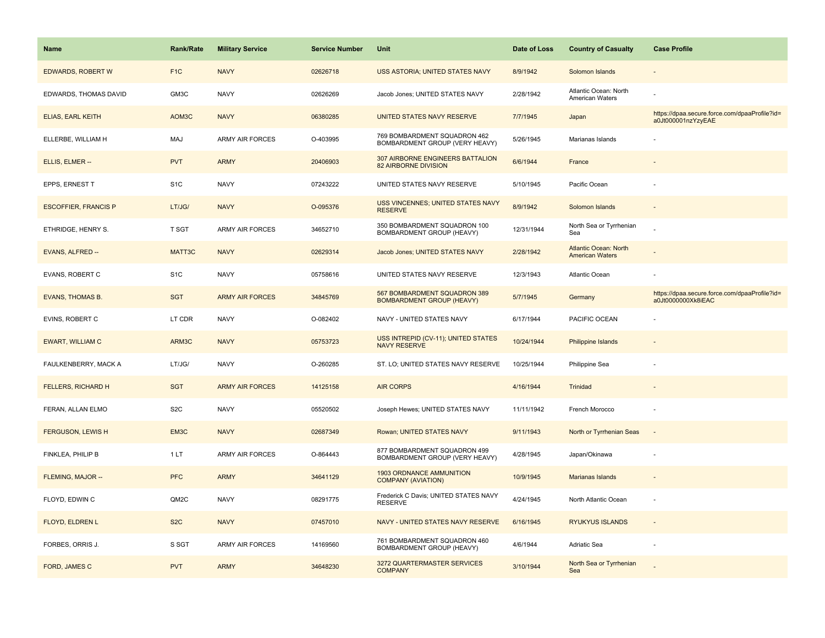| <b>Name</b>                 | <b>Rank/Rate</b> | <b>Military Service</b> | <b>Service Number</b> | Unit                                                             | Date of Loss | <b>Country of Casualty</b>                             | <b>Case Profile</b>                                                 |
|-----------------------------|------------------|-------------------------|-----------------------|------------------------------------------------------------------|--------------|--------------------------------------------------------|---------------------------------------------------------------------|
| <b>EDWARDS, ROBERT W</b>    | F <sub>1</sub> C | <b>NAVY</b>             | 02626718              | USS ASTORIA; UNITED STATES NAVY                                  | 8/9/1942     | Solomon Islands                                        |                                                                     |
| EDWARDS, THOMAS DAVID       | GM3C             | <b>NAVY</b>             | 02626269              | Jacob Jones; UNITED STATES NAVY                                  | 2/28/1942    | Atlantic Ocean: North<br>American Waters               |                                                                     |
| <b>ELIAS, EARL KEITH</b>    | AOM3C            | <b>NAVY</b>             | 06380285              | UNITED STATES NAVY RESERVE                                       | 7/7/1945     | Japan                                                  | https://dpaa.secure.force.com/dpaaProfile?id=<br>a0Jt000001nzYzyEAE |
| ELLERBE, WILLIAM H          | MAJ              | <b>ARMY AIR FORCES</b>  | O-403995              | 769 BOMBARDMENT SQUADRON 462<br>BOMBARDMENT GROUP (VERY HEAVY)   | 5/26/1945    | Marianas Islands                                       |                                                                     |
| ELLIS, ELMER --             | <b>PVT</b>       | <b>ARMY</b>             | 20406903              | 307 AIRBORNE ENGINEERS BATTALION<br>82 AIRBORNE DIVISION         | 6/6/1944     | France                                                 |                                                                     |
| EPPS, ERNEST T              | S <sub>1</sub> C | <b>NAVY</b>             | 07243222              | UNITED STATES NAVY RESERVE                                       | 5/10/1945    | Pacific Ocean                                          |                                                                     |
| <b>ESCOFFIER, FRANCIS P</b> | LT/JG/           | <b>NAVY</b>             | O-095376              | USS VINCENNES; UNITED STATES NAVY<br><b>RESERVE</b>              | 8/9/1942     | Solomon Islands                                        |                                                                     |
| ETHRIDGE, HENRY S.          | <b>T SGT</b>     | ARMY AIR FORCES         | 34652710              | 350 BOMBARDMENT SQUADRON 100<br>BOMBARDMENT GROUP (HEAVY)        | 12/31/1944   | North Sea or Tyrrhenian<br>Sea                         |                                                                     |
| EVANS, ALFRED --            | MATT3C           | <b>NAVY</b>             | 02629314              | Jacob Jones; UNITED STATES NAVY                                  | 2/28/1942    | <b>Atlantic Ocean: North</b><br><b>American Waters</b> |                                                                     |
| EVANS, ROBERT C             | S <sub>1</sub> C | <b>NAVY</b>             | 05758616              | UNITED STATES NAVY RESERVE                                       | 12/3/1943    | Atlantic Ocean                                         |                                                                     |
| <b>EVANS, THOMAS B.</b>     | <b>SGT</b>       | <b>ARMY AIR FORCES</b>  | 34845769              | 567 BOMBARDMENT SQUADRON 389<br><b>BOMBARDMENT GROUP (HEAVY)</b> | 5/7/1945     | Germany                                                | https://dpaa.secure.force.com/dpaaProfile?id=<br>a0Jt0000000Xk8iEAC |
| <b>EVINS, ROBERT C</b>      | LT CDR           | <b>NAVY</b>             | O-082402              | NAVY - UNITED STATES NAVY                                        | 6/17/1944    | PACIFIC OCEAN                                          |                                                                     |
| <b>EWART, WILLIAM C</b>     | ARM3C            | <b>NAVY</b>             | 05753723              | USS INTREPID (CV-11); UNITED STATES<br><b>NAVY RESERVE</b>       | 10/24/1944   | Philippine Islands                                     |                                                                     |
| FAULKENBERRY, MACK A        | LT/JG/           | <b>NAVY</b>             | O-260285              | ST. LO; UNITED STATES NAVY RESERVE                               | 10/25/1944   | Philippine Sea                                         |                                                                     |
| <b>FELLERS, RICHARD H</b>   | <b>SGT</b>       | <b>ARMY AIR FORCES</b>  | 14125158              | <b>AIR CORPS</b>                                                 | 4/16/1944    | Trinidad                                               |                                                                     |
| FERAN, ALLAN ELMO           | S <sub>2</sub> C | <b>NAVY</b>             | 05520502              | Joseph Hewes; UNITED STATES NAVY                                 | 11/11/1942   | French Morocco                                         |                                                                     |
| <b>FERGUSON, LEWIS H</b>    | EM3C             | <b>NAVY</b>             | 02687349              | Rowan; UNITED STATES NAVY                                        | 9/11/1943    | North or Tyrrhenian Seas                               | $\overline{\phantom{a}}$                                            |
| FINKLEA, PHILIP B           | 1LT              | ARMY AIR FORCES         | O-864443              | 877 BOMBARDMENT SQUADRON 499<br>BOMBARDMENT GROUP (VERY HEAVY)   | 4/28/1945    | Japan/Okinawa                                          |                                                                     |
| FLEMING, MAJOR --           | <b>PFC</b>       | <b>ARMY</b>             | 34641129              | <b>1903 ORDNANCE AMMUNITION</b><br><b>COMPANY (AVIATION)</b>     | 10/9/1945    | <b>Marianas Islands</b>                                |                                                                     |
| FLOYD, EDWIN C              | QM2C             | <b>NAVY</b>             | 08291775              | Frederick C Davis; UNITED STATES NAVY<br><b>RESERVE</b>          | 4/24/1945    | North Atlantic Ocean                                   |                                                                     |
| FLOYD, ELDREN L             | S <sub>2</sub> C | <b>NAVY</b>             | 07457010              | NAVY - UNITED STATES NAVY RESERVE                                | 6/16/1945    | <b>RYUKYUS ISLANDS</b>                                 |                                                                     |
| FORBES, ORRIS J.            | S SGT            | ARMY AIR FORCES         | 14169560              | 761 BOMBARDMENT SQUADRON 460<br>BOMBARDMENT GROUP (HEAVY)        | 4/6/1944     | Adriatic Sea                                           |                                                                     |
| FORD, JAMES C               | <b>PVT</b>       | <b>ARMY</b>             | 34648230              | 3272 QUARTERMASTER SERVICES<br><b>COMPANY</b>                    | 3/10/1944    | North Sea or Tyrrhenian<br>Sea                         |                                                                     |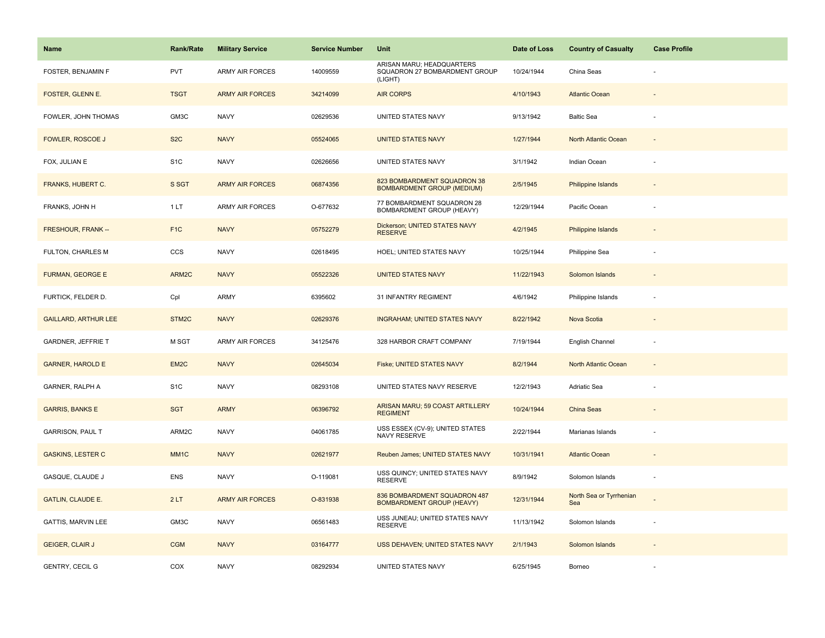| Name                        | <b>Rank/Rate</b>  | <b>Military Service</b> | <b>Service Number</b> | Unit                                                                  | Date of Loss | <b>Country of Casualty</b>     | <b>Case Profile</b>      |
|-----------------------------|-------------------|-------------------------|-----------------------|-----------------------------------------------------------------------|--------------|--------------------------------|--------------------------|
| FOSTER, BENJAMIN F          | <b>PVT</b>        | <b>ARMY AIR FORCES</b>  | 14009559              | ARISAN MARU; HEADQUARTERS<br>SQUADRON 27 BOMBARDMENT GROUP<br>(LIGHT) | 10/24/1944   | China Seas                     |                          |
| FOSTER, GLENN E.            | <b>TSGT</b>       | <b>ARMY AIR FORCES</b>  | 34214099              | <b>AIR CORPS</b>                                                      | 4/10/1943    | <b>Atlantic Ocean</b>          |                          |
| FOWLER, JOHN THOMAS         | GM3C              | <b>NAVY</b>             | 02629536              | UNITED STATES NAVY                                                    | 9/13/1942    | <b>Baltic Sea</b>              |                          |
| <b>FOWLER, ROSCOE J</b>     | S <sub>2</sub> C  | <b>NAVY</b>             | 05524065              | <b>UNITED STATES NAVY</b>                                             | 1/27/1944    | <b>North Atlantic Ocean</b>    |                          |
| FOX, JULIAN E               | S <sub>1</sub> C  | <b>NAVY</b>             | 02626656              | UNITED STATES NAVY                                                    | 3/1/1942     | Indian Ocean                   |                          |
| FRANKS, HUBERT C.           | S SGT             | <b>ARMY AIR FORCES</b>  | 06874356              | 823 BOMBARDMENT SQUADRON 38<br><b>BOMBARDMENT GROUP (MEDIUM)</b>      | 2/5/1945     | Philippine Islands             |                          |
| FRANKS, JOHN H              | 1 LT              | ARMY AIR FORCES         | O-677632              | 77 BOMBARDMENT SQUADRON 28<br><b>BOMBARDMENT GROUP (HEAVY)</b>        | 12/29/1944   | Pacific Ocean                  |                          |
| FRESHOUR, FRANK --          | F <sub>1C</sub>   | <b>NAVY</b>             | 05752279              | Dickerson; UNITED STATES NAVY<br><b>RESERVE</b>                       | 4/2/1945     | <b>Philippine Islands</b>      |                          |
| <b>FULTON, CHARLES M</b>    | <b>CCS</b>        | <b>NAVY</b>             | 02618495              | HOEL; UNITED STATES NAVY                                              | 10/25/1944   | Philippine Sea                 |                          |
| <b>FURMAN, GEORGE E</b>     | ARM2C             | <b>NAVY</b>             | 05522326              | <b>UNITED STATES NAVY</b>                                             | 11/22/1943   | Solomon Islands                |                          |
| FURTICK, FELDER D.          | Cpl               | <b>ARMY</b>             | 6395602               | 31 INFANTRY REGIMENT                                                  | 4/6/1942     | Philippine Islands             |                          |
| <b>GAILLARD, ARTHUR LEE</b> | STM <sub>2C</sub> | <b>NAVY</b>             | 02629376              | <b>INGRAHAM; UNITED STATES NAVY</b>                                   | 8/22/1942    | Nova Scotia                    |                          |
| <b>GARDNER, JEFFRIE T</b>   | M SGT             | ARMY AIR FORCES         | 34125476              | 328 HARBOR CRAFT COMPANY                                              | 7/19/1944    | English Channel                | $\overline{\phantom{a}}$ |
| <b>GARNER, HAROLD E</b>     | EM <sub>2</sub> C | <b>NAVY</b>             | 02645034              | <b>Fiske; UNITED STATES NAVY</b>                                      | 8/2/1944     | North Atlantic Ocean           |                          |
| GARNER, RALPH A             | S <sub>1</sub> C  | <b>NAVY</b>             | 08293108              | UNITED STATES NAVY RESERVE                                            | 12/2/1943    | Adriatic Sea                   |                          |
| <b>GARRIS, BANKS E</b>      | <b>SGT</b>        | <b>ARMY</b>             | 06396792              | ARISAN MARU; 59 COAST ARTILLERY<br><b>REGIMENT</b>                    | 10/24/1944   | China Seas                     |                          |
| <b>GARRISON, PAUL T</b>     | ARM2C             | <b>NAVY</b>             | 04061785              | USS ESSEX (CV-9); UNITED STATES<br>NAVY RESERVE                       | 2/22/1944    | Marianas Islands               |                          |
| <b>GASKINS, LESTER C</b>    | MM <sub>1</sub> C | <b>NAVY</b>             | 02621977              | Reuben James; UNITED STATES NAVY                                      | 10/31/1941   | <b>Atlantic Ocean</b>          |                          |
| GASQUE, CLAUDE J            | ENS               | <b>NAVY</b>             | O-119081              | USS QUINCY; UNITED STATES NAVY<br><b>RESERVE</b>                      | 8/9/1942     | Solomon Islands                | ×.                       |
| <b>GATLIN, CLAUDE E.</b>    | 2LT               | <b>ARMY AIR FORCES</b>  | O-831938              | 836 BOMBARDMENT SQUADRON 487<br><b>BOMBARDMENT GROUP (HEAVY)</b>      | 12/31/1944   | North Sea or Tyrrhenian<br>Sea |                          |
| <b>GATTIS, MARVIN LEE</b>   | GM3C              | <b>NAVY</b>             | 06561483              | USS JUNEAU; UNITED STATES NAVY<br><b>RESERVE</b>                      | 11/13/1942   | Solomon Islands                |                          |
| <b>GEIGER, CLAIR J</b>      | <b>CGM</b>        | <b>NAVY</b>             | 03164777              | USS DEHAVEN; UNITED STATES NAVY                                       | 2/1/1943     | Solomon Islands                |                          |
| <b>GENTRY, CECIL G</b>      | COX               | <b>NAVY</b>             | 08292934              | UNITED STATES NAVY                                                    | 6/25/1945    | Borneo                         |                          |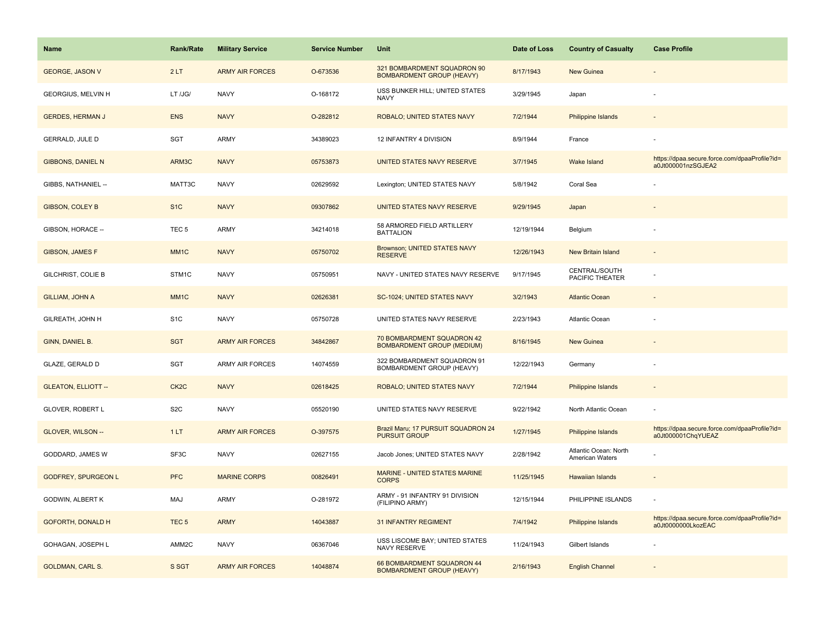| <b>Name</b>                | <b>Rank/Rate</b>  | <b>Military Service</b> | <b>Service Number</b> | Unit                                                            | Date of Loss | <b>Country of Casualty</b>               | <b>Case Profile</b>                                                 |
|----------------------------|-------------------|-------------------------|-----------------------|-----------------------------------------------------------------|--------------|------------------------------------------|---------------------------------------------------------------------|
| <b>GEORGE, JASON V</b>     | 2LT               | <b>ARMY AIR FORCES</b>  | O-673536              | 321 BOMBARDMENT SQUADRON 90<br><b>BOMBARDMENT GROUP (HEAVY)</b> | 8/17/1943    | <b>New Guinea</b>                        |                                                                     |
| GEORGIUS, MELVIN H         | LT /JG/           | <b>NAVY</b>             | O-168172              | USS BUNKER HILL; UNITED STATES<br><b>NAVY</b>                   | 3/29/1945    | Japan                                    |                                                                     |
| <b>GERDES, HERMAN J</b>    | <b>ENS</b>        | <b>NAVY</b>             | O-282812              | ROBALO; UNITED STATES NAVY                                      | 7/2/1944     | <b>Philippine Islands</b>                |                                                                     |
| GERRALD, JULE D            | SGT               | <b>ARMY</b>             | 34389023              | 12 INFANTRY 4 DIVISION                                          | 8/9/1944     | France                                   |                                                                     |
| <b>GIBBONS, DANIEL N</b>   | ARM3C             | <b>NAVY</b>             | 05753873              | UNITED STATES NAVY RESERVE                                      | 3/7/1945     | <b>Wake Island</b>                       | https://dpaa.secure.force.com/dpaaProfile?id=<br>a0Jt000001nzSGJEA2 |
| GIBBS, NATHANIEL --        | MATT3C            | <b>NAVY</b>             | 02629592              | Lexington; UNITED STATES NAVY                                   | 5/8/1942     | Coral Sea                                |                                                                     |
| <b>GIBSON, COLEY B</b>     | S <sub>1</sub> C  | <b>NAVY</b>             | 09307862              | <b>UNITED STATES NAVY RESERVE</b>                               | 9/29/1945    | Japan                                    |                                                                     |
| GIBSON, HORACE --          | TEC <sub>5</sub>  | <b>ARMY</b>             | 34214018              | 58 ARMORED FIELD ARTILLERY<br><b>BATTALION</b>                  | 12/19/1944   | Belgium                                  |                                                                     |
| <b>GIBSON, JAMES F</b>     | MM <sub>1</sub> C | <b>NAVY</b>             | 05750702              | Brownson; UNITED STATES NAVY<br><b>RESERVE</b>                  | 12/26/1943   | <b>New Britain Island</b>                |                                                                     |
| <b>GILCHRIST, COLIE B</b>  | STM1C             | <b>NAVY</b>             | 05750951              | NAVY - UNITED STATES NAVY RESERVE                               | 9/17/1945    | CENTRAL/SOUTH<br>PACIFIC THEATER         |                                                                     |
| GILLIAM, JOHN A            | MM <sub>1C</sub>  | <b>NAVY</b>             | 02626381              | SC-1024; UNITED STATES NAVY                                     | 3/2/1943     | <b>Atlantic Ocean</b>                    |                                                                     |
| GILREATH, JOHN H           | S <sub>1</sub> C  | <b>NAVY</b>             | 05750728              | UNITED STATES NAVY RESERVE                                      | 2/23/1943    | Atlantic Ocean                           |                                                                     |
| GINN, DANIEL B.            | <b>SGT</b>        | <b>ARMY AIR FORCES</b>  | 34842867              | 70 BOMBARDMENT SQUADRON 42<br><b>BOMBARDMENT GROUP (MEDIUM)</b> | 8/16/1945    | <b>New Guinea</b>                        |                                                                     |
| GLAZE, GERALD D            | SGT               | <b>ARMY AIR FORCES</b>  | 14074559              | 322 BOMBARDMENT SQUADRON 91<br>BOMBARDMENT GROUP (HEAVY)        | 12/22/1943   | Germany                                  | ÷,                                                                  |
| <b>GLEATON, ELLIOTT --</b> | CK <sub>2</sub> C | <b>NAVY</b>             | 02618425              | ROBALO; UNITED STATES NAVY                                      | 7/2/1944     | Philippine Islands                       | $\sim$                                                              |
| GLOVER, ROBERT L           | S <sub>2</sub> C  | <b>NAVY</b>             | 05520190              | UNITED STATES NAVY RESERVE                                      | 9/22/1942    | North Atlantic Ocean                     |                                                                     |
| GLOVER, WILSON --          | 1LT               | <b>ARMY AIR FORCES</b>  | O-397575              | Brazil Maru; 17 PURSUIT SQUADRON 24<br><b>PURSUIT GROUP</b>     | 1/27/1945    | Philippine Islands                       | https://dpaa.secure.force.com/dpaaProfile?id=<br>a0Jt000001ChqYUEAZ |
| GODDARD, JAMES W           | SF3C              | <b>NAVY</b>             | 02627155              | Jacob Jones; UNITED STATES NAVY                                 | 2/28/1942    | Atlantic Ocean: North<br>American Waters |                                                                     |
| <b>GODFREY, SPURGEON L</b> | <b>PFC</b>        | <b>MARINE CORPS</b>     | 00826491              | <b>MARINE - UNITED STATES MARINE</b><br><b>CORPS</b>            | 11/25/1945   | Hawaiian Islands                         |                                                                     |
| GODWIN, ALBERT K           | MAJ               | <b>ARMY</b>             | O-281972              | ARMY - 91 INFANTRY 91 DIVISION<br>(FILIPINO ARMY)               | 12/15/1944   | PHILIPPINE ISLANDS                       |                                                                     |
| <b>GOFORTH, DONALD H</b>   | TEC <sub>5</sub>  | <b>ARMY</b>             | 14043887              | <b>31 INFANTRY REGIMENT</b>                                     | 7/4/1942     | Philippine Islands                       | https://dpaa.secure.force.com/dpaaProfile?id=<br>a0Jt0000000LkozEAC |
| GOHAGAN, JOSEPH L          | AMM <sub>2C</sub> | <b>NAVY</b>             | 06367046              | USS LISCOME BAY; UNITED STATES<br>NAVY RESERVE                  | 11/24/1943   | Gilbert Islands                          |                                                                     |
| <b>GOLDMAN, CARL S.</b>    | S SGT             | <b>ARMY AIR FORCES</b>  | 14048874              | 66 BOMBARDMENT SQUADRON 44<br><b>BOMBARDMENT GROUP (HEAVY)</b>  | 2/16/1943    | <b>English Channel</b>                   |                                                                     |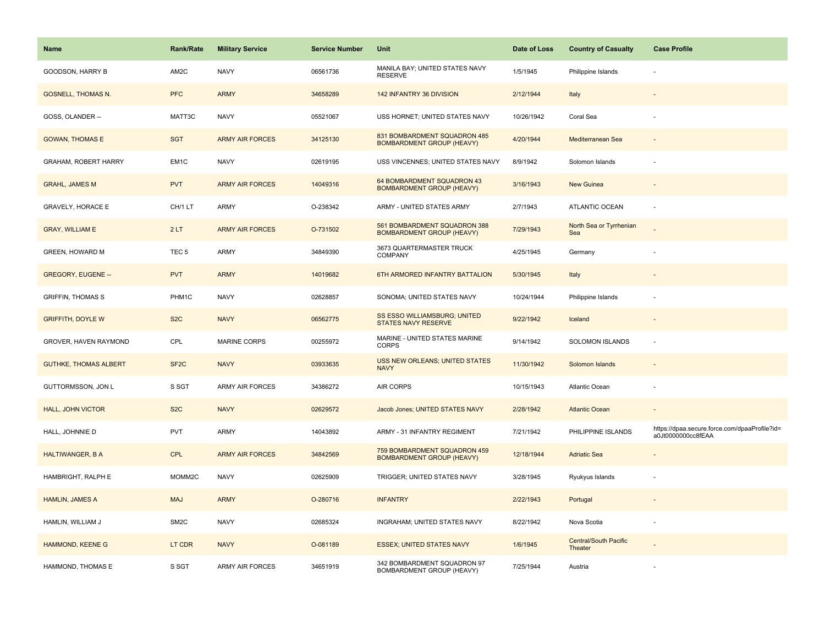| <b>Name</b>                  | <b>Rank/Rate</b>  | <b>Military Service</b> | <b>Service Number</b> | Unit                                                             | Date of Loss | <b>Country of Casualty</b>              | <b>Case Profile</b>                                                 |
|------------------------------|-------------------|-------------------------|-----------------------|------------------------------------------------------------------|--------------|-----------------------------------------|---------------------------------------------------------------------|
| GOODSON, HARRY B             | AM2C              | <b>NAVY</b>             | 06561736              | MANILA BAY; UNITED STATES NAVY<br><b>RESERVE</b>                 | 1/5/1945     | Philippine Islands                      |                                                                     |
| <b>GOSNELL, THOMAS N.</b>    | <b>PFC</b>        | <b>ARMY</b>             | 34658289              | 142 INFANTRY 36 DIVISION                                         | 2/12/1944    | Italy                                   |                                                                     |
| GOSS, OLANDER --             | MATT3C            | <b>NAVY</b>             | 05521067              | USS HORNET; UNITED STATES NAVY                                   | 10/26/1942   | Coral Sea                               |                                                                     |
| <b>GOWAN, THOMAS E</b>       | <b>SGT</b>        | <b>ARMY AIR FORCES</b>  | 34125130              | 831 BOMBARDMENT SQUADRON 485<br><b>BOMBARDMENT GROUP (HEAVY)</b> | 4/20/1944    | Mediterranean Sea                       |                                                                     |
| <b>GRAHAM, ROBERT HARRY</b>  | EM1C              | <b>NAVY</b>             | 02619195              | USS VINCENNES; UNITED STATES NAVY                                | 8/9/1942     | Solomon Islands                         |                                                                     |
| <b>GRAHL, JAMES M</b>        | <b>PVT</b>        | <b>ARMY AIR FORCES</b>  | 14049316              | 64 BOMBARDMENT SQUADRON 43<br><b>BOMBARDMENT GROUP (HEAVY)</b>   | 3/16/1943    | <b>New Guinea</b>                       |                                                                     |
| <b>GRAVELY, HORACE E</b>     | CH/1 LT           | <b>ARMY</b>             | O-238342              | ARMY - UNITED STATES ARMY                                        | 2/7/1943     | ATLANTIC OCEAN                          |                                                                     |
| <b>GRAY, WILLIAM E</b>       | 2LT               | <b>ARMY AIR FORCES</b>  | O-731502              | 561 BOMBARDMENT SQUADRON 388<br><b>BOMBARDMENT GROUP (HEAVY)</b> | 7/29/1943    | North Sea or Tyrrhenian<br>Sea          |                                                                     |
| GREEN, HOWARD M              | TEC <sub>5</sub>  | <b>ARMY</b>             | 34849390              | 3673 QUARTERMASTER TRUCK<br><b>COMPANY</b>                       | 4/25/1945    | Germany                                 |                                                                     |
| <b>GREGORY, EUGENE --</b>    | <b>PVT</b>        | <b>ARMY</b>             | 14019682              | 6TH ARMORED INFANTRY BATTALION                                   | 5/30/1945    | Italy                                   |                                                                     |
| <b>GRIFFIN, THOMAS S</b>     | PHM1C             | <b>NAVY</b>             | 02628857              | SONOMA; UNITED STATES NAVY                                       | 10/24/1944   | Philippine Islands                      |                                                                     |
| <b>GRIFFITH, DOYLE W</b>     | S <sub>2</sub> C  | <b>NAVY</b>             | 06562775              | SS ESSO WILLIAMSBURG; UNITED<br><b>STATES NAVY RESERVE</b>       | 9/22/1942    | Iceland                                 |                                                                     |
| GROVER, HAVEN RAYMOND        | CPL               | <b>MARINE CORPS</b>     | 00255972              | MARINE - UNITED STATES MARINE<br><b>CORPS</b>                    | 9/14/1942    | <b>SOLOMON ISLANDS</b>                  |                                                                     |
| <b>GUTHKE, THOMAS ALBERT</b> | SF <sub>2</sub> C | <b>NAVY</b>             | 03933635              | USS NEW ORLEANS; UNITED STATES<br><b>NAVY</b>                    | 11/30/1942   | Solomon Islands                         |                                                                     |
| GUTTORMSSON, JON L           | S SGT             | <b>ARMY AIR FORCES</b>  | 34386272              | <b>AIR CORPS</b>                                                 | 10/15/1943   | Atlantic Ocean                          |                                                                     |
| <b>HALL, JOHN VICTOR</b>     | S <sub>2</sub> C  | <b>NAVY</b>             | 02629572              | Jacob Jones; UNITED STATES NAVY                                  | 2/28/1942    | <b>Atlantic Ocean</b>                   | $\sim$                                                              |
| HALL, JOHNNIE D              | PVT               | <b>ARMY</b>             | 14043892              | ARMY - 31 INFANTRY REGIMENT                                      | 7/21/1942    | PHILIPPINE ISLANDS                      | https://dpaa.secure.force.com/dpaaProfile?id=<br>a0Jt0000000cc8fEAA |
| <b>HALTIWANGER, B A</b>      | <b>CPL</b>        | <b>ARMY AIR FORCES</b>  | 34842569              | 759 BOMBARDMENT SQUADRON 459<br><b>BOMBARDMENT GROUP (HEAVY)</b> | 12/18/1944   | <b>Adriatic Sea</b>                     |                                                                     |
| HAMBRIGHT, RALPH E           | MOMM2C            | <b>NAVY</b>             | 02625909              | TRIGGER; UNITED STATES NAVY                                      | 3/28/1945    | Ryukyus Islands                         |                                                                     |
| <b>HAMLIN, JAMES A</b>       | <b>MAJ</b>        | <b>ARMY</b>             | O-280716              | <b>INFANTRY</b>                                                  | 2/22/1943    | Portugal                                |                                                                     |
| HAMLIN, WILLIAM J            | SM <sub>2</sub> C | <b>NAVY</b>             | 02685324              | INGRAHAM; UNITED STATES NAVY                                     | 8/22/1942    | Nova Scotia                             |                                                                     |
| <b>HAMMOND, KEENE G</b>      | LT CDR            | <b>NAVY</b>             | O-081189              | <b>ESSEX; UNITED STATES NAVY</b>                                 | 1/6/1945     | <b>Central/South Pacific</b><br>Theater |                                                                     |
| HAMMOND, THOMAS E            | S SGT             | ARMY AIR FORCES         | 34651919              | 342 BOMBARDMENT SQUADRON 97<br>BOMBARDMENT GROUP (HEAVY)         | 7/25/1944    | Austria                                 |                                                                     |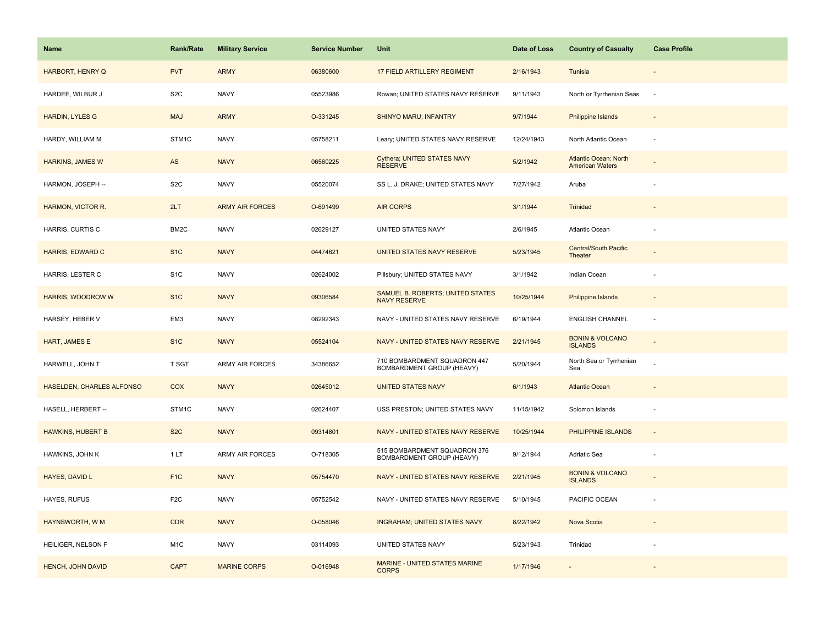| <b>Name</b>                      | <b>Rank/Rate</b> | <b>Military Service</b> | <b>Service Number</b> | Unit                                                      | Date of Loss | <b>Country of Casualty</b>                             | <b>Case Profile</b> |
|----------------------------------|------------------|-------------------------|-----------------------|-----------------------------------------------------------|--------------|--------------------------------------------------------|---------------------|
| HARBORT, HENRY Q                 | <b>PVT</b>       | <b>ARMY</b>             | 06380600              | 17 FIELD ARTILLERY REGIMENT                               | 2/16/1943    | Tunisia                                                |                     |
| HARDEE, WILBUR J                 | S <sub>2</sub> C | <b>NAVY</b>             | 05523986              | Rowan; UNITED STATES NAVY RESERVE                         | 9/11/1943    | North or Tyrrhenian Seas                               | $\sim$              |
| <b>HARDIN, LYLES G</b>           | <b>MAJ</b>       | <b>ARMY</b>             | O-331245              | <b>SHINYO MARU; INFANTRY</b>                              | 9/7/1944     | Philippine Islands                                     |                     |
| HARDY, WILLIAM M                 | STM1C            | <b>NAVY</b>             | 05758211              | Leary; UNITED STATES NAVY RESERVE                         | 12/24/1943   | North Atlantic Ocean                                   |                     |
| <b>HARKINS, JAMES W</b>          | AS               | <b>NAVY</b>             | 06560225              | Cythera; UNITED STATES NAVY<br><b>RESERVE</b>             | 5/2/1942     | <b>Atlantic Ocean: North</b><br><b>American Waters</b> |                     |
| HARMON, JOSEPH --                | S <sub>2</sub> C | <b>NAVY</b>             | 05520074              | SS L. J. DRAKE; UNITED STATES NAVY                        | 7/27/1942    | Aruba                                                  |                     |
| HARMON, VICTOR R.                | 2LT              | <b>ARMY AIR FORCES</b>  | O-691499              | <b>AIR CORPS</b>                                          | 3/1/1944     | Trinidad                                               |                     |
| HARRIS, CURTIS C                 | BM2C             | <b>NAVY</b>             | 02629127              | UNITED STATES NAVY                                        | 2/6/1945     | Atlantic Ocean                                         |                     |
| <b>HARRIS, EDWARD C</b>          | S <sub>1C</sub>  | <b>NAVY</b>             | 04474621              | UNITED STATES NAVY RESERVE                                | 5/23/1945    | <b>Central/South Pacific</b><br>Theater                |                     |
| HARRIS, LESTER C                 | S <sub>1</sub> C | <b>NAVY</b>             | 02624002              | Pillsbury; UNITED STATES NAVY                             | 3/1/1942     | Indian Ocean                                           |                     |
| HARRIS, WOODROW W                | S <sub>1</sub> C | <b>NAVY</b>             | 09306584              | SAMUEL B. ROBERTS; UNITED STATES<br><b>NAVY RESERVE</b>   | 10/25/1944   | Philippine Islands                                     |                     |
| HARSEY, HEBER V                  | EM3              | <b>NAVY</b>             | 08292343              | NAVY - UNITED STATES NAVY RESERVE                         | 6/19/1944    | <b>ENGLISH CHANNEL</b>                                 |                     |
| <b>HART, JAMES E</b>             | S <sub>1C</sub>  | <b>NAVY</b>             | 05524104              | NAVY - UNITED STATES NAVY RESERVE                         | 2/21/1945    | <b>BONIN &amp; VOLCANO</b><br><b>ISLANDS</b>           |                     |
| HARWELL, JOHN T                  | T SGT            | ARMY AIR FORCES         | 34386652              | 710 BOMBARDMENT SQUADRON 447<br>BOMBARDMENT GROUP (HEAVY) | 5/20/1944    | North Sea or Tyrrhenian<br>Sea                         |                     |
| <b>HASELDEN, CHARLES ALFONSO</b> | COX              | <b>NAVY</b>             | 02645012              | <b>UNITED STATES NAVY</b>                                 | 6/1/1943     | <b>Atlantic Ocean</b>                                  |                     |
| HASELL, HERBERT --               | STM1C            | <b>NAVY</b>             | 02624407              | USS PRESTON; UNITED STATES NAVY                           | 11/15/1942   | Solomon Islands                                        |                     |
| <b>HAWKINS, HUBERT B</b>         | S <sub>2</sub> C | <b>NAVY</b>             | 09314801              | NAVY - UNITED STATES NAVY RESERVE                         | 10/25/1944   | PHILIPPINE ISLANDS                                     |                     |
| HAWKINS, JOHN K                  | 1LT              | ARMY AIR FORCES         | O-718305              | 515 BOMBARDMENT SQUADRON 376<br>BOMBARDMENT GROUP (HEAVY) | 9/12/1944    | Adriatic Sea                                           |                     |
| HAYES, DAVID L                   | F <sub>1</sub> C | <b>NAVY</b>             | 05754470              | NAVY - UNITED STATES NAVY RESERVE                         | 2/21/1945    | <b>BONIN &amp; VOLCANO</b><br><b>ISLANDS</b>           |                     |
| HAYES, RUFUS                     | F <sub>2</sub> C | <b>NAVY</b>             | 05752542              | NAVY - UNITED STATES NAVY RESERVE                         | 5/10/1945    | PACIFIC OCEAN                                          |                     |
| HAYNSWORTH, W M                  | <b>CDR</b>       | <b>NAVY</b>             | O-058046              | <b>INGRAHAM; UNITED STATES NAVY</b>                       | 8/22/1942    | Nova Scotia                                            |                     |
| HEILIGER, NELSON F               | M <sub>1</sub> C | <b>NAVY</b>             | 03114093              | UNITED STATES NAVY                                        | 5/23/1943    | Trinidad                                               |                     |
| <b>HENCH, JOHN DAVID</b>         | <b>CAPT</b>      | <b>MARINE CORPS</b>     | O-016948              | MARINE - UNITED STATES MARINE<br><b>CORPS</b>             | 1/17/1946    |                                                        |                     |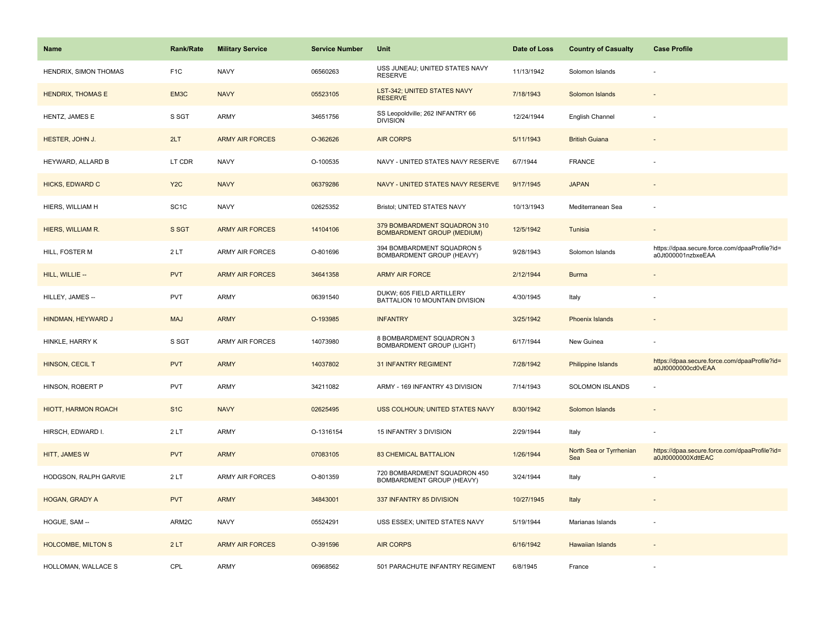| <b>Name</b>                | <b>Rank/Rate</b>  | <b>Military Service</b> | <b>Service Number</b> | Unit                                                              | Date of Loss | <b>Country of Casualty</b>     | <b>Case Profile</b>                                                 |
|----------------------------|-------------------|-------------------------|-----------------------|-------------------------------------------------------------------|--------------|--------------------------------|---------------------------------------------------------------------|
| HENDRIX, SIMON THOMAS      | F <sub>1C</sub>   | <b>NAVY</b>             | 06560263              | USS JUNEAU; UNITED STATES NAVY<br><b>RESERVE</b>                  | 11/13/1942   | Solomon Islands                |                                                                     |
| <b>HENDRIX, THOMAS E</b>   | EM3C              | <b>NAVY</b>             | 05523105              | LST-342; UNITED STATES NAVY<br><b>RESERVE</b>                     | 7/18/1943    | Solomon Islands                |                                                                     |
| HENTZ, JAMES E             | S SGT             | <b>ARMY</b>             | 34651756              | SS Leopoldville; 262 INFANTRY 66<br><b>DIVISION</b>               | 12/24/1944   | English Channel                |                                                                     |
| HESTER, JOHN J.            | 2LT               | <b>ARMY AIR FORCES</b>  | O-362626              | <b>AIR CORPS</b>                                                  | 5/11/1943    | <b>British Guiana</b>          |                                                                     |
| HEYWARD, ALLARD B          | LT CDR            | <b>NAVY</b>             | O-100535              | NAVY - UNITED STATES NAVY RESERVE                                 | 6/7/1944     | <b>FRANCE</b>                  |                                                                     |
| <b>HICKS, EDWARD C</b>     | Y <sub>2</sub> C  | <b>NAVY</b>             | 06379286              | NAVY - UNITED STATES NAVY RESERVE                                 | 9/17/1945    | <b>JAPAN</b>                   |                                                                     |
| HIERS, WILLIAM H           | SC <sub>1</sub> C | <b>NAVY</b>             | 02625352              | Bristol; UNITED STATES NAVY                                       | 10/13/1943   | Mediterranean Sea              |                                                                     |
| HIERS, WILLIAM R.          | S SGT             | <b>ARMY AIR FORCES</b>  | 14104106              | 379 BOMBARDMENT SQUADRON 310<br><b>BOMBARDMENT GROUP (MEDIUM)</b> | 12/5/1942    | Tunisia                        |                                                                     |
| HILL, FOSTER M             | 2LT               | <b>ARMY AIR FORCES</b>  | O-801696              | 394 BOMBARDMENT SQUADRON 5<br><b>BOMBARDMENT GROUP (HEAVY)</b>    | 9/28/1943    | Solomon Islands                | https://dpaa.secure.force.com/dpaaProfile?id=<br>a0Jt000001nzbxeEAA |
| HILL, WILLIE --            | <b>PVT</b>        | <b>ARMY AIR FORCES</b>  | 34641358              | <b>ARMY AIR FORCE</b>                                             | 2/12/1944    | <b>Burma</b>                   |                                                                     |
| HILLEY, JAMES --           | <b>PVT</b>        | <b>ARMY</b>             | 06391540              | DUKW; 605 FIELD ARTILLERY<br>BATTALION 10 MOUNTAIN DIVISION       | 4/30/1945    | Italy                          |                                                                     |
| HINDMAN, HEYWARD J         | <b>MAJ</b>        | <b>ARMY</b>             | O-193985              | <b>INFANTRY</b>                                                   | 3/25/1942    | Phoenix Islands                |                                                                     |
| HINKLE, HARRY K            | S SGT             | <b>ARMY AIR FORCES</b>  | 14073980              | 8 BOMBARDMENT SQUADRON 3<br><b>BOMBARDMENT GROUP (LIGHT)</b>      | 6/17/1944    | New Guinea                     |                                                                     |
| HINSON, CECIL T            | <b>PVT</b>        | <b>ARMY</b>             | 14037802              | <b>31 INFANTRY REGIMENT</b>                                       | 7/28/1942    | <b>Philippine Islands</b>      | https://dpaa.secure.force.com/dpaaProfile?id=<br>a0Jt0000000cd0vEAA |
| HINSON, ROBERT P           | PVT               | <b>ARMY</b>             | 34211082              | ARMY - 169 INFANTRY 43 DIVISION                                   | 7/14/1943    | SOLOMON ISLANDS                |                                                                     |
| <b>HIOTT, HARMON ROACH</b> | S <sub>1</sub> C  | <b>NAVY</b>             | 02625495              | USS COLHOUN; UNITED STATES NAVY                                   | 8/30/1942    | Solomon Islands                |                                                                     |
| HIRSCH, EDWARD I.          | 2LT               | <b>ARMY</b>             | O-1316154             | 15 INFANTRY 3 DIVISION                                            | 2/29/1944    | Italy                          |                                                                     |
| HITT, JAMES W              | <b>PVT</b>        | <b>ARMY</b>             | 07083105              | <b>83 CHEMICAL BATTALION</b>                                      | 1/26/1944    | North Sea or Tyrrhenian<br>Sea | https://dpaa.secure.force.com/dpaaProfile?id=<br>a0Jt0000000XdttEAC |
| HODGSON, RALPH GARVIE      | 2LT               | <b>ARMY AIR FORCES</b>  | O-801359              | 720 BOMBARDMENT SQUADRON 450<br>BOMBARDMENT GROUP (HEAVY)         | 3/24/1944    | Italy                          |                                                                     |
| HOGAN, GRADY A             | <b>PVT</b>        | <b>ARMY</b>             | 34843001              | 337 INFANTRY 85 DIVISION                                          | 10/27/1945   | Italy                          |                                                                     |
| HOGUE, SAM --              | ARM2C             | <b>NAVY</b>             | 05524291              | USS ESSEX; UNITED STATES NAVY                                     | 5/19/1944    | Marianas Islands               |                                                                     |
| <b>HOLCOMBE, MILTON S</b>  | 2LT               | <b>ARMY AIR FORCES</b>  | O-391596              | <b>AIR CORPS</b>                                                  | 6/16/1942    | <b>Hawaiian Islands</b>        |                                                                     |
| HOLLOMAN, WALLACE S        | CPL               | <b>ARMY</b>             | 06968562              | 501 PARACHUTE INFANTRY REGIMENT                                   | 6/8/1945     | France                         |                                                                     |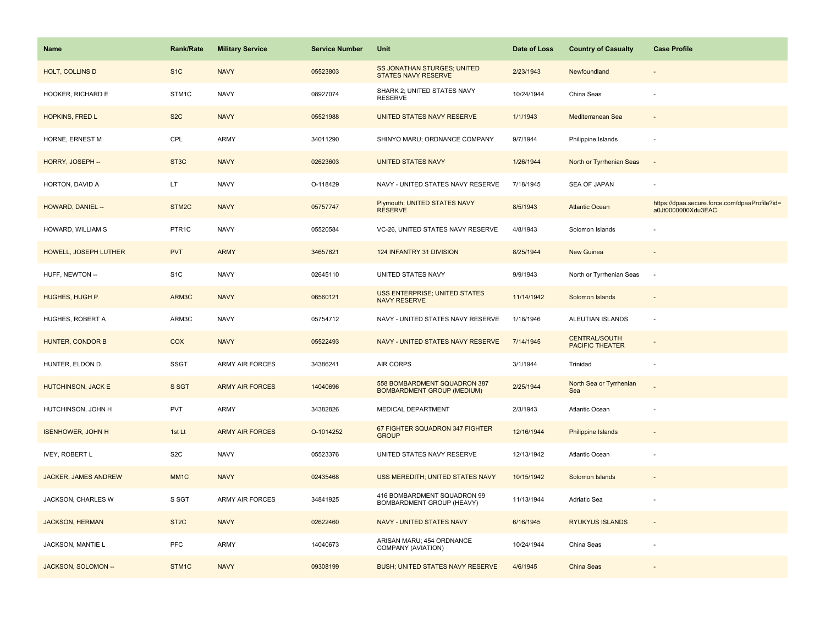| <b>Name</b>               | <b>Rank/Rate</b>   | <b>Military Service</b> | <b>Service Number</b> | Unit                                                              | Date of Loss | <b>Country of Casualty</b>                     | <b>Case Profile</b>                                                 |
|---------------------------|--------------------|-------------------------|-----------------------|-------------------------------------------------------------------|--------------|------------------------------------------------|---------------------------------------------------------------------|
| HOLT, COLLINS D           | S <sub>1</sub> C   | <b>NAVY</b>             | 05523803              | SS JONATHAN STURGES; UNITED<br>STATES NAVY RESERVE                | 2/23/1943    | Newfoundland                                   |                                                                     |
| HOOKER, RICHARD E         | STM1C              | <b>NAVY</b>             | 08927074              | SHARK 2; UNITED STATES NAVY<br><b>RESERVE</b>                     | 10/24/1944   | China Seas                                     |                                                                     |
| <b>HOPKINS, FRED L</b>    | S <sub>2</sub> C   | <b>NAVY</b>             | 05521988              | UNITED STATES NAVY RESERVE                                        | 1/1/1943     | Mediterranean Sea                              |                                                                     |
| HORNE, ERNEST M           | CPL                | ARMY                    | 34011290              | SHINYO MARU; ORDNANCE COMPANY                                     | 9/7/1944     | Philippine Islands                             |                                                                     |
| HORRY, JOSEPH --          | ST <sub>3</sub> C  | <b>NAVY</b>             | 02623603              | <b>UNITED STATES NAVY</b>                                         | 1/26/1944    | North or Tyrrhenian Seas                       | $\overline{\phantom{a}}$                                            |
| HORTON, DAVID A           | LT.                | <b>NAVY</b>             | O-118429              | NAVY - UNITED STATES NAVY RESERVE                                 | 7/18/1945    | SEA OF JAPAN                                   |                                                                     |
| HOWARD, DANIEL --         | STM <sub>2</sub> C | <b>NAVY</b>             | 05757747              | Plymouth; UNITED STATES NAVY<br><b>RESERVE</b>                    | 8/5/1943     | <b>Atlantic Ocean</b>                          | https://dpaa.secure.force.com/dpaaProfile?id=<br>a0Jt0000000Xdu3EAC |
| HOWARD, WILLIAM S         | PTR1C              | <b>NAVY</b>             | 05520584              | VC-26, UNITED STATES NAVY RESERVE                                 | 4/8/1943     | Solomon Islands                                |                                                                     |
| HOWELL, JOSEPH LUTHER     | <b>PVT</b>         | <b>ARMY</b>             | 34657821              | 124 INFANTRY 31 DIVISION                                          | 8/25/1944    | New Guinea                                     |                                                                     |
| HUFF, NEWTON --           | S <sub>1</sub> C   | <b>NAVY</b>             | 02645110              | UNITED STATES NAVY                                                | 9/9/1943     | North or Tyrrhenian Seas                       | $\sim$                                                              |
| <b>HUGHES, HUGH P</b>     | ARM3C              | <b>NAVY</b>             | 06560121              | <b>USS ENTERPRISE; UNITED STATES</b><br><b>NAVY RESERVE</b>       | 11/14/1942   | Solomon Islands                                |                                                                     |
| HUGHES, ROBERT A          | ARM3C              | <b>NAVY</b>             | 05754712              | NAVY - UNITED STATES NAVY RESERVE                                 | 1/18/1946    | ALEUTIAN ISLANDS                               |                                                                     |
| <b>HUNTER, CONDOR B</b>   | <b>COX</b>         | <b>NAVY</b>             | 05522493              | NAVY - UNITED STATES NAVY RESERVE                                 | 7/14/1945    | <b>CENTRAL/SOUTH</b><br><b>PACIFIC THEATER</b> |                                                                     |
| HUNTER, ELDON D.          | <b>SSGT</b>        | ARMY AIR FORCES         | 34386241              | AIR CORPS                                                         | 3/1/1944     | Trinidad                                       |                                                                     |
| <b>HUTCHINSON, JACK E</b> | S SGT              | <b>ARMY AIR FORCES</b>  | 14040696              | 558 BOMBARDMENT SQUADRON 387<br><b>BOMBARDMENT GROUP (MEDIUM)</b> | 2/25/1944    | North Sea or Tyrrhenian<br>Sea                 |                                                                     |
| HUTCHINSON, JOHN H        | <b>PVT</b>         | <b>ARMY</b>             | 34382826              | MEDICAL DEPARTMENT                                                | 2/3/1943     | Atlantic Ocean                                 |                                                                     |
| <b>ISENHOWER, JOHN H</b>  | 1st Lt             | <b>ARMY AIR FORCES</b>  | O-1014252             | 67 FIGHTER SQUADRON 347 FIGHTER<br><b>GROUP</b>                   | 12/16/1944   | <b>Philippine Islands</b>                      |                                                                     |
| <b>IVEY, ROBERT L</b>     | S <sub>2</sub> C   | <b>NAVY</b>             | 05523376              | UNITED STATES NAVY RESERVE                                        | 12/13/1942   | Atlantic Ocean                                 |                                                                     |
| JACKER, JAMES ANDREW      | MM <sub>1C</sub>   | <b>NAVY</b>             | 02435468              | USS MEREDITH; UNITED STATES NAVY                                  | 10/15/1942   | Solomon Islands                                |                                                                     |
| JACKSON, CHARLES W        | S SGT              | <b>ARMY AIR FORCES</b>  | 34841925              | 416 BOMBARDMENT SQUADRON 99<br>BOMBARDMENT GROUP (HEAVY)          | 11/13/1944   | Adriatic Sea                                   |                                                                     |
| <b>JACKSON, HERMAN</b>    | ST <sub>2</sub> C  | <b>NAVY</b>             | 02622460              | NAVY - UNITED STATES NAVY                                         | 6/16/1945    | <b>RYUKYUS ISLANDS</b>                         | $\sim$                                                              |
| JACKSON, MANTIE L         | <b>PFC</b>         | <b>ARMY</b>             | 14040673              | ARISAN MARU; 454 ORDNANCE<br>COMPANY (AVIATION)                   | 10/24/1944   | China Seas                                     |                                                                     |
| JACKSON, SOLOMON --       | STM1C              | <b>NAVY</b>             | 09308199              | <b>BUSH; UNITED STATES NAVY RESERVE</b>                           | 4/6/1945     | <b>China Seas</b>                              |                                                                     |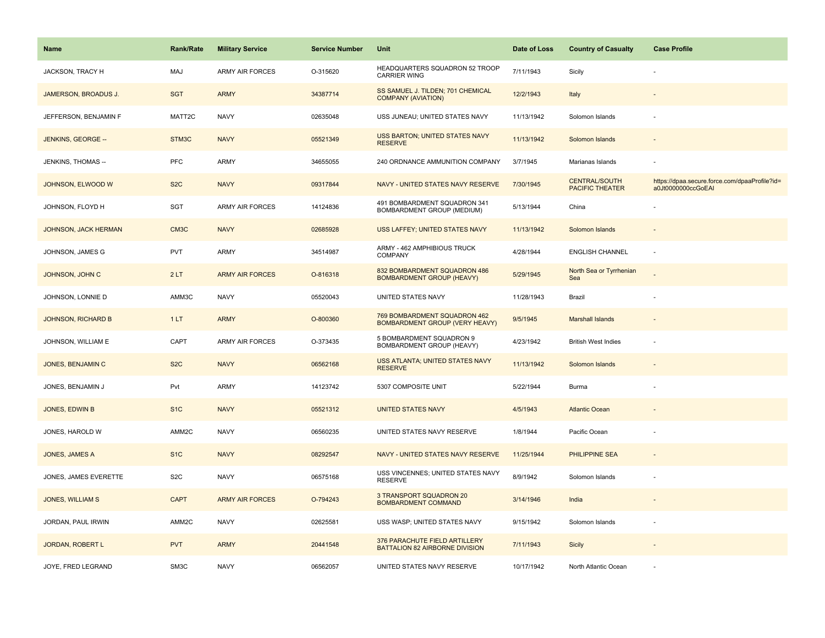| <b>Name</b>                 | <b>Rank/Rate</b>  | <b>Military Service</b> | <b>Service Number</b> | Unit                                                                  | Date of Loss | <b>Country of Casualty</b>                     | <b>Case Profile</b>                                                 |
|-----------------------------|-------------------|-------------------------|-----------------------|-----------------------------------------------------------------------|--------------|------------------------------------------------|---------------------------------------------------------------------|
| JACKSON, TRACY H            | <b>MAJ</b>        | <b>ARMY AIR FORCES</b>  | O-315620              | HEADQUARTERS SQUADRON 52 TROOP<br><b>CARRIER WING</b>                 | 7/11/1943    | Sicily                                         |                                                                     |
| JAMERSON, BROADUS J.        | <b>SGT</b>        | <b>ARMY</b>             | 34387714              | SS SAMUEL J. TILDEN; 701 CHEMICAL<br><b>COMPANY (AVIATION)</b>        | 12/2/1943    | Italy                                          |                                                                     |
| JEFFERSON, BENJAMIN F       | MATT2C            | <b>NAVY</b>             | 02635048              | USS JUNEAU; UNITED STATES NAVY                                        | 11/13/1942   | Solomon Islands                                |                                                                     |
| JENKINS, GEORGE --          | STM3C             | <b>NAVY</b>             | 05521349              | USS BARTON; UNITED STATES NAVY<br><b>RESERVE</b>                      | 11/13/1942   | Solomon Islands                                |                                                                     |
| JENKINS, THOMAS --          | PFC               | <b>ARMY</b>             | 34655055              | 240 ORDNANCE AMMUNITION COMPANY                                       | 3/7/1945     | Marianas Islands                               |                                                                     |
| JOHNSON, ELWOOD W           | S <sub>2</sub> C  | <b>NAVY</b>             | 09317844              | NAVY - UNITED STATES NAVY RESERVE                                     | 7/30/1945    | <b>CENTRAL/SOUTH</b><br><b>PACIFIC THEATER</b> | https://dpaa.secure.force.com/dpaaProfile?id=<br>a0Jt0000000ccGoEAI |
| JOHNSON, FLOYD H            | SGT               | ARMY AIR FORCES         | 14124836              | 491 BOMBARDMENT SQUADRON 341<br>BOMBARDMENT GROUP (MEDIUM)            | 5/13/1944    | China                                          |                                                                     |
| <b>JOHNSON, JACK HERMAN</b> | CM <sub>3</sub> C | <b>NAVY</b>             | 02685928              | <b>USS LAFFEY; UNITED STATES NAVY</b>                                 | 11/13/1942   | Solomon Islands                                |                                                                     |
| JOHNSON, JAMES G            | <b>PVT</b>        | <b>ARMY</b>             | 34514987              | ARMY - 462 AMPHIBIOUS TRUCK<br><b>COMPANY</b>                         | 4/28/1944    | <b>ENGLISH CHANNEL</b>                         |                                                                     |
| JOHNSON, JOHN C             | 2LT               | <b>ARMY AIR FORCES</b>  | O-816318              | 832 BOMBARDMENT SQUADRON 486<br><b>BOMBARDMENT GROUP (HEAVY)</b>      | 5/29/1945    | North Sea or Tyrrhenian<br>Sea                 |                                                                     |
| JOHNSON, LONNIE D           | AMM3C             | <b>NAVY</b>             | 05520043              | UNITED STATES NAVY                                                    | 11/28/1943   | Brazil                                         |                                                                     |
| <b>JOHNSON, RICHARD B</b>   | 1LT               | <b>ARMY</b>             | O-800360              | 769 BOMBARDMENT SQUADRON 462<br><b>BOMBARDMENT GROUP (VERY HEAVY)</b> | 9/5/1945     | Marshall Islands                               |                                                                     |
| JOHNSON, WILLIAM E          | CAPT              | <b>ARMY AIR FORCES</b>  | O-373435              | 5 BOMBARDMENT SQUADRON 9<br>BOMBARDMENT GROUP (HEAVY)                 | 4/23/1942    | <b>British West Indies</b>                     |                                                                     |
| JONES, BENJAMIN C           | S <sub>2</sub> C  | <b>NAVY</b>             | 06562168              | USS ATLANTA; UNITED STATES NAVY<br><b>RESERVE</b>                     | 11/13/1942   | Solomon Islands                                |                                                                     |
| JONES, BENJAMIN J           | Pvt               | <b>ARMY</b>             | 14123742              | 5307 COMPOSITE UNIT                                                   | 5/22/1944    | <b>Burma</b>                                   |                                                                     |
| <b>JONES, EDWIN B</b>       | S <sub>1</sub> C  | <b>NAVY</b>             | 05521312              | <b>UNITED STATES NAVY</b>                                             | 4/5/1943     | <b>Atlantic Ocean</b>                          |                                                                     |
| JONES, HAROLD W             | AMM2C             | <b>NAVY</b>             | 06560235              | UNITED STATES NAVY RESERVE                                            | 1/8/1944     | Pacific Ocean                                  |                                                                     |
| JONES, JAMES A              | S <sub>1</sub> C  | <b>NAVY</b>             | 08292547              | NAVY - UNITED STATES NAVY RESERVE                                     | 11/25/1944   | PHILIPPINE SEA                                 | $\sim$                                                              |
| JONES, JAMES EVERETTE       | S <sub>2</sub> C  | <b>NAVY</b>             | 06575168              | USS VINCENNES; UNITED STATES NAVY<br><b>RESERVE</b>                   | 8/9/1942     | Solomon Islands                                | ÷,                                                                  |
| <b>JONES, WILLIAM S</b>     | <b>CAPT</b>       | <b>ARMY AIR FORCES</b>  | O-794243              | 3 TRANSPORT SQUADRON 20<br>BOMBARDMENT COMMAND                        | 3/14/1946    | India                                          |                                                                     |
| JORDAN, PAUL IRWIN          | AMM2C             | <b>NAVY</b>             | 02625581              | USS WASP; UNITED STATES NAVY                                          | 9/15/1942    | Solomon Islands                                |                                                                     |
| <b>JORDAN, ROBERT L</b>     | <b>PVT</b>        | <b>ARMY</b>             | 20441548              | 376 PARACHUTE FIELD ARTILLERY<br>BATTALION 82 AIRBORNE DIVISION       | 7/11/1943    | Sicily                                         |                                                                     |
| JOYE, FRED LEGRAND          | SM <sub>3</sub> C | <b>NAVY</b>             | 06562057              | UNITED STATES NAVY RESERVE                                            | 10/17/1942   | North Atlantic Ocean                           |                                                                     |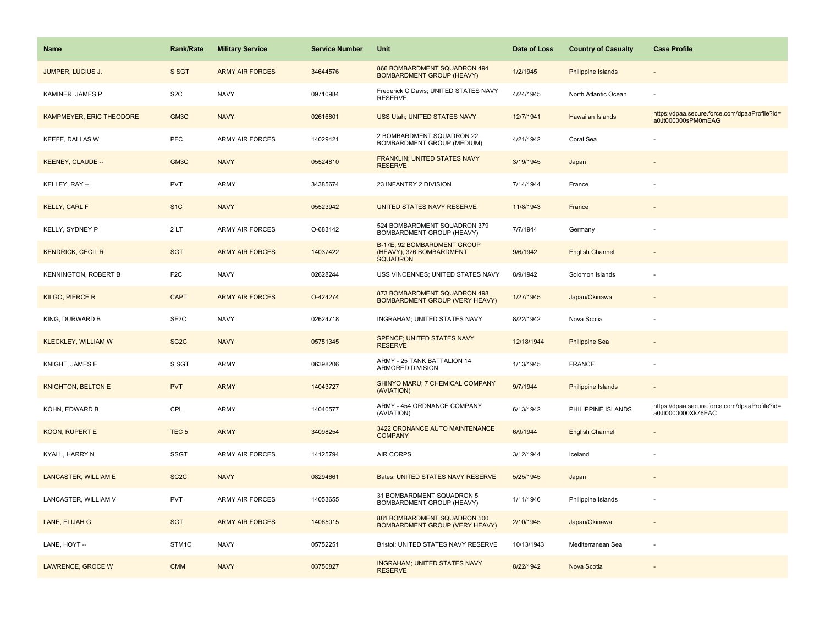| <b>Name</b>                | <b>Rank/Rate</b>  | <b>Military Service</b> | <b>Service Number</b> | Unit                                                                       | Date of Loss | <b>Country of Casualty</b> | <b>Case Profile</b>                                                 |
|----------------------------|-------------------|-------------------------|-----------------------|----------------------------------------------------------------------------|--------------|----------------------------|---------------------------------------------------------------------|
| JUMPER, LUCIUS J.          | S SGT             | <b>ARMY AIR FORCES</b>  | 34644576              | 866 BOMBARDMENT SQUADRON 494<br><b>BOMBARDMENT GROUP (HEAVY)</b>           | 1/2/1945     | <b>Philippine Islands</b>  |                                                                     |
| KAMINER, JAMES P           | S <sub>2</sub> C  | <b>NAVY</b>             | 09710984              | Frederick C Davis; UNITED STATES NAVY<br><b>RESERVE</b>                    | 4/24/1945    | North Atlantic Ocean       |                                                                     |
| KAMPMEYER, ERIC THEODORE   | GM3C              | <b>NAVY</b>             | 02616801              | USS Utah; UNITED STATES NAVY                                               | 12/7/1941    | Hawaiian Islands           | https://dpaa.secure.force.com/dpaaProfile?id=<br>a0Jt000000sPM0mEAG |
| <b>KEEFE, DALLAS W</b>     | PFC               | <b>ARMY AIR FORCES</b>  | 14029421              | 2 BOMBARDMENT SQUADRON 22<br><b>BOMBARDMENT GROUP (MEDIUM)</b>             | 4/21/1942    | Coral Sea                  |                                                                     |
| <b>KEENEY, CLAUDE --</b>   | GM3C              | <b>NAVY</b>             | 05524810              | FRANKLIN; UNITED STATES NAVY<br><b>RESERVE</b>                             | 3/19/1945    | Japan                      |                                                                     |
| KELLEY, RAY --             | <b>PVT</b>        | <b>ARMY</b>             | 34385674              | 23 INFANTRY 2 DIVISION                                                     | 7/14/1944    | France                     |                                                                     |
| KELLY, CARL F              | S <sub>1</sub> C  | <b>NAVY</b>             | 05523942              | UNITED STATES NAVY RESERVE                                                 | 11/8/1943    | France                     |                                                                     |
| KELLY, SYDNEY P            | 2LT               | <b>ARMY AIR FORCES</b>  | O-683142              | 524 BOMBARDMENT SQUADRON 379<br>BOMBARDMENT GROUP (HEAVY)                  | 7/7/1944     | Germany                    |                                                                     |
| <b>KENDRICK, CECIL R</b>   | <b>SGT</b>        | <b>ARMY AIR FORCES</b>  | 14037422              | B-17E; 92 BOMBARDMENT GROUP<br>(HEAVY), 326 BOMBARDMENT<br><b>SQUADRON</b> | 9/6/1942     | <b>English Channel</b>     |                                                                     |
| KENNINGTON, ROBERT B       | F <sub>2</sub> C  | <b>NAVY</b>             | 02628244              | USS VINCENNES; UNITED STATES NAVY                                          | 8/9/1942     | Solomon Islands            |                                                                     |
| KILGO, PIERCE R            | <b>CAPT</b>       | <b>ARMY AIR FORCES</b>  | O-424274              | 873 BOMBARDMENT SQUADRON 498<br>BOMBARDMENT GROUP (VERY HEAVY)             | 1/27/1945    | Japan/Okinawa              |                                                                     |
| KING, DURWARD B            | SF <sub>2</sub> C | <b>NAVY</b>             | 02624718              | INGRAHAM; UNITED STATES NAVY                                               | 8/22/1942    | Nova Scotia                |                                                                     |
| <b>KLECKLEY, WILLIAM W</b> | SC <sub>2</sub> C | <b>NAVY</b>             | 05751345              | SPENCE; UNITED STATES NAVY<br><b>RESERVE</b>                               | 12/18/1944   | <b>Philippine Sea</b>      |                                                                     |
| KNIGHT, JAMES E            | S SGT             | <b>ARMY</b>             | 06398206              | ARMY - 25 TANK BATTALION 14<br>ARMORED DIVISION                            | 1/13/1945    | <b>FRANCE</b>              |                                                                     |
| <b>KNIGHTON, BELTON E</b>  | <b>PVT</b>        | <b>ARMY</b>             | 14043727              | SHINYO MARU; 7 CHEMICAL COMPANY<br>(AVIATION)                              | 9/7/1944     | Philippine Islands         |                                                                     |
| KOHN, EDWARD B             | CPL               | <b>ARMY</b>             | 14040577              | ARMY - 454 ORDNANCE COMPANY<br>(AVIATION)                                  | 6/13/1942    | PHILIPPINE ISLANDS         | https://dpaa.secure.force.com/dpaaProfile?id=<br>a0Jt0000000Xk76EAC |
| KOON, RUPERT E             | TEC <sub>5</sub>  | <b>ARMY</b>             | 34098254              | 3422 ORDNANCE AUTO MAINTENANCE<br><b>COMPANY</b>                           | 6/9/1944     | <b>English Channel</b>     |                                                                     |
| KYALL, HARRY N             | <b>SSGT</b>       | <b>ARMY AIR FORCES</b>  | 14125794              | <b>AIR CORPS</b>                                                           | 3/12/1944    | Iceland                    |                                                                     |
| LANCASTER, WILLIAM E       | SC <sub>2</sub> C | <b>NAVY</b>             | 08294661              | Bates; UNITED STATES NAVY RESERVE                                          | 5/25/1945    | Japan                      |                                                                     |
| LANCASTER, WILLIAM V       | <b>PVT</b>        | <b>ARMY AIR FORCES</b>  | 14053655              | 31 BOMBARDMENT SQUADRON 5<br>BOMBARDMENT GROUP (HEAVY)                     | 1/11/1946    | Philippine Islands         |                                                                     |
| LANE, ELIJAH G             | <b>SGT</b>        | <b>ARMY AIR FORCES</b>  | 14065015              | 881 BOMBARDMENT SQUADRON 500<br><b>BOMBARDMENT GROUP (VERY HEAVY)</b>      | 2/10/1945    | Japan/Okinawa              |                                                                     |
| LANE, HOYT --              | STM1C             | <b>NAVY</b>             | 05752251              | Bristol; UNITED STATES NAVY RESERVE                                        | 10/13/1943   | Mediterranean Sea          |                                                                     |
| <b>LAWRENCE, GROCE W</b>   | <b>CMM</b>        | <b>NAVY</b>             | 03750827              | <b>INGRAHAM; UNITED STATES NAVY</b><br><b>RESERVE</b>                      | 8/22/1942    | Nova Scotia                |                                                                     |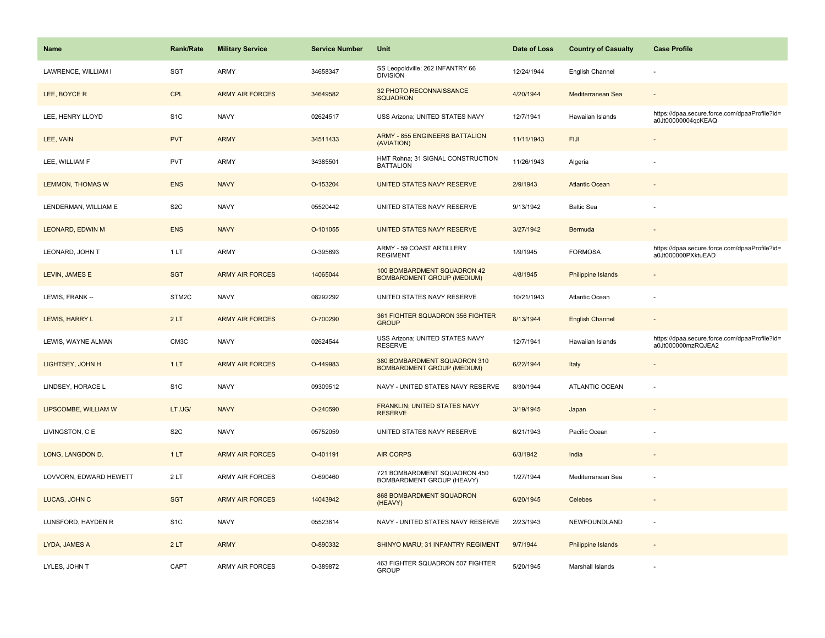| Name                    | <b>Rank/Rate</b> | <b>Military Service</b> | <b>Service Number</b> | Unit                                                              | Date of Loss | <b>Country of Casualty</b> | <b>Case Profile</b>                                                 |
|-------------------------|------------------|-------------------------|-----------------------|-------------------------------------------------------------------|--------------|----------------------------|---------------------------------------------------------------------|
| LAWRENCE, WILLIAM I     | <b>SGT</b>       | ARMY                    | 34658347              | SS Leopoldville; 262 INFANTRY 66<br><b>DIVISION</b>               | 12/24/1944   | English Channel            |                                                                     |
| LEE, BOYCE R            | CPL              | <b>ARMY AIR FORCES</b>  | 34649582              | 32 PHOTO RECONNAISSANCE<br><b>SQUADRON</b>                        | 4/20/1944    | Mediterranean Sea          |                                                                     |
| LEE, HENRY LLOYD        | S <sub>1</sub> C | <b>NAVY</b>             | 02624517              | USS Arizona; UNITED STATES NAVY                                   | 12/7/1941    | Hawaiian Islands           | https://dpaa.secure.force.com/dpaaProfile?id=<br>a0Jt00000004qcKEAQ |
| LEE, VAIN               | <b>PVT</b>       | <b>ARMY</b>             | 34511433              | <b>ARMY - 855 ENGINEERS BATTALION</b><br>(AVIATION)               | 11/11/1943   | <b>FIJI</b>                |                                                                     |
| LEE, WILLIAM F          | <b>PVT</b>       | ARMY                    | 34385501              | HMT Rohna; 31 SIGNAL CONSTRUCTION<br><b>BATTALION</b>             | 11/26/1943   | Algeria                    |                                                                     |
| <b>LEMMON, THOMAS W</b> | <b>ENS</b>       | <b>NAVY</b>             | O-153204              | UNITED STATES NAVY RESERVE                                        | 2/9/1943     | <b>Atlantic Ocean</b>      |                                                                     |
| LENDERMAN, WILLIAM E    | S <sub>2</sub> C | <b>NAVY</b>             | 05520442              | UNITED STATES NAVY RESERVE                                        | 9/13/1942    | <b>Baltic Sea</b>          |                                                                     |
| LEONARD, EDWIN M        | <b>ENS</b>       | <b>NAVY</b>             | O-101055              | UNITED STATES NAVY RESERVE                                        | 3/27/1942    | Bermuda                    |                                                                     |
| LEONARD, JOHN T         | 1LT              | ARMY                    | O-395693              | ARMY - 59 COAST ARTILLERY<br><b>REGIMENT</b>                      | 1/9/1945     | <b>FORMOSA</b>             | https://dpaa.secure.force.com/dpaaProfile?id=<br>a0Jt000000PXktuEAD |
| LEVIN, JAMES E          | <b>SGT</b>       | <b>ARMY AIR FORCES</b>  | 14065044              | 100 BOMBARDMENT SQUADRON 42<br><b>BOMBARDMENT GROUP (MEDIUM)</b>  | 4/8/1945     | Philippine Islands         |                                                                     |
| LEWIS, FRANK --         | STM2C            | <b>NAVY</b>             | 08292292              | UNITED STATES NAVY RESERVE                                        | 10/21/1943   | Atlantic Ocean             |                                                                     |
| LEWIS, HARRY L          | 2LT              | <b>ARMY AIR FORCES</b>  | O-700290              | 361 FIGHTER SQUADRON 356 FIGHTER<br><b>GROUP</b>                  | 8/13/1944    | <b>English Channel</b>     |                                                                     |
| LEWIS, WAYNE ALMAN      | CM3C             | <b>NAVY</b>             | 02624544              | USS Arizona; UNITED STATES NAVY<br><b>RESERVE</b>                 | 12/7/1941    | Hawaiian Islands           | https://dpaa.secure.force.com/dpaaProfile?id=<br>a0Jt000000mzRQJEA2 |
| LIGHTSEY, JOHN H        | 1LT              | <b>ARMY AIR FORCES</b>  | O-449983              | 380 BOMBARDMENT SQUADRON 310<br><b>BOMBARDMENT GROUP (MEDIUM)</b> | 6/22/1944    | Italy                      |                                                                     |
| LINDSEY, HORACE L       | S <sub>1</sub> C | <b>NAVY</b>             | 09309512              | NAVY - UNITED STATES NAVY RESERVE                                 | 8/30/1944    | <b>ATLANTIC OCEAN</b>      |                                                                     |
| LIPSCOMBE, WILLIAM W    | LT /JG/          | <b>NAVY</b>             | O-240590              | <b>FRANKLIN; UNITED STATES NAVY</b><br><b>RESERVE</b>             | 3/19/1945    | Japan                      |                                                                     |
| LIVINGSTON, C E         | S <sub>2</sub> C | <b>NAVY</b>             | 05752059              | UNITED STATES NAVY RESERVE                                        | 6/21/1943    | Pacific Ocean              |                                                                     |
| LONG, LANGDON D.        | 1LT              | <b>ARMY AIR FORCES</b>  | O-401191              | <b>AIR CORPS</b>                                                  | 6/3/1942     | India                      |                                                                     |
| LOVVORN, EDWARD HEWETT  | 2LT              | ARMY AIR FORCES         | O-690460              | 721 BOMBARDMENT SQUADRON 450<br>BOMBARDMENT GROUP (HEAVY)         | 1/27/1944    | Mediterranean Sea          |                                                                     |
| LUCAS, JOHN C           | <b>SGT</b>       | <b>ARMY AIR FORCES</b>  | 14043942              | 868 BOMBARDMENT SQUADRON<br>(HEAVY)                               | 6/20/1945    | Celebes                    |                                                                     |
| LUNSFORD, HAYDEN R      | S <sub>1</sub> C | <b>NAVY</b>             | 05523814              | NAVY - UNITED STATES NAVY RESERVE                                 | 2/23/1943    | NEWFOUNDLAND               |                                                                     |
| LYDA, JAMES A           | 2LT              | <b>ARMY</b>             | O-890332              | SHINYO MARU; 31 INFANTRY REGIMENT                                 | 9/7/1944     | Philippine Islands         |                                                                     |
| LYLES, JOHN T           | CAPT             | <b>ARMY AIR FORCES</b>  | O-389872              | 463 FIGHTER SQUADRON 507 FIGHTER<br><b>GROUP</b>                  | 5/20/1945    | Marshall Islands           |                                                                     |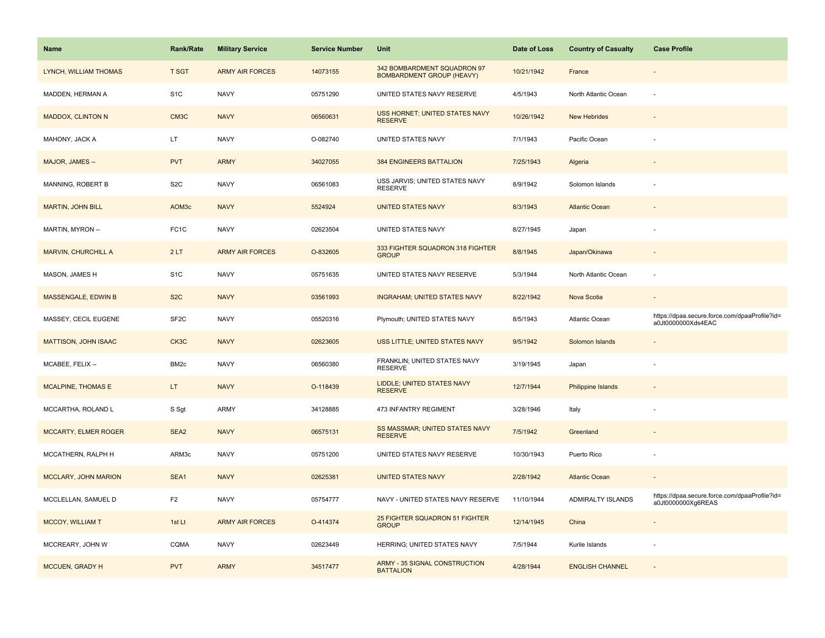| Name                       | <b>Rank/Rate</b>  | <b>Military Service</b> | <b>Service Number</b> | Unit                                                            | Date of Loss | <b>Country of Casualty</b> | <b>Case Profile</b>                                                 |
|----------------------------|-------------------|-------------------------|-----------------------|-----------------------------------------------------------------|--------------|----------------------------|---------------------------------------------------------------------|
| LYNCH, WILLIAM THOMAS      | <b>T SGT</b>      | <b>ARMY AIR FORCES</b>  | 14073155              | 342 BOMBARDMENT SQUADRON 97<br><b>BOMBARDMENT GROUP (HEAVY)</b> | 10/21/1942   | France                     |                                                                     |
| MADDEN, HERMAN A           | S <sub>1</sub> C  | <b>NAVY</b>             | 05751290              | UNITED STATES NAVY RESERVE                                      | 4/5/1943     | North Atlantic Ocean       |                                                                     |
| <b>MADDOX, CLINTON N</b>   | CM <sub>3</sub> C | <b>NAVY</b>             | 06560631              | USS HORNET; UNITED STATES NAVY<br><b>RESERVE</b>                | 10/26/1942   | <b>New Hebrides</b>        |                                                                     |
| MAHONY, JACK A             | LT.               | <b>NAVY</b>             | O-082740              | UNITED STATES NAVY                                              | 7/1/1943     | Pacific Ocean              |                                                                     |
| MAJOR, JAMES --            | <b>PVT</b>        | <b>ARMY</b>             | 34027055              | <b>384 ENGINEERS BATTALION</b>                                  | 7/25/1943    | Algeria                    |                                                                     |
| MANNING, ROBERT B          | S <sub>2</sub> C  | <b>NAVY</b>             | 06561083              | USS JARVIS; UNITED STATES NAVY<br><b>RESERVE</b>                | 8/9/1942     | Solomon Islands            |                                                                     |
| <b>MARTIN, JOHN BILL</b>   | AOM3c             | <b>NAVY</b>             | 5524924               | <b>UNITED STATES NAVY</b>                                       | 8/3/1943     | <b>Atlantic Ocean</b>      |                                                                     |
| MARTIN, MYRON --           | FC <sub>1</sub> C | <b>NAVY</b>             | 02623504              | UNITED STATES NAVY                                              | 8/27/1945    | Japan                      |                                                                     |
| <b>MARVIN, CHURCHILL A</b> | 2LT               | <b>ARMY AIR FORCES</b>  | O-832605              | 333 FIGHTER SQUADRON 318 FIGHTER<br><b>GROUP</b>                | 8/8/1945     | Japan/Okinawa              |                                                                     |
| MASON, JAMES H             | S <sub>1</sub> C  | <b>NAVY</b>             | 05751635              | UNITED STATES NAVY RESERVE                                      | 5/3/1944     | North Atlantic Ocean       |                                                                     |
| MASSENGALE, EDWIN B        | S <sub>2</sub> C  | <b>NAVY</b>             | 03561993              | <b>INGRAHAM; UNITED STATES NAVY</b>                             | 8/22/1942    | Nova Scotia                |                                                                     |
| MASSEY, CECIL EUGENE       | SF <sub>2</sub> C | <b>NAVY</b>             | 05520316              | Plymouth; UNITED STATES NAVY                                    | 8/5/1943     | Atlantic Ocean             | https://dpaa.secure.force.com/dpaaProfile?id=<br>a0Jt0000000Xds4EAC |
| MATTISON, JOHN ISAAC       | CK3C              | <b>NAVY</b>             | 02623605              | USS LITTLE; UNITED STATES NAVY                                  | 9/5/1942     | Solomon Islands            |                                                                     |
| MCABEE, FELIX --           | BM <sub>2c</sub>  | <b>NAVY</b>             | 06560380              | FRANKLIN; UNITED STATES NAVY<br><b>RESERVE</b>                  | 3/19/1945    | Japan                      |                                                                     |
| <b>MCALPINE, THOMAS E</b>  | LT.               | <b>NAVY</b>             | O-118439              | <b>LIDDLE; UNITED STATES NAVY</b><br><b>RESERVE</b>             | 12/7/1944    | Philippine Islands         |                                                                     |
| MCCARTHA, ROLAND L         | S Sgt             | <b>ARMY</b>             | 34128885              | 473 INFANTRY REGIMENT                                           | 3/28/1946    | Italy                      |                                                                     |
| MCCARTY, ELMER ROGER       | SEA2              | <b>NAVY</b>             | 06575131              | SS MASSMAR; UNITED STATES NAVY<br><b>RESERVE</b>                | 7/5/1942     | Greenland                  |                                                                     |
| MCCATHERN, RALPH H         | ARM3c             | <b>NAVY</b>             | 05751200              | UNITED STATES NAVY RESERVE                                      | 10/30/1943   | Puerto Rico                |                                                                     |
| MCCLARY, JOHN MARION       | SEA1              | <b>NAVY</b>             | 02625381              | <b>UNITED STATES NAVY</b>                                       | 2/28/1942    | <b>Atlantic Ocean</b>      |                                                                     |
| MCCLELLAN, SAMUEL D        | F <sub>2</sub>    | <b>NAVY</b>             | 05754777              | NAVY - UNITED STATES NAVY RESERVE                               | 11/10/1944   | ADMIRALTY ISLANDS          | https://dpaa.secure.force.com/dpaaProfile?id=<br>a0Jt0000000Xg6REAS |
| <b>MCCOY, WILLIAM T</b>    | 1st Lt            | <b>ARMY AIR FORCES</b>  | O-414374              | 25 FIGHTER SQUADRON 51 FIGHTER<br><b>GROUP</b>                  | 12/14/1945   | China                      |                                                                     |
| MCCREARY, JOHN W           | <b>CQMA</b>       | <b>NAVY</b>             | 02623449              | HERRING; UNITED STATES NAVY                                     | 7/5/1944     | Kurile Islands             |                                                                     |
| MCCUEN, GRADY H            | <b>PVT</b>        | <b>ARMY</b>             | 34517477              | <b>ARMY - 35 SIGNAL CONSTRUCTION</b><br><b>BATTALION</b>        | 4/28/1944    | <b>ENGLISH CHANNEL</b>     |                                                                     |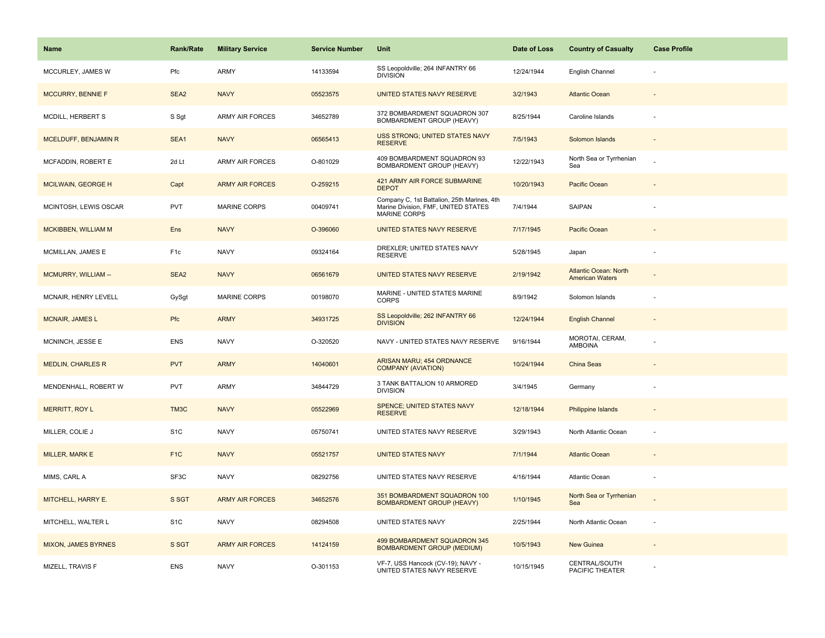| <b>Name</b>                | Rank/Rate        | <b>Military Service</b> | <b>Service Number</b> | Unit                                                                                                      | Date of Loss | <b>Country of Casualty</b>                             | <b>Case Profile</b>      |
|----------------------------|------------------|-------------------------|-----------------------|-----------------------------------------------------------------------------------------------------------|--------------|--------------------------------------------------------|--------------------------|
| MCCURLEY, JAMES W          | Pfc              | ARMY                    | 14133594              | SS Leopoldville; 264 INFANTRY 66<br><b>DIVISION</b>                                                       | 12/24/1944   | English Channel                                        |                          |
| MCCURRY, BENNIE F          | SEA <sub>2</sub> | <b>NAVY</b>             | 05523575              | UNITED STATES NAVY RESERVE                                                                                | 3/2/1943     | <b>Atlantic Ocean</b>                                  |                          |
| MCDILL, HERBERT S          | S Sgt            | ARMY AIR FORCES         | 34652789              | 372 BOMBARDMENT SQUADRON 307<br>BOMBARDMENT GROUP (HEAVY)                                                 | 8/25/1944    | Caroline Islands                                       |                          |
| MCELDUFF, BENJAMIN R       | SEA1             | <b>NAVY</b>             | 06565413              | <b>USS STRONG; UNITED STATES NAVY</b><br><b>RESERVE</b>                                                   | 7/5/1943     | Solomon Islands                                        |                          |
| MCFADDIN, ROBERT E         | 2d Lt            | <b>ARMY AIR FORCES</b>  | O-801029              | 409 BOMBARDMENT SQUADRON 93<br>BOMBARDMENT GROUP (HEAVY)                                                  | 12/22/1943   | North Sea or Tyrrhenian<br>Sea                         |                          |
| <b>MCILWAIN, GEORGE H</b>  | Capt             | <b>ARMY AIR FORCES</b>  | O-259215              | 421 ARMY AIR FORCE SUBMARINE<br><b>DEPOT</b>                                                              | 10/20/1943   | Pacific Ocean                                          |                          |
| MCINTOSH, LEWIS OSCAR      | <b>PVT</b>       | <b>MARINE CORPS</b>     | 00409741              | Company C, 1st Battalion, 25th Marines, 4th<br>Marine Division, FMF, UNITED STATES<br><b>MARINE CORPS</b> | 7/4/1944     | SAIPAN                                                 |                          |
| MCKIBBEN, WILLIAM M        | Ens              | <b>NAVY</b>             | O-396060              | UNITED STATES NAVY RESERVE                                                                                | 7/17/1945    | Pacific Ocean                                          |                          |
| MCMILLAN, JAMES E          | F <sub>1c</sub>  | <b>NAVY</b>             | 09324164              | DREXLER; UNITED STATES NAVY<br><b>RESERVE</b>                                                             | 5/28/1945    | Japan                                                  |                          |
| MCMURRY, WILLIAM --        | SEA2             | <b>NAVY</b>             | 06561679              | UNITED STATES NAVY RESERVE                                                                                | 2/19/1942    | <b>Atlantic Ocean: North</b><br><b>American Waters</b> |                          |
| MCNAIR, HENRY LEVELL       | GySgt            | <b>MARINE CORPS</b>     | 00198070              | MARINE - UNITED STATES MARINE<br><b>CORPS</b>                                                             | 8/9/1942     | Solomon Islands                                        |                          |
| <b>MCNAIR, JAMES L</b>     | Pfc              | <b>ARMY</b>             | 34931725              | SS Leopoldville; 262 INFANTRY 66<br><b>DIVISION</b>                                                       | 12/24/1944   | <b>English Channel</b>                                 |                          |
| MCNINCH, JESSE E           | <b>ENS</b>       | <b>NAVY</b>             | O-320520              | NAVY - UNITED STATES NAVY RESERVE                                                                         | 9/16/1944    | MOROTAI, CERAM,<br><b>AMBOINA</b>                      |                          |
| <b>MEDLIN, CHARLES R</b>   | <b>PVT</b>       | <b>ARMY</b>             | 14040601              | ARISAN MARU; 454 ORDNANCE<br><b>COMPANY (AVIATION)</b>                                                    | 10/24/1944   | <b>China Seas</b>                                      |                          |
| MENDENHALL, ROBERT W       | <b>PVT</b>       | ARMY                    | 34844729              | 3 TANK BATTALION 10 ARMORED<br><b>DIVISION</b>                                                            | 3/4/1945     | Germany                                                |                          |
| <b>MERRITT, ROY L</b>      | TM3C             | <b>NAVY</b>             | 05522969              | SPENCE; UNITED STATES NAVY<br><b>RESERVE</b>                                                              | 12/18/1944   | Philippine Islands                                     |                          |
| MILLER, COLIE J            | S <sub>1</sub> C | <b>NAVY</b>             | 05750741              | UNITED STATES NAVY RESERVE                                                                                | 3/29/1943    | North Atlantic Ocean                                   |                          |
| <b>MILLER, MARK E</b>      | F <sub>1</sub> C | <b>NAVY</b>             | 05521757              | <b>UNITED STATES NAVY</b>                                                                                 | 7/1/1944     | <b>Atlantic Ocean</b>                                  |                          |
| MIMS, CARL A               | SF3C             | <b>NAVY</b>             | 08292756              | UNITED STATES NAVY RESERVE                                                                                | 4/16/1944    | Atlantic Ocean                                         |                          |
| MITCHELL, HARRY E.         | S SGT            | <b>ARMY AIR FORCES</b>  | 34652576              | 351 BOMBARDMENT SQUADRON 100<br><b>BOMBARDMENT GROUP (HEAVY)</b>                                          | 1/10/1945    | North Sea or Tyrrhenian<br>Sea                         |                          |
| MITCHELL, WALTER L         | S <sub>1</sub> C | <b>NAVY</b>             | 08294508              | UNITED STATES NAVY                                                                                        | 2/25/1944    | North Atlantic Ocean                                   | $\overline{\phantom{a}}$ |
| <b>MIXON, JAMES BYRNES</b> | S SGT            | <b>ARMY AIR FORCES</b>  | 14124159              | 499 BOMBARDMENT SQUADRON 345<br><b>BOMBARDMENT GROUP (MEDIUM)</b>                                         | 10/5/1943    | New Guinea                                             |                          |
| MIZELL, TRAVIS F           | <b>ENS</b>       | <b>NAVY</b>             | O-301153              | VF-7, USS Hancock (CV-19); NAVY -<br>UNITED STATES NAVY RESERVE                                           | 10/15/1945   | CENTRAL/SOUTH<br>PACIFIC THEATER                       |                          |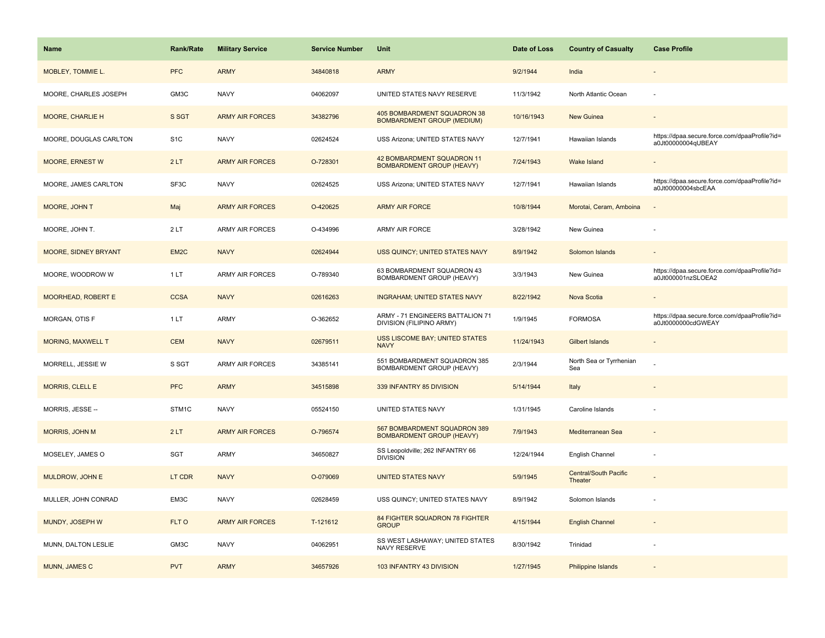| <b>Name</b>              | <b>Rank/Rate</b>  | <b>Military Service</b> | <b>Service Number</b> | Unit                                                                  | Date of Loss | <b>Country of Casualty</b>              | <b>Case Profile</b>                                                 |
|--------------------------|-------------------|-------------------------|-----------------------|-----------------------------------------------------------------------|--------------|-----------------------------------------|---------------------------------------------------------------------|
| MOBLEY, TOMMIE L.        | <b>PFC</b>        | <b>ARMY</b>             | 34840818              | <b>ARMY</b>                                                           | 9/2/1944     | India                                   |                                                                     |
| MOORE, CHARLES JOSEPH    | GM3C              | <b>NAVY</b>             | 04062097              | UNITED STATES NAVY RESERVE                                            | 11/3/1942    | North Atlantic Ocean                    | $\sim$                                                              |
| <b>MOORE, CHARLIE H</b>  | S SGT             | <b>ARMY AIR FORCES</b>  | 34382796              | 405 BOMBARDMENT SQUADRON 38<br><b>BOMBARDMENT GROUP (MEDIUM)</b>      | 10/16/1943   | <b>New Guinea</b>                       |                                                                     |
| MOORE, DOUGLAS CARLTON   | S <sub>1</sub> C  | <b>NAVY</b>             | 02624524              | USS Arizona; UNITED STATES NAVY                                       | 12/7/1941    | Hawaiian Islands                        | https://dpaa.secure.force.com/dpaaProfile?id=<br>a0Jt00000004qUBEAY |
| <b>MOORE, ERNEST W</b>   | 2LT               | <b>ARMY AIR FORCES</b>  | O-728301              | <b>42 BOMBARDMENT SQUADRON 11</b><br><b>BOMBARDMENT GROUP (HEAVY)</b> | 7/24/1943    | Wake Island                             |                                                                     |
| MOORE, JAMES CARLTON     | SF3C              | <b>NAVY</b>             | 02624525              | USS Arizona; UNITED STATES NAVY                                       | 12/7/1941    | Hawaiian Islands                        | https://dpaa.secure.force.com/dpaaProfile?id=<br>a0Jt00000004sbcEAA |
| MOORE, JOHN T            | Maj               | <b>ARMY AIR FORCES</b>  | O-420625              | <b>ARMY AIR FORCE</b>                                                 | 10/8/1944    | Morotai, Ceram, Amboina                 | $\overline{\phantom{a}}$                                            |
| MOORE, JOHN T.           | 2LT               | <b>ARMY AIR FORCES</b>  | O-434996              | <b>ARMY AIR FORCE</b>                                                 | 3/28/1942    | New Guinea                              |                                                                     |
| MOORE, SIDNEY BRYANT     | EM <sub>2</sub> C | <b>NAVY</b>             | 02624944              | <b>USS QUINCY: UNITED STATES NAVY</b>                                 | 8/9/1942     | Solomon Islands                         |                                                                     |
| MOORE, WOODROW W         | 1LT               | <b>ARMY AIR FORCES</b>  | O-789340              | 63 BOMBARDMENT SQUADRON 43<br>BOMBARDMENT GROUP (HEAVY)               | 3/3/1943     | New Guinea                              | https://dpaa.secure.force.com/dpaaProfile?id=<br>a0Jt000001nzSLOEA2 |
| MOORHEAD, ROBERT E       | <b>CCSA</b>       | <b>NAVY</b>             | 02616263              | <b>INGRAHAM; UNITED STATES NAVY</b>                                   | 8/22/1942    | Nova Scotia                             |                                                                     |
| MORGAN, OTIS F           | 1LT               | <b>ARMY</b>             | O-362652              | ARMY - 71 ENGINEERS BATTALION 71<br>DIVISION (FILIPINO ARMY)          | 1/9/1945     | <b>FORMOSA</b>                          | https://dpaa.secure.force.com/dpaaProfile?id=<br>a0Jt0000000cdGWEAY |
| <b>MORING, MAXWELL T</b> | <b>CEM</b>        | <b>NAVY</b>             | 02679511              | <b>USS LISCOME BAY; UNITED STATES</b><br><b>NAVY</b>                  | 11/24/1943   | Gilbert Islands                         |                                                                     |
| MORRELL, JESSIE W        | S SGT             | <b>ARMY AIR FORCES</b>  | 34385141              | 551 BOMBARDMENT SQUADRON 385<br>BOMBARDMENT GROUP (HEAVY)             | 2/3/1944     | North Sea or Tyrrhenian<br>Sea          |                                                                     |
| <b>MORRIS, CLELL E</b>   | <b>PFC</b>        | <b>ARMY</b>             | 34515898              | 339 INFANTRY 85 DIVISION                                              | 5/14/1944    | Italy                                   |                                                                     |
| MORRIS, JESSE --         | STM1C             | <b>NAVY</b>             | 05524150              | UNITED STATES NAVY                                                    | 1/31/1945    | Caroline Islands                        |                                                                     |
| MORRIS, JOHN M           | 2LT               | <b>ARMY AIR FORCES</b>  | O-796574              | 567 BOMBARDMENT SQUADRON 389<br><b>BOMBARDMENT GROUP (HEAVY)</b>      | 7/9/1943     | Mediterranean Sea                       |                                                                     |
| MOSELEY, JAMES O         | <b>SGT</b>        | <b>ARMY</b>             | 34650827              | SS Leopoldville; 262 INFANTRY 66<br><b>DIVISION</b>                   | 12/24/1944   | English Channel                         |                                                                     |
| MULDROW, JOHN E          | LT CDR            | <b>NAVY</b>             | O-079069              | <b>UNITED STATES NAVY</b>                                             | 5/9/1945     | <b>Central/South Pacific</b><br>Theater |                                                                     |
| MULLER, JOHN CONRAD      | EM3C              | <b>NAVY</b>             | 02628459              | USS QUINCY; UNITED STATES NAVY                                        | 8/9/1942     | Solomon Islands                         |                                                                     |
| MUNDY, JOSEPH W          | FLT O             | <b>ARMY AIR FORCES</b>  | T-121612              | 84 FIGHTER SQUADRON 78 FIGHTER<br><b>GROUP</b>                        | 4/15/1944    | <b>English Channel</b>                  | $\sim$                                                              |
| MUNN, DALTON LESLIE      | GM3C              | <b>NAVY</b>             | 04062951              | SS WEST LASHAWAY; UNITED STATES<br>NAVY RESERVE                       | 8/30/1942    | Trinidad                                |                                                                     |
| MUNN, JAMES C            | <b>PVT</b>        | <b>ARMY</b>             | 34657926              | 103 INFANTRY 43 DIVISION                                              | 1/27/1945    | Philippine Islands                      |                                                                     |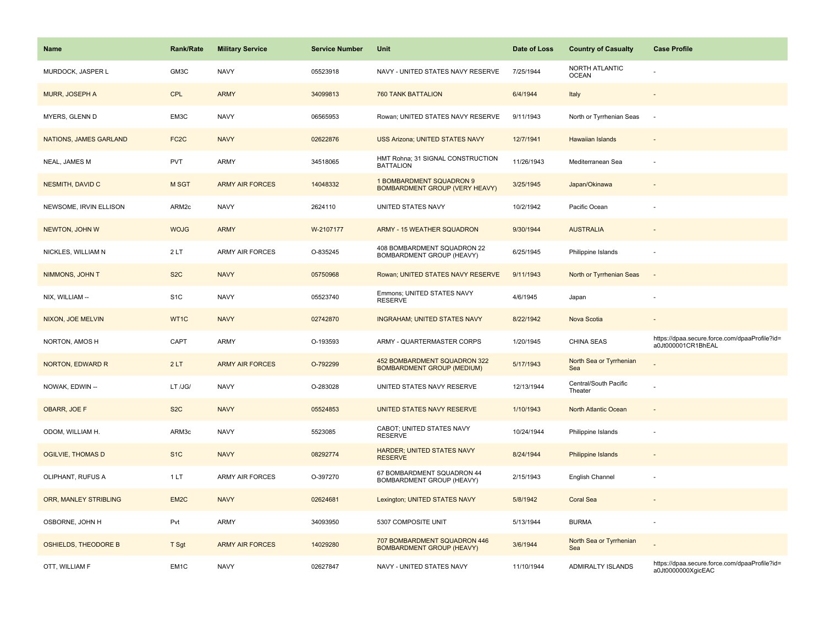| Name                        | Rank/Rate         | <b>Military Service</b> | <b>Service Number</b> | Unit                                                              | Date of Loss | <b>Country of Casualty</b>       | <b>Case Profile</b>                                                 |
|-----------------------------|-------------------|-------------------------|-----------------------|-------------------------------------------------------------------|--------------|----------------------------------|---------------------------------------------------------------------|
| MURDOCK, JASPER L           | GM3C              | <b>NAVY</b>             | 05523918              | NAVY - UNITED STATES NAVY RESERVE                                 | 7/25/1944    | NORTH ATLANTIC<br><b>OCEAN</b>   |                                                                     |
| <b>MURR, JOSEPH A</b>       | <b>CPL</b>        | <b>ARMY</b>             | 34099813              | <b>760 TANK BATTALION</b>                                         | 6/4/1944     | Italy                            |                                                                     |
| MYERS, GLENN D              | EM3C              | <b>NAVY</b>             | 06565953              | Rowan; UNITED STATES NAVY RESERVE                                 | 9/11/1943    | North or Tyrrhenian Seas         | $\sim$                                                              |
| NATIONS, JAMES GARLAND      | FC <sub>2</sub> C | <b>NAVY</b>             | 02622876              | <b>USS Arizona; UNITED STATES NAVY</b>                            | 12/7/1941    | Hawaiian Islands                 |                                                                     |
| NEAL, JAMES M               | <b>PVT</b>        | <b>ARMY</b>             | 34518065              | HMT Rohna; 31 SIGNAL CONSTRUCTION<br><b>BATTALION</b>             | 11/26/1943   | Mediterranean Sea                |                                                                     |
| NESMITH, DAVID C            | M SGT             | <b>ARMY AIR FORCES</b>  | 14048332              | 1 BOMBARDMENT SQUADRON 9<br><b>BOMBARDMENT GROUP (VERY HEAVY)</b> | 3/25/1945    | Japan/Okinawa                    |                                                                     |
| NEWSOME, IRVIN ELLISON      | ARM <sub>2c</sub> | <b>NAVY</b>             | 2624110               | UNITED STATES NAVY                                                | 10/2/1942    | Pacific Ocean                    |                                                                     |
| NEWTON, JOHN W              | <b>WOJG</b>       | <b>ARMY</b>             | W-2107177             | ARMY - 15 WEATHER SQUADRON                                        | 9/30/1944    | <b>AUSTRALIA</b>                 |                                                                     |
| NICKLES, WILLIAM N          | 2LT               | <b>ARMY AIR FORCES</b>  | O-835245              | 408 BOMBARDMENT SQUADRON 22<br><b>BOMBARDMENT GROUP (HEAVY)</b>   | 6/25/1945    | Philippine Islands               |                                                                     |
| NIMMONS, JOHN T             | S <sub>2</sub> C  | <b>NAVY</b>             | 05750968              | Rowan; UNITED STATES NAVY RESERVE                                 | 9/11/1943    | North or Tyrrhenian Seas         | $\overline{\phantom{a}}$                                            |
| NIX, WILLIAM --             | S <sub>1</sub> C  | <b>NAVY</b>             | 05523740              | Emmons; UNITED STATES NAVY<br><b>RESERVE</b>                      | 4/6/1945     | Japan                            |                                                                     |
| NIXON, JOE MELVIN           | WT1C              | <b>NAVY</b>             | 02742870              | <b>INGRAHAM; UNITED STATES NAVY</b>                               | 8/22/1942    | Nova Scotia                      |                                                                     |
| NORTON, AMOS H              | CAPT              | ARMY                    | O-193593              | ARMY - QUARTERMASTER CORPS                                        | 1/20/1945    | <b>CHINA SEAS</b>                | https://dpaa.secure.force.com/dpaaProfile?id=<br>a0Jt000001CR1BhEAL |
| <b>NORTON, EDWARD R</b>     | 2LT               | <b>ARMY AIR FORCES</b>  | O-792299              | 452 BOMBARDMENT SQUADRON 322<br><b>BOMBARDMENT GROUP (MEDIUM)</b> | 5/17/1943    | North Sea or Tyrrhenian<br>Sea   |                                                                     |
| NOWAK, EDWIN --             | LT /JG/           | <b>NAVY</b>             | O-283028              | UNITED STATES NAVY RESERVE                                        | 12/13/1944   | Central/South Pacific<br>Theater |                                                                     |
| OBARR, JOE F                | S <sub>2</sub> C  | <b>NAVY</b>             | 05524853              | UNITED STATES NAVY RESERVE                                        | 1/10/1943    | North Atlantic Ocean             |                                                                     |
| ODOM, WILLIAM H.            | ARM3c             | <b>NAVY</b>             | 5523085               | CABOT; UNITED STATES NAVY<br><b>RESERVE</b>                       | 10/24/1944   | Philippine Islands               | $\overline{\phantom{a}}$                                            |
| <b>OGILVIE, THOMAS D</b>    | S <sub>1</sub> C  | <b>NAVY</b>             | 08292774              | HARDER; UNITED STATES NAVY<br><b>RESERVE</b>                      | 8/24/1944    | <b>Philippine Islands</b>        |                                                                     |
| OLIPHANT, RUFUS A           | 1 LT              | <b>ARMY AIR FORCES</b>  | O-397270              | 67 BOMBARDMENT SQUADRON 44<br>BOMBARDMENT GROUP (HEAVY)           | 2/15/1943    | English Channel                  |                                                                     |
| ORR, MANLEY STRIBLING       | EM <sub>2</sub> C | <b>NAVY</b>             | 02624681              | Lexington; UNITED STATES NAVY                                     | 5/8/1942     | <b>Coral Sea</b>                 | $\overline{a}$                                                      |
| OSBORNE, JOHN H             | Pvt               | ARMY                    | 34093950              | 5307 COMPOSITE UNIT                                               | 5/13/1944    | <b>BURMA</b>                     |                                                                     |
| <b>OSHIELDS, THEODORE B</b> | T Sgt             | <b>ARMY AIR FORCES</b>  | 14029280              | 707 BOMBARDMENT SQUADRON 446<br><b>BOMBARDMENT GROUP (HEAVY)</b>  | 3/6/1944     | North Sea or Tyrrhenian<br>Sea   |                                                                     |
| OTT, WILLIAM F              | EM <sub>1C</sub>  | <b>NAVY</b>             | 02627847              | NAVY - UNITED STATES NAVY                                         | 11/10/1944   | <b>ADMIRALTY ISLANDS</b>         | https://dpaa.secure.force.com/dpaaProfile?id=<br>a0Jt0000000XgicEAC |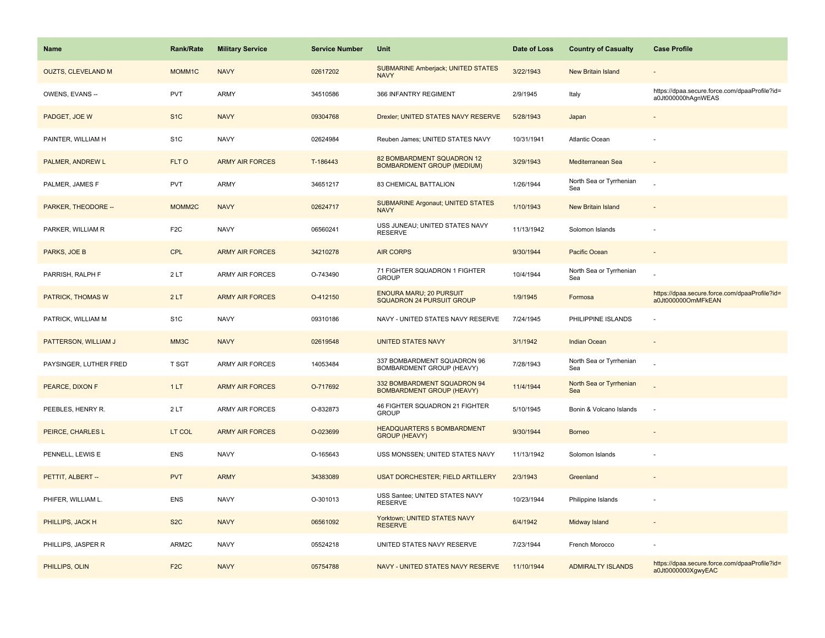| <b>Name</b>               | <b>Rank/Rate</b>   | <b>Military Service</b> | <b>Service Number</b> | Unit                                                               | Date of Loss | <b>Country of Casualty</b>     | <b>Case Profile</b>                                                 |
|---------------------------|--------------------|-------------------------|-----------------------|--------------------------------------------------------------------|--------------|--------------------------------|---------------------------------------------------------------------|
| <b>OUZTS, CLEVELAND M</b> | MOMM1C             | <b>NAVY</b>             | 02617202              | <b>SUBMARINE Amberjack; UNITED STATES</b><br><b>NAVY</b>           | 3/22/1943    | New Britain Island             |                                                                     |
| OWENS, EVANS --           | PVT                | ARMY                    | 34510586              | 366 INFANTRY REGIMENT                                              | 2/9/1945     | Italy                          | https://dpaa.secure.force.com/dpaaProfile?id=<br>a0Jt000000hAgnWEAS |
| PADGET, JOE W             | S <sub>1</sub> C   | <b>NAVY</b>             | 09304768              | Drexler; UNITED STATES NAVY RESERVE                                | 5/28/1943    | Japan                          |                                                                     |
| PAINTER, WILLIAM H        | S <sub>1</sub> C   | <b>NAVY</b>             | 02624984              | Reuben James; UNITED STATES NAVY                                   | 10/31/1941   | Atlantic Ocean                 |                                                                     |
| PALMER, ANDREW L          | FLT O              | <b>ARMY AIR FORCES</b>  | T-186443              | 82 BOMBARDMENT SQUADRON 12<br><b>BOMBARDMENT GROUP (MEDIUM)</b>    | 3/29/1943    | Mediterranean Sea              |                                                                     |
| PALMER, JAMES F           | <b>PVT</b>         | ARMY                    | 34651217              | 83 CHEMICAL BATTALION                                              | 1/26/1944    | North Sea or Tyrrhenian<br>Sea |                                                                     |
| PARKER, THEODORE --       | MOMM <sub>2C</sub> | <b>NAVY</b>             | 02624717              | <b>SUBMARINE Argonaut; UNITED STATES</b><br><b>NAVY</b>            | 1/10/1943    | New Britain Island             |                                                                     |
| PARKER, WILLIAM R         | F <sub>2</sub> C   | <b>NAVY</b>             | 06560241              | USS JUNEAU; UNITED STATES NAVY<br><b>RESERVE</b>                   | 11/13/1942   | Solomon Islands                |                                                                     |
| PARKS, JOE B              | CPL                | <b>ARMY AIR FORCES</b>  | 34210278              | <b>AIR CORPS</b>                                                   | 9/30/1944    | Pacific Ocean                  |                                                                     |
| PARRISH, RALPH F          | 2LT                | <b>ARMY AIR FORCES</b>  | O-743490              | 71 FIGHTER SQUADRON 1 FIGHTER<br><b>GROUP</b>                      | 10/4/1944    | North Sea or Tyrrhenian<br>Sea |                                                                     |
| <b>PATRICK, THOMAS W</b>  | 2LT                | <b>ARMY AIR FORCES</b>  | O-412150              | <b>ENOURA MARU; 20 PURSUIT</b><br><b>SQUADRON 24 PURSUIT GROUP</b> | 1/9/1945     | Formosa                        | https://dpaa.secure.force.com/dpaaProfile?id=<br>a0Jt000000OmMFkEAN |
| PATRICK, WILLIAM M        | S <sub>1</sub> C   | <b>NAVY</b>             | 09310186              | NAVY - UNITED STATES NAVY RESERVE                                  | 7/24/1945    | PHILIPPINE ISLANDS             |                                                                     |
| PATTERSON, WILLIAM J      | MM3C               | <b>NAVY</b>             | 02619548              | <b>UNITED STATES NAVY</b>                                          | 3/1/1942     | <b>Indian Ocean</b>            |                                                                     |
| PAYSINGER, LUTHER FRED    | T SGT              | <b>ARMY AIR FORCES</b>  | 14053484              | 337 BOMBARDMENT SQUADRON 96<br>BOMBARDMENT GROUP (HEAVY)           | 7/28/1943    | North Sea or Tyrrhenian<br>Sea |                                                                     |
| PEARCE, DIXON F           | 1LT                | <b>ARMY AIR FORCES</b>  | O-717692              | 332 BOMBARDMENT SQUADRON 94<br><b>BOMBARDMENT GROUP (HEAVY)</b>    | 11/4/1944    | North Sea or Tyrrhenian<br>Sea |                                                                     |
| PEEBLES, HENRY R.         | 2LT                | <b>ARMY AIR FORCES</b>  | O-832873              | 46 FIGHTER SQUADRON 21 FIGHTER<br><b>GROUP</b>                     | 5/10/1945    | Bonin & Volcano Islands        | $\sim$                                                              |
| PEIRCE, CHARLES L         | LT COL             | <b>ARMY AIR FORCES</b>  | O-023699              | <b>HEADQUARTERS 5 BOMBARDMENT</b><br><b>GROUP (HEAVY)</b>          | 9/30/1944    | <b>Borneo</b>                  |                                                                     |
| PENNELL, LEWIS E          | <b>ENS</b>         | <b>NAVY</b>             | O-165643              | USS MONSSEN; UNITED STATES NAVY                                    | 11/13/1942   | Solomon Islands                |                                                                     |
| PETTIT, ALBERT --         | <b>PVT</b>         | <b>ARMY</b>             | 34383089              | <b>USAT DORCHESTER; FIELD ARTILLERY</b>                            | 2/3/1943     | Greenland                      |                                                                     |
| PHIFER, WILLIAM L.        | <b>ENS</b>         | <b>NAVY</b>             | O-301013              | USS Santee; UNITED STATES NAVY<br><b>RESERVE</b>                   | 10/23/1944   | Philippine Islands             |                                                                     |
| PHILLIPS, JACK H          | S <sub>2</sub> C   | <b>NAVY</b>             | 06561092              | Yorktown; UNITED STATES NAVY<br><b>RESERVE</b>                     | 6/4/1942     | Midway Island                  |                                                                     |
| PHILLIPS, JASPER R        | ARM2C              | <b>NAVY</b>             | 05524218              | UNITED STATES NAVY RESERVE                                         | 7/23/1944    | French Morocco                 |                                                                     |
| PHILLIPS, OLIN            | F <sub>2</sub> C   | <b>NAVY</b>             | 05754788              | NAVY - UNITED STATES NAVY RESERVE                                  | 11/10/1944   | <b>ADMIRALTY ISLANDS</b>       | https://dpaa.secure.force.com/dpaaProfile?id=<br>a0Jt0000000XgwyEAC |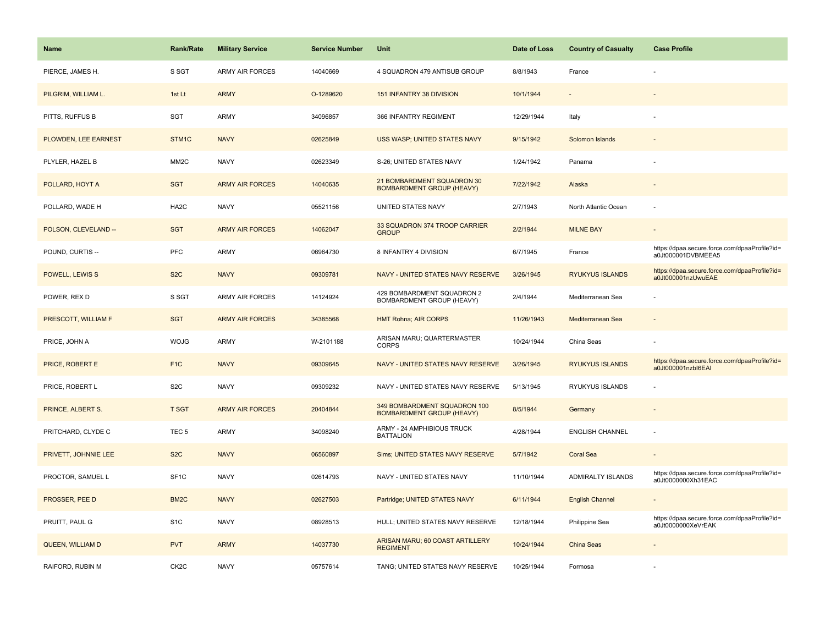| <b>Name</b>          | Rank/Rate         | <b>Military Service</b> | <b>Service Number</b> | Unit                                                             | Date of Loss | <b>Country of Casualty</b> | <b>Case Profile</b>                                                 |
|----------------------|-------------------|-------------------------|-----------------------|------------------------------------------------------------------|--------------|----------------------------|---------------------------------------------------------------------|
| PIERCE, JAMES H.     | S SGT             | <b>ARMY AIR FORCES</b>  | 14040669              | 4 SQUADRON 479 ANTISUB GROUP                                     | 8/8/1943     | France                     |                                                                     |
| PILGRIM, WILLIAM L.  | 1st Lt            | <b>ARMY</b>             | O-1289620             | 151 INFANTRY 38 DIVISION                                         | 10/1/1944    |                            |                                                                     |
| PITTS, RUFFUS B      | <b>SGT</b>        | <b>ARMY</b>             | 34096857              | 366 INFANTRY REGIMENT                                            | 12/29/1944   | Italy                      |                                                                     |
| PLOWDEN, LEE EARNEST | STM1C             | <b>NAVY</b>             | 02625849              | USS WASP; UNITED STATES NAVY                                     | 9/15/1942    | Solomon Islands            |                                                                     |
| PLYLER, HAZEL B      | MM <sub>2</sub> C | <b>NAVY</b>             | 02623349              | S-26; UNITED STATES NAVY                                         | 1/24/1942    | Panama                     |                                                                     |
| POLLARD, HOYT A      | <b>SGT</b>        | <b>ARMY AIR FORCES</b>  | 14040635              | 21 BOMBARDMENT SQUADRON 30<br><b>BOMBARDMENT GROUP (HEAVY)</b>   | 7/22/1942    | Alaska                     |                                                                     |
| POLLARD, WADE H      | HA <sub>2</sub> C | <b>NAVY</b>             | 05521156              | UNITED STATES NAVY                                               | 2/7/1943     | North Atlantic Ocean       |                                                                     |
| POLSON, CLEVELAND -- | <b>SGT</b>        | <b>ARMY AIR FORCES</b>  | 14062047              | 33 SQUADRON 374 TROOP CARRIER<br><b>GROUP</b>                    | 2/2/1944     | <b>MILNE BAY</b>           |                                                                     |
| POUND, CURTIS --     | PFC               | <b>ARMY</b>             | 06964730              | 8 INFANTRY 4 DIVISION                                            | 6/7/1945     | France                     | https://dpaa.secure.force.com/dpaaProfile?id=<br>a0Jt000001DVBMEEA5 |
| POWELL, LEWIS S      | S <sub>2</sub> C  | <b>NAVY</b>             | 09309781              | NAVY - UNITED STATES NAVY RESERVE                                | 3/26/1945    | <b>RYUKYUS ISLANDS</b>     | https://dpaa.secure.force.com/dpaaProfile?id=<br>a0Jt000001nzUwuEAE |
| POWER, REX D         | S SGT             | <b>ARMY AIR FORCES</b>  | 14124924              | 429 BOMBARDMENT SQUADRON 2<br><b>BOMBARDMENT GROUP (HEAVY)</b>   | 2/4/1944     | Mediterranean Sea          |                                                                     |
| PRESCOTT, WILLIAM F  | <b>SGT</b>        | <b>ARMY AIR FORCES</b>  | 34385568              | <b>HMT Rohna; AIR CORPS</b>                                      | 11/26/1943   | Mediterranean Sea          |                                                                     |
| PRICE, JOHN A        | <b>WOJG</b>       | <b>ARMY</b>             | W-2101188             | ARISAN MARU; QUARTERMASTER<br><b>CORPS</b>                       | 10/24/1944   | China Seas                 |                                                                     |
| PRICE, ROBERT E      | F <sub>1</sub> C  | <b>NAVY</b>             | 09309645              | NAVY - UNITED STATES NAVY RESERVE                                | 3/26/1945    | <b>RYUKYUS ISLANDS</b>     | https://dpaa.secure.force.com/dpaaProfile?id=<br>a0Jt000001nzbl6EAI |
| PRICE, ROBERT L      | S <sub>2</sub> C  | <b>NAVY</b>             | 09309232              | NAVY - UNITED STATES NAVY RESERVE                                | 5/13/1945    | RYUKYUS ISLANDS            |                                                                     |
| PRINCE, ALBERT S.    | <b>T SGT</b>      | <b>ARMY AIR FORCES</b>  | 20404844              | 349 BOMBARDMENT SQUADRON 100<br><b>BOMBARDMENT GROUP (HEAVY)</b> | 8/5/1944     | Germany                    |                                                                     |
| PRITCHARD, CLYDE C   | TEC <sub>5</sub>  | <b>ARMY</b>             | 34098240              | ARMY - 24 AMPHIBIOUS TRUCK<br><b>BATTALION</b>                   | 4/28/1944    | <b>ENGLISH CHANNEL</b>     |                                                                     |
| PRIVETT, JOHNNIE LEE | S <sub>2</sub> C  | <b>NAVY</b>             | 06560897              | Sims; UNITED STATES NAVY RESERVE                                 | 5/7/1942     | <b>Coral Sea</b>           | $\overline{\phantom{a}}$                                            |
| PROCTOR, SAMUEL L    | SF <sub>1</sub> C | <b>NAVY</b>             | 02614793              | NAVY - UNITED STATES NAVY                                        | 11/10/1944   | ADMIRALTY ISLANDS          | https://dpaa.secure.force.com/dpaaProfile?id=<br>a0Jt0000000Xh31EAC |
| PROSSER, PEE D       | BM <sub>2</sub> C | <b>NAVY</b>             | 02627503              | Partridge; UNITED STATES NAVY                                    | 6/11/1944    | <b>English Channel</b>     | $\sim$                                                              |
| PRUITT, PAUL G       | S <sub>1</sub> C  | <b>NAVY</b>             | 08928513              | HULL; UNITED STATES NAVY RESERVE                                 | 12/18/1944   | Philippine Sea             | https://dpaa.secure.force.com/dpaaProfile?id=<br>a0Jt0000000XeVrEAK |
| QUEEN, WILLIAM D     | <b>PVT</b>        | <b>ARMY</b>             | 14037730              | ARISAN MARU; 60 COAST ARTILLERY<br><b>REGIMENT</b>               | 10/24/1944   | <b>China Seas</b>          |                                                                     |
| RAIFORD, RUBIN M     | CK <sub>2</sub> C | <b>NAVY</b>             | 05757614              | TANG; UNITED STATES NAVY RESERVE                                 | 10/25/1944   | Formosa                    |                                                                     |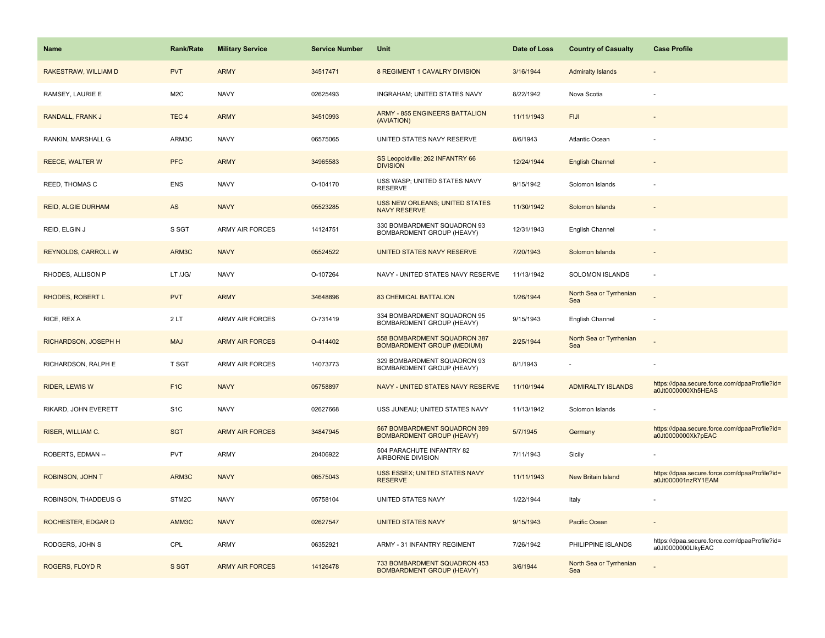| <b>Name</b>               | <b>Rank/Rate</b> | <b>Military Service</b> | <b>Service Number</b> | Unit                                                              | Date of Loss | <b>Country of Casualty</b>     | <b>Case Profile</b>                                                 |
|---------------------------|------------------|-------------------------|-----------------------|-------------------------------------------------------------------|--------------|--------------------------------|---------------------------------------------------------------------|
| RAKESTRAW, WILLIAM D      | <b>PVT</b>       | <b>ARMY</b>             | 34517471              | 8 REGIMENT 1 CAVALRY DIVISION                                     | 3/16/1944    | <b>Admiralty Islands</b>       |                                                                     |
| RAMSEY, LAURIE E          | M <sub>2</sub> C | <b>NAVY</b>             | 02625493              | INGRAHAM; UNITED STATES NAVY                                      | 8/22/1942    | Nova Scotia                    |                                                                     |
| RANDALL, FRANK J          | TEC <sub>4</sub> | <b>ARMY</b>             | 34510993              | <b>ARMY - 855 ENGINEERS BATTALION</b><br>(AVIATION)               | 11/11/1943   | <b>FIJI</b>                    |                                                                     |
| RANKIN, MARSHALL G        | ARM3C            | <b>NAVY</b>             | 06575065              | UNITED STATES NAVY RESERVE                                        | 8/6/1943     | Atlantic Ocean                 |                                                                     |
| <b>REECE, WALTER W</b>    | <b>PFC</b>       | <b>ARMY</b>             | 34965583              | SS Leopoldville; 262 INFANTRY 66<br><b>DIVISION</b>               | 12/24/1944   | <b>English Channel</b>         |                                                                     |
| REED, THOMAS C            | <b>ENS</b>       | <b>NAVY</b>             | O-104170              | USS WASP; UNITED STATES NAVY<br><b>RESERVE</b>                    | 9/15/1942    | Solomon Islands                |                                                                     |
| <b>REID, ALGIE DURHAM</b> | AS               | <b>NAVY</b>             | 05523285              | <b>USS NEW ORLEANS; UNITED STATES</b><br><b>NAVY RESERVE</b>      | 11/30/1942   | Solomon Islands                |                                                                     |
| REID, ELGIN J             | S SGT            | <b>ARMY AIR FORCES</b>  | 14124751              | 330 BOMBARDMENT SQUADRON 93<br>BOMBARDMENT GROUP (HEAVY)          | 12/31/1943   | English Channel                |                                                                     |
| REYNOLDS, CARROLL W       | ARM3C            | <b>NAVY</b>             | 05524522              | UNITED STATES NAVY RESERVE                                        | 7/20/1943    | Solomon Islands                |                                                                     |
| RHODES, ALLISON P         | LT /JG/          | <b>NAVY</b>             | O-107264              | NAVY - UNITED STATES NAVY RESERVE                                 | 11/13/1942   | SOLOMON ISLANDS                |                                                                     |
| <b>RHODES, ROBERT L</b>   | <b>PVT</b>       | <b>ARMY</b>             | 34648896              | <b>83 CHEMICAL BATTALION</b>                                      | 1/26/1944    | North Sea or Tyrrhenian<br>Sea |                                                                     |
| RICE, REX A               | 2LT              | ARMY AIR FORCES         | O-731419              | 334 BOMBARDMENT SQUADRON 95<br>BOMBARDMENT GROUP (HEAVY)          | 9/15/1943    | English Channel                |                                                                     |
| RICHARDSON, JOSEPH H      | <b>MAJ</b>       | <b>ARMY AIR FORCES</b>  | O-414402              | 558 BOMBARDMENT SQUADRON 387<br><b>BOMBARDMENT GROUP (MEDIUM)</b> | 2/25/1944    | North Sea or Tyrrhenian<br>Sea |                                                                     |
| RICHARDSON, RALPH E       | <b>T SGT</b>     | ARMY AIR FORCES         | 14073773              | 329 BOMBARDMENT SQUADRON 93<br>BOMBARDMENT GROUP (HEAVY)          | 8/1/1943     | $\blacksquare$                 |                                                                     |
| <b>RIDER, LEWIS W</b>     | F <sub>1C</sub>  | <b>NAVY</b>             | 05758897              | NAVY - UNITED STATES NAVY RESERVE                                 | 11/10/1944   | <b>ADMIRALTY ISLANDS</b>       | https://dpaa.secure.force.com/dpaaProfile?id=<br>a0Jt0000000Xh5HEAS |
| RIKARD, JOHN EVERETT      | S <sub>1</sub> C | <b>NAVY</b>             | 02627668              | USS JUNEAU; UNITED STATES NAVY                                    | 11/13/1942   | Solomon Islands                |                                                                     |
| RISER, WILLIAM C.         | <b>SGT</b>       | <b>ARMY AIR FORCES</b>  | 34847945              | 567 BOMBARDMENT SQUADRON 389<br><b>BOMBARDMENT GROUP (HEAVY)</b>  | 5/7/1945     | Germany                        | https://dpaa.secure.force.com/dpaaProfile?id=<br>a0Jt0000000Xk7pEAC |
| ROBERTS, EDMAN --         | <b>PVT</b>       | ARMY                    | 20406922              | 504 PARACHUTE INFANTRY 82<br>AIRBORNE DIVISION                    | 7/11/1943    | Sicily                         |                                                                     |
| ROBINSON, JOHN T          | ARM3C            | <b>NAVY</b>             | 06575043              | <b>USS ESSEX: UNITED STATES NAVY</b><br><b>RESERVE</b>            | 11/11/1943   | <b>New Britain Island</b>      | https://dpaa.secure.force.com/dpaaProfile?id=<br>a0Jt000001nzRY1EAM |
| ROBINSON, THADDEUS G      | STM2C            | <b>NAVY</b>             | 05758104              | UNITED STATES NAVY                                                | 1/22/1944    | Italy                          |                                                                     |
| ROCHESTER, EDGAR D        | AMM3C            | <b>NAVY</b>             | 02627547              | <b>UNITED STATES NAVY</b>                                         | 9/15/1943    | Pacific Ocean                  |                                                                     |
| RODGERS, JOHN S           | CPL              | ARMY                    | 06352921              | ARMY - 31 INFANTRY REGIMENT                                       | 7/26/1942    | PHILIPPINE ISLANDS             | https://dpaa.secure.force.com/dpaaProfile?id=<br>a0Jt0000000LlkyEAC |
| <b>ROGERS, FLOYD R</b>    | S SGT            | <b>ARMY AIR FORCES</b>  | 14126478              | 733 BOMBARDMENT SQUADRON 453<br><b>BOMBARDMENT GROUP (HEAVY)</b>  | 3/6/1944     | North Sea or Tyrrhenian<br>Sea |                                                                     |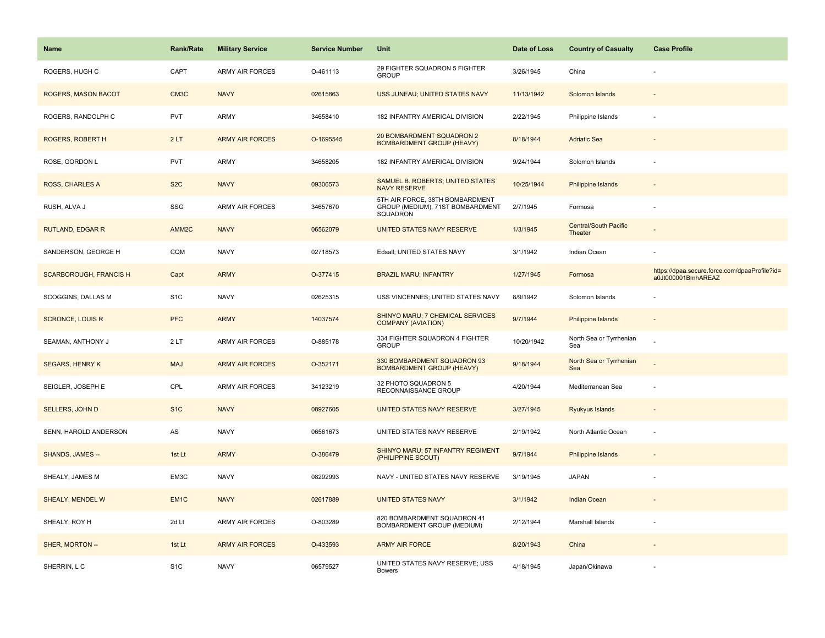| <b>Name</b>                   | <b>Rank/Rate</b>  | <b>Military Service</b> | <b>Service Number</b> | Unit                                                                            | Date of Loss | <b>Country of Casualty</b>              | <b>Case Profile</b>                                                 |
|-------------------------------|-------------------|-------------------------|-----------------------|---------------------------------------------------------------------------------|--------------|-----------------------------------------|---------------------------------------------------------------------|
| ROGERS, HUGH C                | CAPT              | <b>ARMY AIR FORCES</b>  | O-461113              | 29 FIGHTER SQUADRON 5 FIGHTER<br><b>GROUP</b>                                   | 3/26/1945    | China                                   |                                                                     |
| ROGERS, MASON BACOT           | CM3C              | <b>NAVY</b>             | 02615863              | USS JUNEAU; UNITED STATES NAVY                                                  | 11/13/1942   | Solomon Islands                         |                                                                     |
| ROGERS, RANDOLPH C            | <b>PVT</b>        | <b>ARMY</b>             | 34658410              | 182 INFANTRY AMERICAL DIVISION                                                  | 2/22/1945    | Philippine Islands                      |                                                                     |
| ROGERS, ROBERT H              | 2LT               | <b>ARMY AIR FORCES</b>  | O-1695545             | 20 BOMBARDMENT SQUADRON 2<br><b>BOMBARDMENT GROUP (HEAVY)</b>                   | 8/18/1944    | <b>Adriatic Sea</b>                     |                                                                     |
| ROSE, GORDON L                | <b>PVT</b>        | <b>ARMY</b>             | 34658205              | 182 INFANTRY AMERICAL DIVISION                                                  | 9/24/1944    | Solomon Islands                         |                                                                     |
| <b>ROSS, CHARLES A</b>        | S <sub>2</sub> C  | <b>NAVY</b>             | 09306573              | SAMUEL B. ROBERTS; UNITED STATES<br><b>NAVY RESERVE</b>                         | 10/25/1944   | <b>Philippine Islands</b>               | $\sim$                                                              |
| RUSH, ALVA J                  | SSG               | <b>ARMY AIR FORCES</b>  | 34657670              | 5TH AIR FORCE, 38TH BOMBARDMENT<br>GROUP (MEDIUM), 71ST BOMBARDMENT<br>SQUADRON | 2/7/1945     | Formosa                                 | ÷,                                                                  |
| <b>RUTLAND, EDGAR R</b>       | AMM <sub>2C</sub> | <b>NAVY</b>             | 06562079              | UNITED STATES NAVY RESERVE                                                      | 1/3/1945     | <b>Central/South Pacific</b><br>Theater |                                                                     |
| SANDERSON, GEORGE H           | CQM               | <b>NAVY</b>             | 02718573              | Edsall; UNITED STATES NAVY                                                      | 3/1/1942     | Indian Ocean                            |                                                                     |
| <b>SCARBOROUGH, FRANCIS H</b> | Capt              | <b>ARMY</b>             | O-377415              | <b>BRAZIL MARU; INFANTRY</b>                                                    | 1/27/1945    | Formosa                                 | https://dpaa.secure.force.com/dpaaProfile?id=<br>a0Jt000001BmhAREAZ |
| SCOGGINS, DALLAS M            | S <sub>1</sub> C  | <b>NAVY</b>             | 02625315              | USS VINCENNES; UNITED STATES NAVY                                               | 8/9/1942     | Solomon Islands                         |                                                                     |
| <b>SCRONCE, LOUIS R</b>       | <b>PFC</b>        | <b>ARMY</b>             | 14037574              | SHINYO MARU; 7 CHEMICAL SERVICES<br><b>COMPANY (AVIATION)</b>                   | 9/7/1944     | <b>Philippine Islands</b>               |                                                                     |
| SEAMAN, ANTHONY J             | 2LT               | <b>ARMY AIR FORCES</b>  | O-885178              | 334 FIGHTER SQUADRON 4 FIGHTER<br><b>GROUP</b>                                  | 10/20/1942   | North Sea or Tyrrhenian<br>Sea          |                                                                     |
| <b>SEGARS, HENRY K</b>        | <b>MAJ</b>        | <b>ARMY AIR FORCES</b>  | O-352171              | 330 BOMBARDMENT SQUADRON 93<br><b>BOMBARDMENT GROUP (HEAVY)</b>                 | 9/18/1944    | North Sea or Tyrrhenian<br>Sea          |                                                                     |
| SEIGLER, JOSEPH E             | CPL               | <b>ARMY AIR FORCES</b>  | 34123219              | 32 PHOTO SQUADRON 5<br>RECONNAISSANCE GROUP                                     | 4/20/1944    | Mediterranean Sea                       |                                                                     |
| <b>SELLERS, JOHN D</b>        | S <sub>1</sub> C  | <b>NAVY</b>             | 08927605              | <b>UNITED STATES NAVY RESERVE</b>                                               | 3/27/1945    | Ryukyus Islands                         |                                                                     |
| SENN, HAROLD ANDERSON         | AS                | <b>NAVY</b>             | 06561673              | UNITED STATES NAVY RESERVE                                                      | 2/19/1942    | North Atlantic Ocean                    | ÷,                                                                  |
| SHANDS, JAMES --              | 1st Lt            | <b>ARMY</b>             | O-386479              | SHINYO MARU; 57 INFANTRY REGIMENT<br>(PHILIPPINE SCOUT)                         | 9/7/1944     | <b>Philippine Islands</b>               |                                                                     |
| SHEALY, JAMES M               | EM3C              | <b>NAVY</b>             | 08292993              | NAVY - UNITED STATES NAVY RESERVE                                               | 3/19/1945    | <b>JAPAN</b>                            |                                                                     |
| SHEALY, MENDEL W              | EM <sub>1C</sub>  | <b>NAVY</b>             | 02617889              | <b>UNITED STATES NAVY</b>                                                       | 3/1/1942     | Indian Ocean                            |                                                                     |
| SHEALY, ROY H                 | 2d Lt             | <b>ARMY AIR FORCES</b>  | O-803289              | 820 BOMBARDMENT SQUADRON 41<br>BOMBARDMENT GROUP (MEDIUM)                       | 2/12/1944    | Marshall Islands                        |                                                                     |
| SHER, MORTON --               | 1st Lt            | <b>ARMY AIR FORCES</b>  | O-433593              | <b>ARMY AIR FORCE</b>                                                           | 8/20/1943    | China                                   |                                                                     |
| SHERRIN, L C                  | S <sub>1</sub> C  | <b>NAVY</b>             | 06579527              | UNITED STATES NAVY RESERVE; USS<br><b>Bowers</b>                                | 4/18/1945    | Japan/Okinawa                           |                                                                     |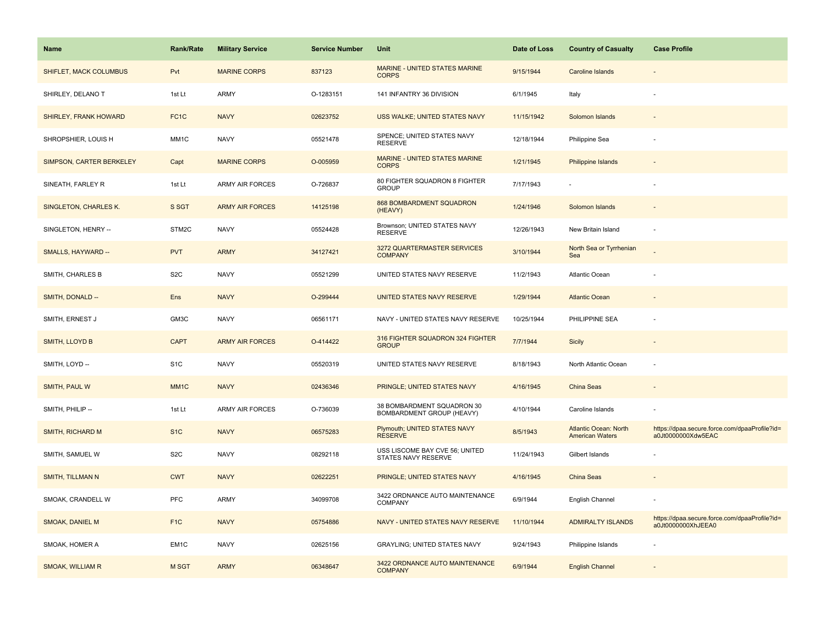| Name                          | <b>Rank/Rate</b>  | <b>Military Service</b> | <b>Service Number</b> | Unit                                                    | Date of Loss | <b>Country of Casualty</b>                      | <b>Case Profile</b>                                                 |
|-------------------------------|-------------------|-------------------------|-----------------------|---------------------------------------------------------|--------------|-------------------------------------------------|---------------------------------------------------------------------|
| <b>SHIFLET, MACK COLUMBUS</b> | Pvt               | <b>MARINE CORPS</b>     | 837123                | MARINE - UNITED STATES MARINE<br><b>CORPS</b>           | 9/15/1944    | Caroline Islands                                |                                                                     |
| SHIRLEY, DELANO T             | 1st Lt            | ARMY                    | O-1283151             | 141 INFANTRY 36 DIVISION                                | 6/1/1945     | Italy                                           |                                                                     |
| <b>SHIRLEY, FRANK HOWARD</b>  | FC <sub>1</sub> C | <b>NAVY</b>             | 02623752              | USS WALKE; UNITED STATES NAVY                           | 11/15/1942   | Solomon Islands                                 |                                                                     |
| SHROPSHIER, LOUIS H           | MM1C              | <b>NAVY</b>             | 05521478              | SPENCE; UNITED STATES NAVY<br><b>RESERVE</b>            | 12/18/1944   | Philippine Sea                                  |                                                                     |
| SIMPSON, CARTER BERKELEY      | Capt              | <b>MARINE CORPS</b>     | O-005959              | MARINE - UNITED STATES MARINE<br><b>CORPS</b>           | 1/21/1945    | Philippine Islands                              |                                                                     |
| SINEATH, FARLEY R             | 1st Lt            | <b>ARMY AIR FORCES</b>  | O-726837              | 80 FIGHTER SQUADRON 8 FIGHTER<br><b>GROUP</b>           | 7/17/1943    |                                                 |                                                                     |
| SINGLETON, CHARLES K.         | S SGT             | <b>ARMY AIR FORCES</b>  | 14125198              | <b>868 BOMBARDMENT SQUADRON</b><br>(HEAVY)              | 1/24/1946    | Solomon Islands                                 |                                                                     |
| SINGLETON, HENRY --           | STM2C             | <b>NAVY</b>             | 05524428              | Brownson; UNITED STATES NAVY<br><b>RESERVE</b>          | 12/26/1943   | New Britain Island                              |                                                                     |
| SMALLS, HAYWARD --            | <b>PVT</b>        | <b>ARMY</b>             | 34127421              | 3272 QUARTERMASTER SERVICES<br><b>COMPANY</b>           | 3/10/1944    | North Sea or Tyrrhenian<br>Sea                  |                                                                     |
| SMITH, CHARLES B              | S <sub>2</sub> C  | <b>NAVY</b>             | 05521299              | UNITED STATES NAVY RESERVE                              | 11/2/1943    | Atlantic Ocean                                  |                                                                     |
| SMITH, DONALD --              | Ens               | <b>NAVY</b>             | O-299444              | UNITED STATES NAVY RESERVE                              | 1/29/1944    | <b>Atlantic Ocean</b>                           |                                                                     |
| SMITH, ERNEST J               | GM3C              | <b>NAVY</b>             | 06561171              | NAVY - UNITED STATES NAVY RESERVE                       | 10/25/1944   | PHILIPPINE SEA                                  |                                                                     |
| <b>SMITH, LLOYD B</b>         | <b>CAPT</b>       | <b>ARMY AIR FORCES</b>  | O-414422              | 316 FIGHTER SQUADRON 324 FIGHTER<br><b>GROUP</b>        | 7/7/1944     | <b>Sicily</b>                                   |                                                                     |
| SMITH, LOYD --                | S <sub>1</sub> C  | <b>NAVY</b>             | 05520319              | UNITED STATES NAVY RESERVE                              | 8/18/1943    | North Atlantic Ocean                            |                                                                     |
| SMITH, PAUL W                 | MM <sub>1C</sub>  | <b>NAVY</b>             | 02436346              | PRINGLE; UNITED STATES NAVY                             | 4/16/1945    | China Seas                                      |                                                                     |
| SMITH, PHILIP --              | 1st Lt            | <b>ARMY AIR FORCES</b>  | O-736039              | 38 BOMBARDMENT SQUADRON 30<br>BOMBARDMENT GROUP (HEAVY) | 4/10/1944    | Caroline Islands                                |                                                                     |
| SMITH, RICHARD M              | S <sub>1</sub> C  | <b>NAVY</b>             | 06575283              | Plymouth; UNITED STATES NAVY<br><b>RESERVE</b>          | 8/5/1943     | Atlantic Ocean: North<br><b>American Waters</b> | https://dpaa.secure.force.com/dpaaProfile?id=<br>a0Jt0000000Xdw5EAC |
| SMITH, SAMUEL W               | S <sub>2</sub> C  | <b>NAVY</b>             | 08292118              | USS LISCOME BAY CVE 56; UNITED<br>STATES NAVY RESERVE   | 11/24/1943   | Gilbert Islands                                 |                                                                     |
| <b>SMITH, TILLMAN N</b>       | <b>CWT</b>        | <b>NAVY</b>             | 02622251              | PRINGLE; UNITED STATES NAVY                             | 4/16/1945    | China Seas                                      |                                                                     |
| SMOAK, CRANDELL W             | <b>PFC</b>        | <b>ARMY</b>             | 34099708              | 3422 ORDNANCE AUTO MAINTENANCE<br><b>COMPANY</b>        | 6/9/1944     | English Channel                                 |                                                                     |
| <b>SMOAK, DANIEL M</b>        | F <sub>1C</sub>   | <b>NAVY</b>             | 05754886              | NAVY - UNITED STATES NAVY RESERVE                       | 11/10/1944   | <b>ADMIRALTY ISLANDS</b>                        | https://dpaa.secure.force.com/dpaaProfile?id=<br>a0Jt0000000XhJEEA0 |
| SMOAK, HOMER A                | EM <sub>1</sub> C | <b>NAVY</b>             | 02625156              | GRAYLING; UNITED STATES NAVY                            | 9/24/1943    | Philippine Islands                              |                                                                     |
| <b>SMOAK, WILLIAM R</b>       | M SGT             | <b>ARMY</b>             | 06348647              | 3422 ORDNANCE AUTO MAINTENANCE<br><b>COMPANY</b>        | 6/9/1944     | <b>English Channel</b>                          |                                                                     |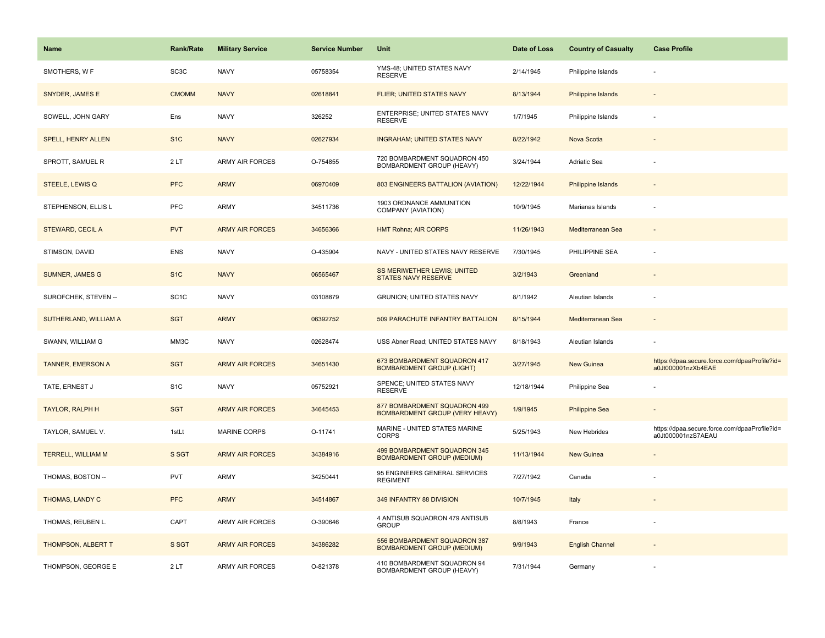| Name                     | <b>Rank/Rate</b>  | <b>Military Service</b> | <b>Service Number</b> | Unit                                                              | Date of Loss | <b>Country of Casualty</b> | <b>Case Profile</b>                                                 |
|--------------------------|-------------------|-------------------------|-----------------------|-------------------------------------------------------------------|--------------|----------------------------|---------------------------------------------------------------------|
| SMOTHERS, W F            | SC <sub>3</sub> C | <b>NAVY</b>             | 05758354              | YMS-48; UNITED STATES NAVY<br><b>RESERVE</b>                      | 2/14/1945    | Philippine Islands         |                                                                     |
| SNYDER, JAMES E          | <b>CMOMM</b>      | <b>NAVY</b>             | 02618841              | FLIER; UNITED STATES NAVY                                         | 8/13/1944    | <b>Philippine Islands</b>  |                                                                     |
| SOWELL, JOHN GARY        | Ens               | <b>NAVY</b>             | 326252                | ENTERPRISE; UNITED STATES NAVY<br><b>RESERVE</b>                  | 1/7/1945     | Philippine Islands         |                                                                     |
| SPELL, HENRY ALLEN       | S <sub>1</sub> C  | <b>NAVY</b>             | 02627934              | <b>INGRAHAM; UNITED STATES NAVY</b>                               | 8/22/1942    | Nova Scotia                |                                                                     |
| SPROTT, SAMUEL R         | 2LT               | <b>ARMY AIR FORCES</b>  | O-754855              | 720 BOMBARDMENT SQUADRON 450<br>BOMBARDMENT GROUP (HEAVY)         | 3/24/1944    | Adriatic Sea               |                                                                     |
| STEELE, LEWIS Q          | <b>PFC</b>        | <b>ARMY</b>             | 06970409              | 803 ENGINEERS BATTALION (AVIATION)                                | 12/22/1944   | Philippine Islands         |                                                                     |
| STEPHENSON, ELLIS L      | PFC               | ARMY                    | 34511736              | 1903 ORDNANCE AMMUNITION<br>COMPANY (AVIATION)                    | 10/9/1945    | Marianas Islands           |                                                                     |
| STEWARD, CECIL A         | <b>PVT</b>        | <b>ARMY AIR FORCES</b>  | 34656366              | <b>HMT Rohna; AIR CORPS</b>                                       | 11/26/1943   | Mediterranean Sea          |                                                                     |
| STIMSON, DAVID           | <b>ENS</b>        | <b>NAVY</b>             | O-435904              | NAVY - UNITED STATES NAVY RESERVE                                 | 7/30/1945    | PHILIPPINE SEA             |                                                                     |
| <b>SUMNER, JAMES G</b>   | S <sub>1C</sub>   | <b>NAVY</b>             | 06565467              | SS MERIWETHER LEWIS; UNITED<br><b>STATES NAVY RESERVE</b>         | 3/2/1943     | Greenland                  |                                                                     |
| SUROFCHEK, STEVEN --     | SC <sub>1</sub> C | <b>NAVY</b>             | 03108879              | <b>GRUNION: UNITED STATES NAVY</b>                                | 8/1/1942     | Aleutian Islands           |                                                                     |
| SUTHERLAND, WILLIAM A    | <b>SGT</b>        | <b>ARMY</b>             | 06392752              | 509 PARACHUTE INFANTRY BATTALION                                  | 8/15/1944    | Mediterranean Sea          |                                                                     |
| SWANN, WILLIAM G         | MM3C              | <b>NAVY</b>             | 02628474              | USS Abner Read; UNITED STATES NAVY                                | 8/18/1943    | Aleutian Islands           |                                                                     |
| <b>TANNER, EMERSON A</b> | <b>SGT</b>        | <b>ARMY AIR FORCES</b>  | 34651430              | 673 BOMBARDMENT SQUADRON 417<br><b>BOMBARDMENT GROUP (LIGHT)</b>  | 3/27/1945    | New Guinea                 | https://dpaa.secure.force.com/dpaaProfile?id=<br>a0Jt000001nzXb4EAE |
| TATE, ERNEST J           | S <sub>1</sub> C  | <b>NAVY</b>             | 05752921              | SPENCE; UNITED STATES NAVY<br><b>RESERVE</b>                      | 12/18/1944   | Philippine Sea             |                                                                     |
| <b>TAYLOR, RALPH H</b>   | <b>SGT</b>        | <b>ARMY AIR FORCES</b>  | 34645453              | 877 BOMBARDMENT SQUADRON 499<br>BOMBARDMENT GROUP (VERY HEAVY)    | 1/9/1945     | <b>Philippine Sea</b>      |                                                                     |
| TAYLOR, SAMUEL V.        | 1stLt             | MARINE CORPS            | O-11741               | MARINE - UNITED STATES MARINE<br>CORPS                            | 5/25/1943    | New Hebrides               | https://dpaa.secure.force.com/dpaaProfile?id=<br>a0Jt000001nzS7AEAU |
| TERRELL, WILLIAM M       | S SGT             | <b>ARMY AIR FORCES</b>  | 34384916              | 499 BOMBARDMENT SQUADRON 345<br><b>BOMBARDMENT GROUP (MEDIUM)</b> | 11/13/1944   | <b>New Guinea</b>          |                                                                     |
| THOMAS, BOSTON --        | <b>PVT</b>        | ARMY                    | 34250441              | 95 ENGINEERS GENERAL SERVICES<br><b>REGIMENT</b>                  | 7/27/1942    | Canada                     |                                                                     |
| THOMAS, LANDY C          | <b>PFC</b>        | <b>ARMY</b>             | 34514867              | 349 INFANTRY 88 DIVISION                                          | 10/7/1945    | Italy                      |                                                                     |
| THOMAS, REUBEN L.        | CAPT              | ARMY AIR FORCES         | O-390646              | 4 ANTISUB SQUADRON 479 ANTISUB<br><b>GROUP</b>                    | 8/8/1943     | France                     |                                                                     |
| THOMPSON, ALBERT T       | S SGT             | <b>ARMY AIR FORCES</b>  | 34386282              | 556 BOMBARDMENT SQUADRON 387<br><b>BOMBARDMENT GROUP (MEDIUM)</b> | 9/9/1943     | <b>English Channel</b>     |                                                                     |
| THOMPSON, GEORGE E       | 2LT               | <b>ARMY AIR FORCES</b>  | O-821378              | 410 BOMBARDMENT SQUADRON 94<br>BOMBARDMENT GROUP (HEAVY)          | 7/31/1944    | Germany                    |                                                                     |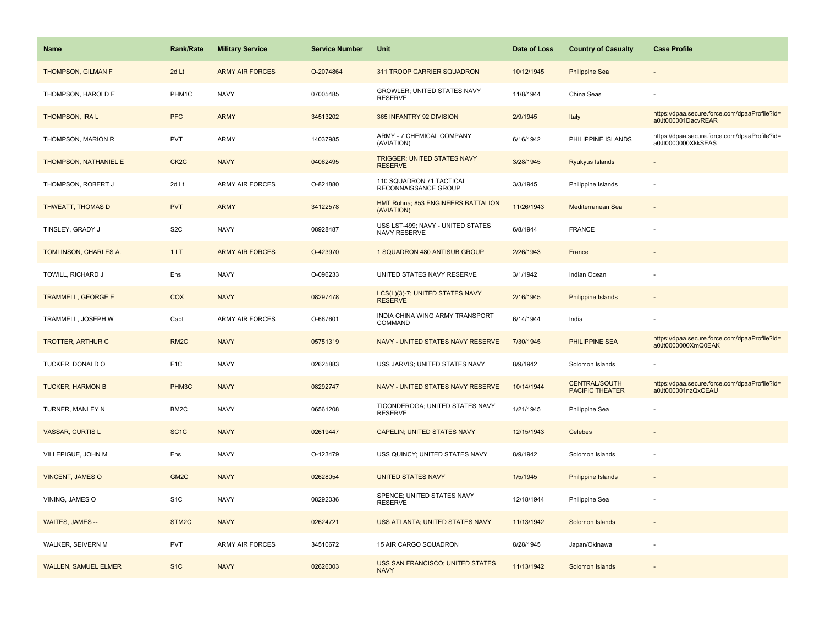| Name                        | <b>Rank/Rate</b>  | <b>Military Service</b> | <b>Service Number</b> | Unit                                                   | Date of Loss | <b>Country of Casualty</b>                     | <b>Case Profile</b>                                                 |
|-----------------------------|-------------------|-------------------------|-----------------------|--------------------------------------------------------|--------------|------------------------------------------------|---------------------------------------------------------------------|
| <b>THOMPSON, GILMAN F</b>   | 2d Lt             | <b>ARMY AIR FORCES</b>  | O-2074864             | 311 TROOP CARRIER SQUADRON                             | 10/12/1945   | <b>Philippine Sea</b>                          |                                                                     |
| THOMPSON, HAROLD E          | PHM1C             | <b>NAVY</b>             | 07005485              | GROWLER; UNITED STATES NAVY<br><b>RESERVE</b>          | 11/8/1944    | China Seas                                     |                                                                     |
| <b>THOMPSON, IRA L</b>      | <b>PFC</b>        | <b>ARMY</b>             | 34513202              | 365 INFANTRY 92 DIVISION                               | 2/9/1945     | Italy                                          | https://dpaa.secure.force.com/dpaaProfile?id=<br>a0Jt000001DacvREAR |
| THOMPSON, MARION R          | <b>PVT</b>        | ARMY                    | 14037985              | ARMY - 7 CHEMICAL COMPANY<br>(AVIATION)                | 6/16/1942    | PHILIPPINE ISLANDS                             | https://dpaa.secure.force.com/dpaaProfile?id=<br>a0Jt0000000XkkSEAS |
| THOMPSON, NATHANIEL E       | CK <sub>2</sub> C | <b>NAVY</b>             | 04062495              | <b>TRIGGER; UNITED STATES NAVY</b><br><b>RESERVE</b>   | 3/28/1945    | Ryukyus Islands                                |                                                                     |
| THOMPSON, ROBERT J          | 2d Lt             | <b>ARMY AIR FORCES</b>  | O-821880              | 110 SQUADRON 71 TACTICAL<br>RECONNAISSANCE GROUP       | 3/3/1945     | Philippine Islands                             |                                                                     |
| <b>THWEATT, THOMAS D</b>    | <b>PVT</b>        | <b>ARMY</b>             | 34122578              | HMT Rohna; 853 ENGINEERS BATTALION<br>(AVIATION)       | 11/26/1943   | Mediterranean Sea                              |                                                                     |
| TINSLEY, GRADY J            | S <sub>2</sub> C  | <b>NAVY</b>             | 08928487              | USS LST-499; NAVY - UNITED STATES<br>NAVY RESERVE      | 6/8/1944     | <b>FRANCE</b>                                  |                                                                     |
| TOMLINSON, CHARLES A.       | 1LT               | <b>ARMY AIR FORCES</b>  | O-423970              | 1 SQUADRON 480 ANTISUB GROUP                           | 2/26/1943    | France                                         |                                                                     |
| TOWILL, RICHARD J           | Ens               | <b>NAVY</b>             | O-096233              | UNITED STATES NAVY RESERVE                             | 3/1/1942     | Indian Ocean                                   |                                                                     |
| <b>TRAMMELL, GEORGE E</b>   | <b>COX</b>        | <b>NAVY</b>             | 08297478              | LCS(L)(3)-7; UNITED STATES NAVY<br><b>RESERVE</b>      | 2/16/1945    | Philippine Islands                             |                                                                     |
| TRAMMELL, JOSEPH W          | Capt              | <b>ARMY AIR FORCES</b>  | O-667601              | INDIA CHINA WING ARMY TRANSPORT<br>COMMAND             | 6/14/1944    | India                                          |                                                                     |
| <b>TROTTER, ARTHUR C</b>    | RM <sub>2</sub> C | <b>NAVY</b>             | 05751319              | NAVY - UNITED STATES NAVY RESERVE                      | 7/30/1945    | <b>PHILIPPINE SEA</b>                          | https://dpaa.secure.force.com/dpaaProfile?id=<br>a0Jt0000000XmQ0EAK |
| TUCKER, DONALD O            | F <sub>1C</sub>   | <b>NAVY</b>             | 02625883              | USS JARVIS; UNITED STATES NAVY                         | 8/9/1942     | Solomon Islands                                |                                                                     |
| <b>TUCKER, HARMON B</b>     | PHM3C             | <b>NAVY</b>             | 08292747              | NAVY - UNITED STATES NAVY RESERVE                      | 10/14/1944   | <b>CENTRAL/SOUTH</b><br><b>PACIFIC THEATER</b> | https://dpaa.secure.force.com/dpaaProfile?id=<br>a0Jt000001nzQxCEAU |
| TURNER, MANLEY N            | BM2C              | <b>NAVY</b>             | 06561208              | TICONDEROGA; UNITED STATES NAVY<br><b>RESERVE</b>      | 1/21/1945    | Philippine Sea                                 |                                                                     |
| <b>VASSAR, CURTIS L</b>     | SC <sub>1</sub> C | <b>NAVY</b>             | 02619447              | <b>CAPELIN; UNITED STATES NAVY</b>                     | 12/15/1943   | Celebes                                        |                                                                     |
| VILLEPIGUE, JOHN M          | Ens               | <b>NAVY</b>             | O-123479              | USS QUINCY; UNITED STATES NAVY                         | 8/9/1942     | Solomon Islands                                |                                                                     |
| <b>VINCENT, JAMES O</b>     | GM <sub>2</sub> C | <b>NAVY</b>             | 02628054              | <b>UNITED STATES NAVY</b>                              | 1/5/1945     | <b>Philippine Islands</b>                      |                                                                     |
| VINING, JAMES O             | S <sub>1</sub> C  | <b>NAVY</b>             | 08292036              | SPENCE; UNITED STATES NAVY<br><b>RESERVE</b>           | 12/18/1944   | Philippine Sea                                 |                                                                     |
| WAITES, JAMES --            | STM2C             | <b>NAVY</b>             | 02624721              | USS ATLANTA; UNITED STATES NAVY                        | 11/13/1942   | Solomon Islands                                |                                                                     |
| WALKER, SEIVERN M           | <b>PVT</b>        | <b>ARMY AIR FORCES</b>  | 34510672              | 15 AIR CARGO SQUADRON                                  | 8/28/1945    | Japan/Okinawa                                  |                                                                     |
| <b>WALLEN, SAMUEL ELMER</b> | S <sub>1C</sub>   | <b>NAVY</b>             | 02626003              | <b>USS SAN FRANCISCO; UNITED STATES</b><br><b>NAVY</b> | 11/13/1942   | Solomon Islands                                |                                                                     |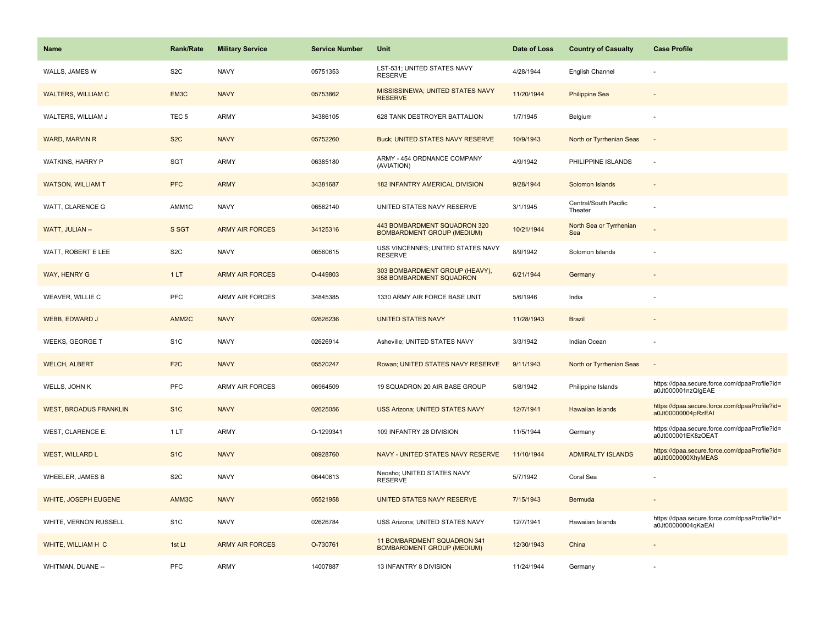| <b>Name</b>                   | <b>Rank/Rate</b>  | <b>Military Service</b> | <b>Service Number</b> | Unit                                                              | Date of Loss | <b>Country of Casualty</b>       | <b>Case Profile</b>                                                 |
|-------------------------------|-------------------|-------------------------|-----------------------|-------------------------------------------------------------------|--------------|----------------------------------|---------------------------------------------------------------------|
| WALLS, JAMES W                | S <sub>2</sub> C  | <b>NAVY</b>             | 05751353              | LST-531; UNITED STATES NAVY<br><b>RESERVE</b>                     | 4/28/1944    | English Channel                  |                                                                     |
| <b>WALTERS, WILLIAM C</b>     | EM3C              | <b>NAVY</b>             | 05753862              | MISSISSINEWA; UNITED STATES NAVY<br><b>RESERVE</b>                | 11/20/1944   | <b>Philippine Sea</b>            |                                                                     |
| WALTERS, WILLIAM J            | TEC <sub>5</sub>  | ARMY                    | 34386105              | 628 TANK DESTROYER BATTALION                                      | 1/7/1945     | Belgium                          |                                                                     |
| <b>WARD, MARVIN R</b>         | S <sub>2</sub> C  | <b>NAVY</b>             | 05752260              | <b>Buck; UNITED STATES NAVY RESERVE</b>                           | 10/9/1943    | North or Tyrrhenian Seas         |                                                                     |
| WATKINS, HARRY P              | <b>SGT</b>        | ARMY                    | 06385180              | ARMY - 454 ORDNANCE COMPANY<br>(AVIATION)                         | 4/9/1942     | PHILIPPINE ISLANDS               |                                                                     |
| <b>WATSON, WILLIAM T</b>      | <b>PFC</b>        | <b>ARMY</b>             | 34381687              | 182 INFANTRY AMERICAL DIVISION                                    | 9/28/1944    | Solomon Islands                  |                                                                     |
| WATT, CLARENCE G              | AMM1C             | <b>NAVY</b>             | 06562140              | UNITED STATES NAVY RESERVE                                        | 3/1/1945     | Central/South Pacific<br>Theater |                                                                     |
| WATT, JULIAN --               | S SGT             | <b>ARMY AIR FORCES</b>  | 34125316              | 443 BOMBARDMENT SQUADRON 320<br><b>BOMBARDMENT GROUP (MEDIUM)</b> | 10/21/1944   | North Sea or Tyrrhenian<br>Sea   |                                                                     |
| WATT, ROBERT E LEE            | S <sub>2</sub> C  | <b>NAVY</b>             | 06560615              | USS VINCENNES; UNITED STATES NAVY<br><b>RESERVE</b>               | 8/9/1942     | Solomon Islands                  |                                                                     |
| WAY, HENRY G                  | 1LT               | <b>ARMY AIR FORCES</b>  | O-449803              | 303 BOMBARDMENT GROUP (HEAVY),<br>358 BOMBARDMENT SQUADRON        | 6/21/1944    | Germany                          |                                                                     |
| <b>WEAVER, WILLIE C</b>       | <b>PFC</b>        | <b>ARMY AIR FORCES</b>  | 34845385              | 1330 ARMY AIR FORCE BASE UNIT                                     | 5/6/1946     | India                            |                                                                     |
| WEBB, EDWARD J                | AMM <sub>2C</sub> | <b>NAVY</b>             | 02626236              | <b>UNITED STATES NAVY</b>                                         | 11/28/1943   | <b>Brazil</b>                    |                                                                     |
| <b>WEEKS, GEORGE T</b>        | S <sub>1</sub> C  | <b>NAVY</b>             | 02626914              | Asheville; UNITED STATES NAVY                                     | 3/3/1942     | Indian Ocean                     |                                                                     |
| <b>WELCH, ALBERT</b>          | F <sub>2</sub> C  | <b>NAVY</b>             | 05520247              | Rowan; UNITED STATES NAVY RESERVE                                 | 9/11/1943    | North or Tyrrhenian Seas         |                                                                     |
| WELLS, JOHN K                 | PFC               | <b>ARMY AIR FORCES</b>  | 06964509              | 19 SQUADRON 20 AIR BASE GROUP                                     | 5/8/1942     | Philippine Islands               | https://dpaa.secure.force.com/dpaaProfile?id=<br>a0Jt000001nzQlgEAE |
| <b>WEST, BROADUS FRANKLIN</b> | S <sub>1</sub> C  | <b>NAVY</b>             | 02625056              | <b>USS Arizona; UNITED STATES NAVY</b>                            | 12/7/1941    | <b>Hawaiian Islands</b>          | https://dpaa.secure.force.com/dpaaProfile?id=<br>a0Jt00000004pRzEAI |
| WEST, CLARENCE E.             | 1LT               | ARMY                    | O-1299341             | 109 INFANTRY 28 DIVISION                                          | 11/5/1944    | Germany                          | https://dpaa.secure.force.com/dpaaProfile?id=<br>a0Jt000001EK8zOEAT |
| <b>WEST, WILLARD L</b>        | S <sub>1C</sub>   | <b>NAVY</b>             | 08928760              | NAVY - UNITED STATES NAVY RESERVE                                 | 11/10/1944   | <b>ADMIRALTY ISLANDS</b>         | https://dpaa.secure.force.com/dpaaProfile?id=<br>a0Jt0000000XhyMEAS |
| WHEELER, JAMES B              | S <sub>2</sub> C  | <b>NAVY</b>             | 06440813              | Neosho; UNITED STATES NAVY<br><b>RESERVE</b>                      | 5/7/1942     | Coral Sea                        |                                                                     |
| WHITE, JOSEPH EUGENE          | AMM3C             | <b>NAVY</b>             | 05521958              | UNITED STATES NAVY RESERVE                                        | 7/15/1943    | Bermuda                          | $\overline{\phantom{a}}$                                            |
| WHITE, VERNON RUSSELL         | S <sub>1</sub> C  | <b>NAVY</b>             | 02626784              | USS Arizona; UNITED STATES NAVY                                   | 12/7/1941    | Hawaiian Islands                 | https://dpaa.secure.force.com/dpaaProfile?id=<br>a0Jt00000004qKaEAI |
| WHITE, WILLIAM H C            | 1st Lt            | <b>ARMY AIR FORCES</b>  | O-730761              | 11 BOMBARDMENT SQUADRON 341<br><b>BOMBARDMENT GROUP (MEDIUM)</b>  | 12/30/1943   | China                            |                                                                     |
| WHITMAN, DUANE --             | <b>PFC</b>        | ARMY                    | 14007887              | 13 INFANTRY 8 DIVISION                                            | 11/24/1944   | Germany                          |                                                                     |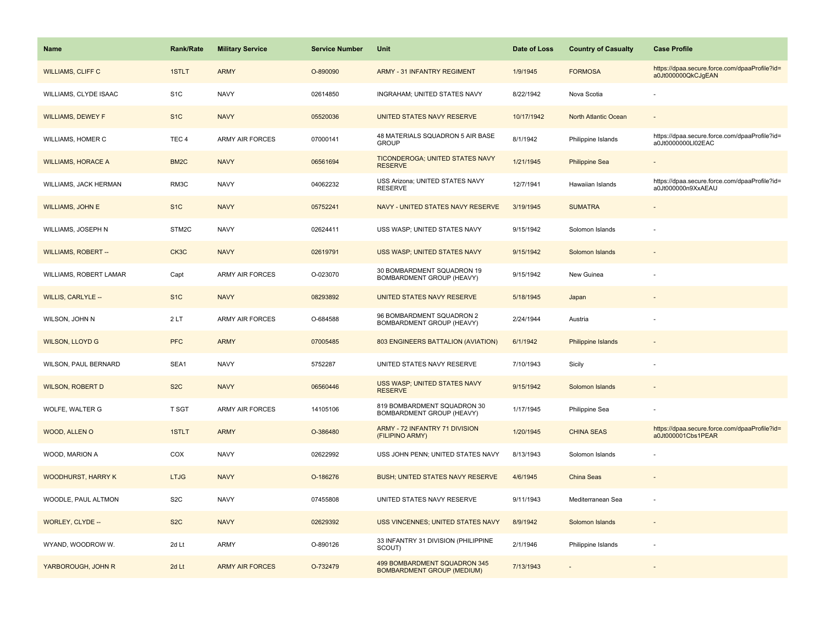| <b>Name</b>                | <b>Rank/Rate</b>  | <b>Military Service</b> | <b>Service Number</b> | Unit                                                              | Date of Loss | <b>Country of Casualty</b> | <b>Case Profile</b>                                                 |
|----------------------------|-------------------|-------------------------|-----------------------|-------------------------------------------------------------------|--------------|----------------------------|---------------------------------------------------------------------|
| <b>WILLIAMS, CLIFF C</b>   | 1STLT             | <b>ARMY</b>             | O-890090              | <b>ARMY - 31 INFANTRY REGIMENT</b>                                | 1/9/1945     | <b>FORMOSA</b>             | https://dpaa.secure.force.com/dpaaProfile?id=<br>a0Jt000000QkCJgEAN |
| WILLIAMS, CLYDE ISAAC      | S <sub>1</sub> C  | <b>NAVY</b>             | 02614850              | INGRAHAM; UNITED STATES NAVY                                      | 8/22/1942    | Nova Scotia                |                                                                     |
| <b>WILLIAMS, DEWEY F</b>   | S <sub>1</sub> C  | <b>NAVY</b>             | 05520036              | UNITED STATES NAVY RESERVE                                        | 10/17/1942   | North Atlantic Ocean       |                                                                     |
| WILLIAMS, HOMER C          | TEC <sub>4</sub>  | <b>ARMY AIR FORCES</b>  | 07000141              | 48 MATERIALS SQUADRON 5 AIR BASE<br><b>GROUP</b>                  | 8/1/1942     | Philippine Islands         | https://dpaa.secure.force.com/dpaaProfile?id=<br>a0Jt0000000LI02EAC |
| <b>WILLIAMS, HORACE A</b>  | BM <sub>2</sub> C | <b>NAVY</b>             | 06561694              | TICONDEROGA; UNITED STATES NAVY<br><b>RESERVE</b>                 | 1/21/1945    | <b>Philippine Sea</b>      |                                                                     |
| WILLIAMS, JACK HERMAN      | RM3C              | <b>NAVY</b>             | 04062232              | USS Arizona; UNITED STATES NAVY<br><b>RESERVE</b>                 | 12/7/1941    | Hawaiian Islands           | https://dpaa.secure.force.com/dpaaProfile?id=<br>a0Jt000000n9XxAEAU |
| <b>WILLIAMS, JOHN E</b>    | S <sub>1</sub> C  | <b>NAVY</b>             | 05752241              | NAVY - UNITED STATES NAVY RESERVE                                 | 3/19/1945    | <b>SUMATRA</b>             |                                                                     |
| WILLIAMS, JOSEPH N         | STM2C             | <b>NAVY</b>             | 02624411              | USS WASP; UNITED STATES NAVY                                      | 9/15/1942    | Solomon Islands            |                                                                     |
| <b>WILLIAMS, ROBERT --</b> | CK3C              | <b>NAVY</b>             | 02619791              | USS WASP; UNITED STATES NAVY                                      | 9/15/1942    | Solomon Islands            |                                                                     |
| WILLIAMS, ROBERT LAMAR     | Capt              | <b>ARMY AIR FORCES</b>  | O-023070              | 30 BOMBARDMENT SQUADRON 19<br>BOMBARDMENT GROUP (HEAVY)           | 9/15/1942    | New Guinea                 |                                                                     |
| <b>WILLIS, CARLYLE --</b>  | S <sub>1</sub> C  | <b>NAVY</b>             | 08293892              | UNITED STATES NAVY RESERVE                                        | 5/18/1945    | Japan                      |                                                                     |
| WILSON, JOHN N             | 2LT               | ARMY AIR FORCES         | O-684588              | 96 BOMBARDMENT SQUADRON 2<br>BOMBARDMENT GROUP (HEAVY)            | 2/24/1944    | Austria                    |                                                                     |
| <b>WILSON, LLOYD G</b>     | <b>PFC</b>        | <b>ARMY</b>             | 07005485              | 803 ENGINEERS BATTALION (AVIATION)                                | 6/1/1942     | <b>Philippine Islands</b>  |                                                                     |
| WILSON, PAUL BERNARD       | SEA1              | <b>NAVY</b>             | 5752287               | UNITED STATES NAVY RESERVE                                        | 7/10/1943    | Sicily                     |                                                                     |
| <b>WILSON, ROBERT D</b>    | S <sub>2</sub> C  | <b>NAVY</b>             | 06560446              | USS WASP; UNITED STATES NAVY<br><b>RESERVE</b>                    | 9/15/1942    | Solomon Islands            |                                                                     |
| WOLFE, WALTER G            | <b>T SGT</b>      | ARMY AIR FORCES         | 14105106              | 819 BOMBARDMENT SQUADRON 30<br>BOMBARDMENT GROUP (HEAVY)          | 1/17/1945    | Philippine Sea             |                                                                     |
| WOOD, ALLEN O              | 1STLT             | <b>ARMY</b>             | O-386480              | ARMY - 72 INFANTRY 71 DIVISION<br>(FILIPINO ARMY)                 | 1/20/1945    | <b>CHINA SEAS</b>          | https://dpaa.secure.force.com/dpaaProfile?id=<br>a0Jt000001Cbs1PEAR |
| WOOD, MARION A             | COX               | <b>NAVY</b>             | 02622992              | USS JOHN PENN; UNITED STATES NAVY                                 | 8/13/1943    | Solomon Islands            |                                                                     |
| <b>WOODHURST, HARRY K</b>  | <b>LTJG</b>       | <b>NAVY</b>             | O-186276              | BUSH; UNITED STATES NAVY RESERVE                                  | 4/6/1945     | China Seas                 |                                                                     |
| WOODLE, PAUL ALTMON        | S <sub>2</sub> C  | <b>NAVY</b>             | 07455808              | UNITED STATES NAVY RESERVE                                        | 9/11/1943    | Mediterranean Sea          |                                                                     |
| WORLEY, CLYDE --           | S <sub>2</sub> C  | <b>NAVY</b>             | 02629392              | <b>USS VINCENNES; UNITED STATES NAVY</b>                          | 8/9/1942     | Solomon Islands            |                                                                     |
| WYAND, WOODROW W.          | 2d Lt             | <b>ARMY</b>             | O-890126              | 33 INFANTRY 31 DIVISION (PHILIPPINE<br>SCOUT)                     | 2/1/1946     | Philippine Islands         |                                                                     |
| YARBOROUGH, JOHN R         | 2d Lt             | <b>ARMY AIR FORCES</b>  | O-732479              | 499 BOMBARDMENT SQUADRON 345<br><b>BOMBARDMENT GROUP (MEDIUM)</b> | 7/13/1943    |                            |                                                                     |